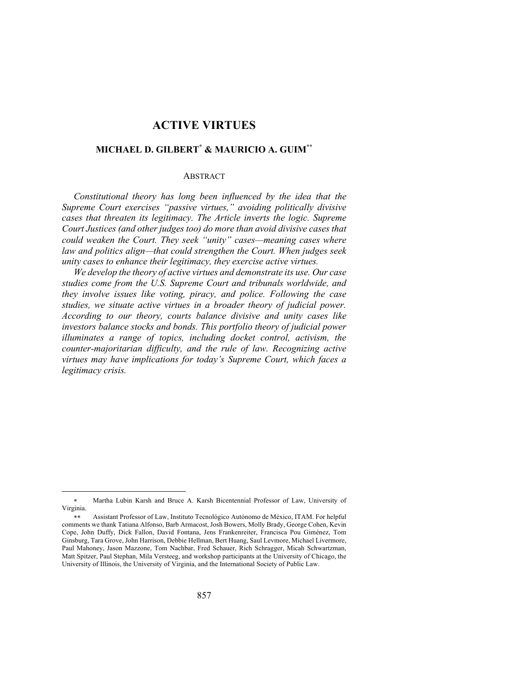# **ACTIVE VIRTUES**

# **MICHAEL D. GILBERT\* & MAURICIO A. GUIM\*\***

#### ABSTRACT

*Constitutional theory has long been influenced by the idea that the Supreme Court exercises "passive virtues," avoiding politically divisive cases that threaten its legitimacy. The Article inverts the logic. Supreme Court Justices (and other judges too) do more than avoid divisive cases that could weaken the Court. They seek "unity" cases—meaning cases where law and politics align—that could strengthen the Court. When judges seek unity cases to enhance their legitimacy, they exercise active virtues.*

*We develop the theory of active virtues and demonstrate its use. Our case studies come from the U.S. Supreme Court and tribunals worldwide, and they involve issues like voting, piracy, and police. Following the case studies, we situate active virtues in a broader theory of judicial power. According to our theory, courts balance divisive and unity cases like investors balance stocks and bonds. This portfolio theory of judicial power illuminates a range of topics, including docket control, activism, the counter-majoritarian difficulty, and the rule of law. Recognizing active virtues may have implications for today's Supreme Court, which faces a legitimacy crisis.*

<sup>\*</sup> Martha Lubin Karsh and Bruce A. Karsh Bicentennial Professor of Law, University of Virginia.

<sup>\*\*</sup> Assistant Professor of Law, Instituto Tecnológico Autónomo de México, ITAM. For helpful comments we thank Tatiana Alfonso, Barb Armacost, Josh Bowers, Molly Brady, George Cohen, Kevin Cope, John Duffy, Dick Fallon, David Fontana, Jens Frankenreiter, Francisca Pou Giménez, Tom Ginsburg, Tara Grove, John Harrison, Debbie Hellman, Bert Huang, Saul Levmore, Michael Livermore, Paul Mahoney, Jason Mazzone, Tom Nachbar, Fred Schauer, Rich Schragger, Micah Schwartzman, Matt Spitzer, Paul Stephan, Mila Versteeg, and workshop participants at the University of Chicago, the University of Illinois, the University of Virginia, and the International Society of Public Law.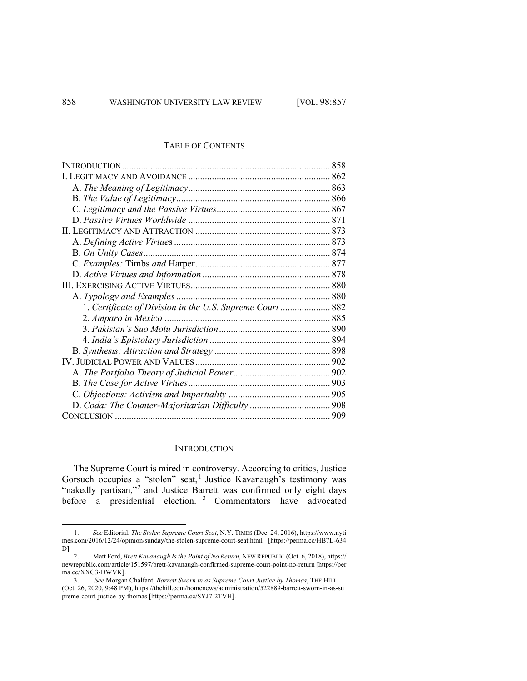#### TABLE OF CONTENTS

| 1. Certificate of Division in the U.S. Supreme Court  882 |  |
|-----------------------------------------------------------|--|
|                                                           |  |
|                                                           |  |
|                                                           |  |
|                                                           |  |
|                                                           |  |
|                                                           |  |
|                                                           |  |
|                                                           |  |
|                                                           |  |
|                                                           |  |
|                                                           |  |

#### **INTRODUCTION**

The Supreme Court is mired in controversy. According to critics, Justice Gorsuch occupies a "stolen" seat,<sup>1</sup> Justice Kavanaugh's testimony was "nakedly partisan,"<sup>2</sup> and Justice Barrett was confirmed only eight days before a presidential election.<sup>3</sup> Commentators have advocated

<sup>1.</sup> *See* Editorial, *The Stolen Supreme Court Seat*, N.Y. TIMES (Dec. 24, 2016), https://www.nyti mes.com/2016/12/24/opinion/sunday/the-stolen-supreme-court-seat.html [https://perma.cc/HB7L-634 D].

<sup>2.</sup> Matt Ford, *Brett Kavanaugh Is the Point of No Return*, NEW REPUBLIC (Oct. 6, 2018), https:// newrepublic.com/article/151597/brett-kavanaugh-confirmed-supreme-court-point-no-return [https://per ma.cc/XXG3-DWVK].

<sup>3.</sup> *See* Morgan Chalfant, *Barrett Sworn in as Supreme Court Justice by Thomas*, THE HILL (Oct. 26, 2020, 9:48 PM), https://thehill.com/homenews/administration/522889-barrett-sworn-in-as-su preme-court-justice-by-thomas [https://perma.cc/SYJ7-2TVH].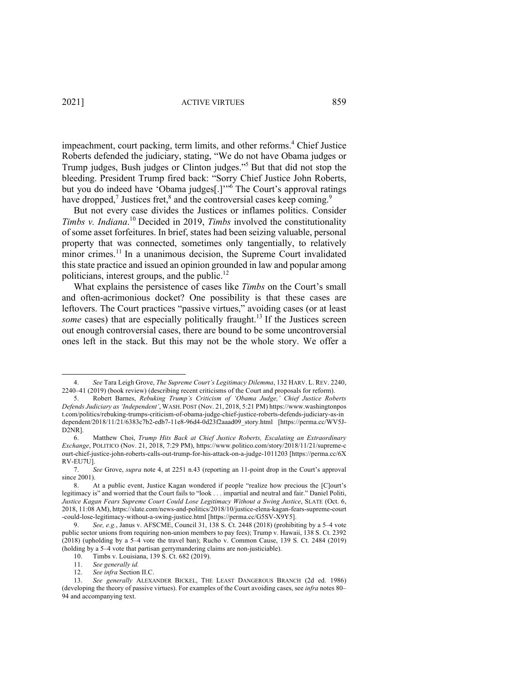impeachment, court packing, term limits, and other reforms.<sup>4</sup> Chief Justice Roberts defended the judiciary, stating, "We do not have Obama judges or Trump judges, Bush judges or Clinton judges."5 But that did not stop the bleeding. President Trump fired back: "Sorry Chief Justice John Roberts, but you do indeed have 'Obama judges[.]'<sup>"6</sup> The Court's approval ratings have dropped,<sup>7</sup> Justices fret,<sup>8</sup> and the controversial cases keep coming.<sup>9</sup>

But not every case divides the Justices or inflames politics. Consider *Timbs v. Indiana*. <sup>10</sup> Decided in 2019, *Timbs* involved the constitutionality of some asset forfeitures. In brief, states had been seizing valuable, personal property that was connected, sometimes only tangentially, to relatively minor crimes.<sup>11</sup> In a unanimous decision, the Supreme Court invalidated this state practice and issued an opinion grounded in law and popular among politicians, interest groups, and the public. $^{12}$ 

What explains the persistence of cases like *Timbs* on the Court's small and often-acrimonious docket? One possibility is that these cases are leftovers. The Court practices "passive virtues," avoiding cases (or at least some cases) that are especially politically fraught.<sup>13</sup> If the Justices screen out enough controversial cases, there are bound to be some uncontroversial ones left in the stack. But this may not be the whole story. We offer a

<sup>4.</sup> *See* Tara Leigh Grove, *The Supreme Court's Legitimacy Dilemma*, 132 HARV. L. REV. 2240, 2240–41 (2019) (book review) (describing recent criticisms of the Court and proposals for reform).

<sup>5.</sup> Robert Barnes, *Rebuking Trump's Criticism of 'Obama Judge,' Chief Justice Roberts Defends Judiciary as 'Independent'*, WASH. POST (Nov. 21, 2018, 5:21 PM) https://www.washingtonpos t.com/politics/rebuking-trumps-criticism-of-obama-judge-chief-justice-roberts-defends-judiciary-as-in dependent/2018/11/21/6383c7b2-edb7-11e8-96d4-0d23f2aaad09\_story.html [https://perma.cc/WV5J-D2NR].

<sup>6.</sup> Matthew Choi, *Trump Hits Back at Chief Justice Roberts, Escalating an Extraordinary Exchange*, POLITICO (Nov. 21, 2018, 7:29 PM), https://www.politico.com/story/2018/11/21/supreme-c ourt-chief-justice-john-roberts-calls-out-trump-for-his-attack-on-a-judge-1011203 [https://perma.cc/6X RV-EU7U].

<sup>7.</sup> *See* Grove, *supra* note 4, at 2251 n.43 (reporting an 11-point drop in the Court's approval since 2001).

<sup>8.</sup> At a public event, Justice Kagan wondered if people "realize how precious the [C]ourt's legitimacy is" and worried that the Court fails to "look . . . impartial and neutral and fair." Daniel Politi, *Justice Kagan Fears Supreme Court Could Lose Legitimacy Without a Swing Justice*, SLATE (Oct. 6, 2018, 11:08 AM), https://slate.com/news-and-politics/2018/10/justice-elena-kagan-fears-supreme-court -could-lose-legitimacy-without-a-swing-justice.html [https://perma.cc/G5SV-X9Y5].

<sup>9.</sup> *See, e.g.*, Janus v. AFSCME, Council 31, 138 S. Ct. 2448 (2018) (prohibiting by a 5–4 vote public sector unions from requiring non-union members to pay fees); Trump v. Hawaii, 138 S. Ct. 2392 (2018) (upholding by a 5–4 vote the travel ban); Rucho v. Common Cause, 139 S. Ct. 2484 (2019) (holding by a 5–4 vote that partisan gerrymandering claims are non-justiciable).

<sup>10.</sup> Timbs v. Louisiana, 139 S. Ct. 682 (2019).

<sup>11.</sup> *See generally id.*

<sup>12.</sup> *See infra* Section II.C.

<sup>13.</sup> *See generally* ALEXANDER BICKEL, THE LEAST DANGEROUS BRANCH (2d ed. 1986) (developing the theory of passive virtues). For examples of the Court avoiding cases, see *infra* notes 80– 94 and accompanying text.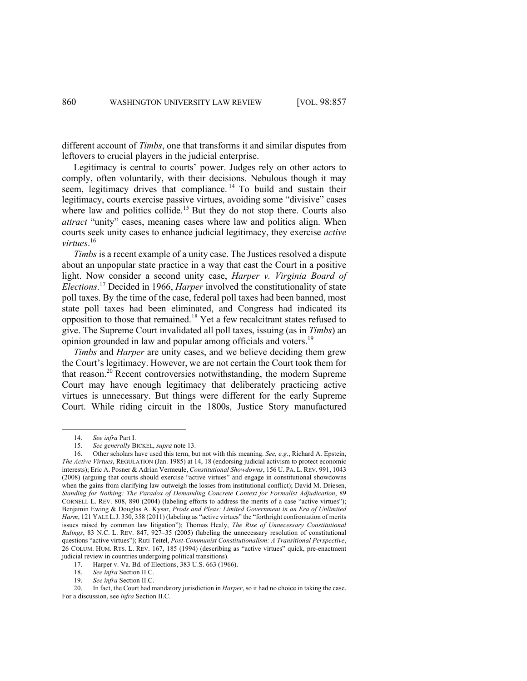different account of *Timbs*, one that transforms it and similar disputes from leftovers to crucial players in the judicial enterprise.

Legitimacy is central to courts' power. Judges rely on other actors to comply, often voluntarily, with their decisions. Nebulous though it may seem, legitimacy drives that compliance.<sup>14</sup> To build and sustain their legitimacy, courts exercise passive virtues, avoiding some "divisive" cases where law and politics collide.<sup>15</sup> But they do not stop there. Courts also *attract* "unity" cases, meaning cases where law and politics align. When courts seek unity cases to enhance judicial legitimacy, they exercise *active virtues*. 16

*Timbs* is a recent example of a unity case. The Justices resolved a dispute about an unpopular state practice in a way that cast the Court in a positive light. Now consider a second unity case, *Harper v. Virginia Board of Elections*. <sup>17</sup> Decided in 1966, *Harper* involved the constitutionality of state poll taxes. By the time of the case, federal poll taxes had been banned, most state poll taxes had been eliminated, and Congress had indicated its opposition to those that remained.<sup>18</sup> Yet a few recalcitrant states refused to give. The Supreme Court invalidated all poll taxes, issuing (as in *Timbs*) an opinion grounded in law and popular among officials and voters.<sup>19</sup>

*Timbs* and *Harper* are unity cases, and we believe deciding them grew the Court's legitimacy. However, we are not certain the Court took them for that reason.<sup>20</sup> Recent controversies notwithstanding, the modern Supreme Court may have enough legitimacy that deliberately practicing active virtues is unnecessary. But things were different for the early Supreme Court. While riding circuit in the 1800s, Justice Story manufactured

<sup>14.</sup> *See infra* Part I.

<sup>15.</sup> *See generally* BICKEL, *supra* note 13.

<sup>16.</sup> Other scholars have used this term, but not with this meaning. *See, e.g*., Richard A. Epstein, *The Active Virtues*, REGULATION (Jan. 1985) at 14, 18 (endorsing judicial activism to protect economic interests); Eric A. Posner & Adrian Vermeule, *Constitutional Showdowns*, 156 U. PA. L. REV. 991, 1043 (2008) (arguing that courts should exercise "active virtues" and engage in constitutional showdowns when the gains from clarifying law outweigh the losses from institutional conflict); David M. Driesen, *Standing for Nothing: The Paradox of Demanding Concrete Context for Formalist Adjudication*, 89 CORNELL L. REV. 808, 890 (2004) (labeling efforts to address the merits of a case "active virtues"); Benjamin Ewing & Douglas A. Kysar, *Prods and Pleas: Limited Government in an Era of Unlimited Harm*, 121 YALE L.J. 350, 358 (2011) (labeling as "active virtues" the "forthright confrontation of merits issues raised by common law litigation"); Thomas Healy, *The Rise of Unnecessary Constitutional Rulings*, 83 N.C. L. REV. 847, 927–35 (2005) (labeling the unnecessary resolution of constitutional questions "active virtues"); Ruti Teitel, *Post-Communist Constitutionalism: A Transitional Perspective*, 26 COLUM. HUM. RTS. L. REV. 167, 185 (1994) (describing as "active virtues" quick, pre-enactment judicial review in countries undergoing political transitions).

<sup>17.</sup> Harper v. Va. Bd. of Elections, 383 U.S. 663 (1966).

<sup>18.</sup> *See infra* Section II.C.

<sup>19.</sup> *See infra* Section II.C.

<sup>20.</sup> In fact, the Court had mandatory jurisdiction in *Harper*, so it had no choice in taking the case. For a discussion, see *infra* Section II.C.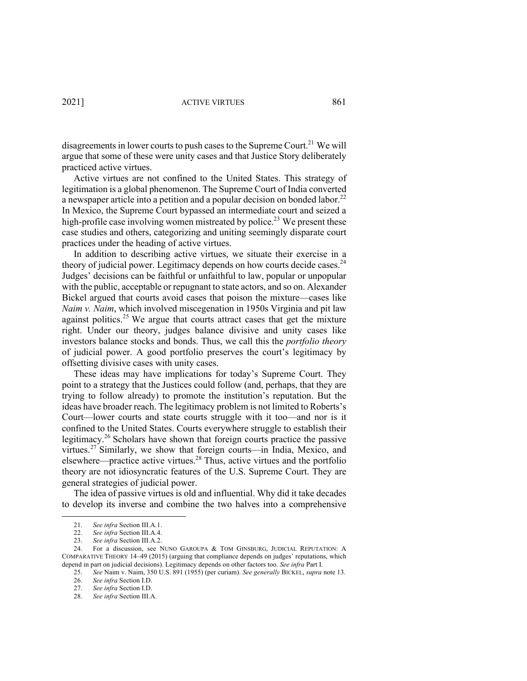disagreements in lower courts to push cases to the Supreme Court.<sup>21</sup> We will argue that some of these were unity cases and that Justice Story deliberately practiced active virtues.

Active virtues are not confined to the United States. This strategy of legitimation is a global phenomenon. The Supreme Court of India converted a newspaper article into a petition and a popular decision on bonded labor.<sup>22</sup> In Mexico, the Supreme Court bypassed an intermediate court and seized a high-profile case involving women mistreated by police.<sup>23</sup> We present these case studies and others, categorizing and uniting seemingly disparate court practices under the heading of active virtues.

In addition to describing active virtues, we situate their exercise in a theory of judicial power. Legitimacy depends on how courts decide cases.<sup>24</sup> Judges' decisions can be faithful or unfaithful to law, popular or unpopular with the public, acceptable or repugnant to state actors, and so on. Alexander Bickel argued that courts avoid cases that poison the mixture—cases like *Naim v. Naim*, which involved miscegenation in 1950s Virginia and pit law against politics.<sup>25</sup> We argue that courts attract cases that get the mixture right. Under our theory, judges balance divisive and unity cases like investors balance stocks and bonds. Thus, we call this the *portfolio theory* of judicial power. A good portfolio preserves the court's legitimacy by offsetting divisive cases with unity cases.

These ideas may have implications for today's Supreme Court. They point to a strategy that the Justices could follow (and, perhaps, that they are trying to follow already) to promote the institution's reputation. But the ideas have broader reach. The legitimacy problem is not limited to Roberts's Court—lower courts and state courts struggle with it too—and nor is it confined to the United States. Courts everywhere struggle to establish their legitimacy.<sup>26</sup> Scholars have shown that foreign courts practice the passive virtues.<sup>27</sup> Similarly, we show that foreign courts—in India, Mexico, and elsewhere—practice active virtues.28 Thus, active virtues and the portfolio theory are not idiosyncratic features of the U.S. Supreme Court. They are general strategies of judicial power.

The idea of passive virtues is old and influential. Why did it take decades to develop its inverse and combine the two halves into a comprehensive

<sup>21.</sup> *See infra* Section III.A.1.

<sup>22.</sup> *See infra* Section III.A.4.

<sup>23.</sup> *See infra* Section III.A.2.

<sup>24.</sup> For a discussion, see NUNO GAROUPA & TOM GINSBURG, JUDICIAL REPUTATION: A COMPARATIVE THEORY 14–49 (2015) (arguing that compliance depends on judges' reputations, which depend in part on judicial decisions). Legitimacy depends on other factors too. *See infra* Part I.

<sup>25.</sup> *See* Naim v. Naim, 350 U.S. 891 (1955) (per curiam). *See generally* BICKEL, *supra* note 13.

<sup>26.</sup> *See infra* Section I.D.

<sup>27.</sup> *See infra* Section I.D.

<sup>28.</sup> *See infra* Section III.A.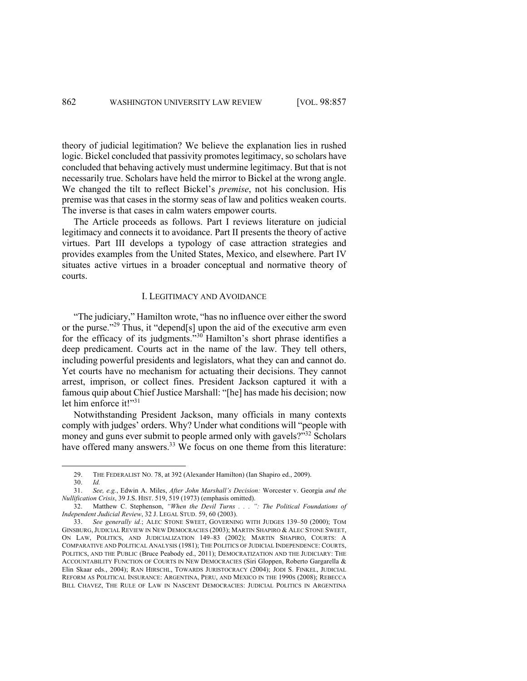theory of judicial legitimation? We believe the explanation lies in rushed logic. Bickel concluded that passivity promotes legitimacy, so scholars have concluded that behaving actively must undermine legitimacy. But that is not necessarily true. Scholars have held the mirror to Bickel at the wrong angle. We changed the tilt to reflect Bickel's *premise*, not his conclusion. His premise was that cases in the stormy seas of law and politics weaken courts. The inverse is that cases in calm waters empower courts.

The Article proceeds as follows. Part I reviews literature on judicial legitimacy and connects it to avoidance. Part II presents the theory of active virtues. Part III develops a typology of case attraction strategies and provides examples from the United States, Mexico, and elsewhere. Part IV situates active virtues in a broader conceptual and normative theory of courts.

#### I. LEGITIMACY AND AVOIDANCE

"The judiciary," Hamilton wrote, "has no influence over either the sword or the purse."<sup>29</sup> Thus, it "depend[s] upon the aid of the executive arm even for the efficacy of its judgments."<sup>30</sup> Hamilton's short phrase identifies a deep predicament. Courts act in the name of the law. They tell others, including powerful presidents and legislators, what they can and cannot do. Yet courts have no mechanism for actuating their decisions. They cannot arrest, imprison, or collect fines. President Jackson captured it with a famous quip about Chief Justice Marshall: "[he] has made his decision; now let him enforce it!"<sup>31</sup>

Notwithstanding President Jackson, many officials in many contexts comply with judges' orders. Why? Under what conditions will "people with money and guns ever submit to people armed only with gavels?"<sup>32</sup> Scholars have offered many answers.<sup>33</sup> We focus on one theme from this literature:

<sup>29.</sup> THE FEDERALIST NO. 78, at 392 (Alexander Hamilton) (Ian Shapiro ed., 2009).

<sup>30.</sup> *Id.*

<sup>31.</sup> *See, e.g.*, Edwin A. Miles, *After John Marshall's Decision:* Worcester v. Georgia *and the Nullification Crisis*, 39 J.S. HIST. 519, 519 (1973) (emphasis omitted).

<sup>32.</sup> Matthew C. Stephenson, *"When the Devil Turns . . . ": The Political Foundations of Independent Judicial Review*, 32 J. LEGAL STUD. 59, 60 (2003).

<sup>33.</sup> *See generally id.*; ALEC STONE SWEET, GOVERNING WITH JUDGES 139–50 (2000); TOM GINSBURG,JUDICIAL REVIEW IN NEW DEMOCRACIES (2003); MARTIN SHAPIRO & ALEC STONE SWEET, ON LAW, POLITICS, AND JUDICIALIZATION 149–83 (2002); MARTIN SHAPIRO, COURTS: A COMPARATIVE AND POLITICAL ANALYSIS (1981); THE POLITICS OF JUDICIAL INDEPENDENCE: COURTS, POLITICS, AND THE PUBLIC (Bruce Peabody ed., 2011); DEMOCRATIZATION AND THE JUDICIARY: THE ACCOUNTABILITY FUNCTION OF COURTS IN NEW DEMOCRACIES (Siri Gloppen, Roberto Gargarella & Elin Skaar eds., 2004); RAN HIRSCHL, TOWARDS JURISTOCRACY (2004); JODI S. FINKEL, JUDICIAL REFORM AS POLITICAL INSURANCE: ARGENTINA, PERU, AND MEXICO IN THE 1990S (2008); REBECCA BILL CHAVEZ, THE RULE OF LAW IN NASCENT DEMOCRACIES: JUDICIAL POLITICS IN ARGENTINA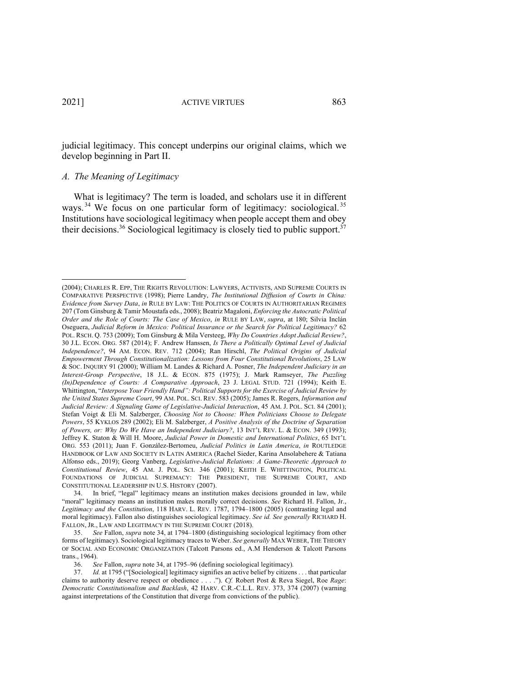judicial legitimacy. This concept underpins our original claims, which we develop beginning in Part II.

# *A. The Meaning of Legitimacy*

What is legitimacy? The term is loaded, and scholars use it in different ways.<sup>34</sup> We focus on one particular form of legitimacy: sociological.<sup>35</sup> Institutions have sociological legitimacy when people accept them and obey their decisions.<sup>36</sup> Sociological legitimacy is closely tied to public support.<sup>37</sup>

34. In brief, "legal" legitimacy means an institution makes decisions grounded in law, while "moral" legitimacy means an institution makes morally correct decisions. *See* Richard H. Fallon, Jr., *Legitimacy and the Constitution*, 118 HARV. L. REV. 1787, 1794–1800 (2005) (contrasting legal and moral legitimacy). Fallon also distinguishes sociological legitimacy. *See id. See generally* RICHARD H. FALLON, JR., LAW AND LEGITIMACY IN THE SUPREME COURT (2018).

35. *See* Fallon, *supra* note 34, at 1794–1800 (distinguishing sociological legitimacy from other forms of legitimacy). Sociological legitimacy traces to Weber. *See generally* MAX WEBER, THE THEORY OF SOCIAL AND ECONOMIC ORGANIZATION (Talcott Parsons ed., A.M Henderson & Talcott Parsons trans., 1964).

36. *See* Fallon, *supra* note 34, at 1795–96 (defining sociological legitimacy)*.*

37. *Id.* at 1795 ("[Sociological] legitimacy signifies an active belief by citizens . . . that particular claims to authority deserve respect or obedience . . . ."). *Cf.* Robert Post & Reva Siegel, Roe *Rage*: *Democratic Constitutionalism and Backlash*, 42 HARV. C.R.-C.L.L. REV. 373, 374 (2007) (warning against interpretations of the Constitution that diverge from convictions of the public).

<sup>(2004);</sup> CHARLES R. EPP, THE RIGHTS REVOLUTION: LAWYERS, ACTIVISTS, AND SUPREME COURTS IN COMPARATIVE PERSPECTIVE (1998); Pierre Landry, *The Institutional Diffusion of Courts in China: Evidence from Survey Data*, *in* RULE BY LAW: THE POLITICS OF COURTS IN AUTHORITARIAN REGIMES 207 (Tom Ginsburg & Tamir Moustafa eds., 2008); Beatriz Magaloni, *Enforcing the Autocratic Political Order and the Role of Courts: The Case of Mexico*, *in* RULE BY LAW, *supra*, at 180; Silvia Inclán Oseguera, *Judicial Reform in Mexico: Political Insurance or the Search for Political Legitimacy?* 62 POL. RSCH. Q. 753 (2009); Tom Ginsburg & Mila Versteeg, *Why Do Countries Adopt Judicial Review?*, 30 J.L. ECON. ORG. 587 (2014); F. Andrew Hanssen, *Is There a Politically Optimal Level of Judicial Independence?*, 94 AM. ECON. REV. 712 (2004); Ran Hirschl, *The Political Origins of Judicial Empowerment Through Constitutionalization: Lessons from Four Constitutional Revolutions*, 25 LAW & SOC. INQUIRY 91 (2000); William M. Landes & Richard A. Posner, *The Independent Judiciary in an Interest-Group Perspective*, 18 J.L. & ECON. 875 (1975); J. Mark Ramseyer, *The Puzzling (In)Dependence of Courts: A Comparative Approach*, 23 J. LEGAL STUD. 721 (1994); Keith E. Whittington, "*Interpose Your Friendly Hand": Political Supports for the Exercise of Judicial Review by the United States Supreme Court*, 99 AM. POL. SCI. REV. 583 (2005); James R. Rogers, *Information and Judicial Review: A Signaling Game of Legislative-Judicial Interaction*, 45 AM. J. POL. SCI. 84 (2001); Stefan Voigt & Eli M. Salzberger, *Choosing Not to Choose: When Politicians Choose to Delegate Powers*, 55 KYKLOS 289 (2002); Eli M. Salzberger, *A Positive Analysis of the Doctrine of Separation of Powers, or: Why Do We Have an Independent Judiciary?*, 13 INT'L REV. L. & ECON. 349 (1993); Jeffrey K. Staton & Will H. Moore, *Judicial Power in Domestic and International Politics*, 65 INT'L ORG. 553 (2011); Juan F. González-Bertomeu, *Judicial Politics in Latin America*, *in* ROUTLEDGE HANDBOOK OF LAW AND SOCIETY IN LATIN AMERICA (Rachel Sieder, Karina Ansolabehere & Tatiana Alfonso eds., 2019); Georg Vanberg, *Legislative-Judicial Relations: A Game-Theoretic Approach to Constitutional Review*, 45 AM. J. POL. SCI. 346 (2001); KEITH E. WHITTINGTON, POLITICAL FOUNDATIONS OF JUDICIAL SUPREMACY: THE PRESIDENT, THE SUPREME COURT, AND CONSTITUTIONAL LEADERSHIP IN U.S. HISTORY (2007).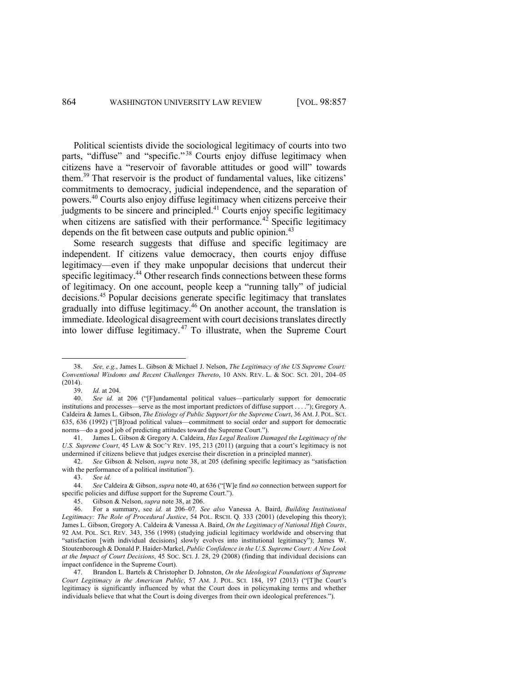Political scientists divide the sociological legitimacy of courts into two parts, "diffuse" and "specific."<sup>38</sup> Courts enjoy diffuse legitimacy when citizens have a "reservoir of favorable attitudes or good will" towards them. <sup>39</sup> That reservoir is the product of fundamental values, like citizens' commitments to democracy, judicial independence, and the separation of powers. <sup>40</sup> Courts also enjoy diffuse legitimacy when citizens perceive their judgments to be sincere and principled. $41$  Courts enjoy specific legitimacy when citizens are satisfied with their performance.<sup>42</sup> Specific legitimacy depends on the fit between case outputs and public opinion.<sup>43</sup>

Some research suggests that diffuse and specific legitimacy are independent. If citizens value democracy, then courts enjoy diffuse legitimacy—even if they make unpopular decisions that undercut their specific legitimacy.<sup>44</sup> Other research finds connections between these forms of legitimacy. On one account, people keep a "running tally" of judicial decisions.<sup>45</sup> Popular decisions generate specific legitimacy that translates gradually into diffuse legitimacy.46 On another account, the translation is immediate. Ideological disagreement with court decisions translates directly into lower diffuse legitimacy. <sup>47</sup> To illustrate, when the Supreme Court

<sup>38.</sup> *See, e.g.*, James L. Gibson & Michael J. Nelson, *The Legitimacy of the US Supreme Court: Conventional Wisdoms and Recent Challenges Thereto*, 10 ANN. REV. L. & SOC. SCI. 201, 204–05 (2014).

<sup>39.</sup> *Id.* at 204.

See id. at 206 ("[F]undamental political values—particularly support for democratic institutions and processes—serve as the most important predictors of diffuse support . . . ."); Gregory A. Caldeira & James L. Gibson, *The Etiology of Public Support for the Supreme Court*, 36 AM.J. POL. SCI. 635, 636 (1992) ("[B]road political values—commitment to social order and support for democratic norms—do a good job of predicting attitudes toward the Supreme Court.").

<sup>41.</sup> James L. Gibson & Gregory A. Caldeira, *Has Legal Realism Damaged the Legitimacy of the U.S. Supreme Court*, 45 LAW & SOC'Y REV. 195, 213 (2011) (arguing that a court's legitimacy is not undermined if citizens believe that judges exercise their discretion in a principled manner).

<sup>42.</sup> *See* Gibson & Nelson, *supra* note 38, at 205 (defining specific legitimacy as "satisfaction with the performance of a political institution").

<sup>43.</sup> *See id.*

<sup>44.</sup> *See* Caldeira & Gibson, *supra* note 40, at 636 ("[W]e find *no* connection between support for specific policies and diffuse support for the Supreme Court.").

<sup>45.</sup> Gibson & Nelson, *supra* note 38, at 206.

<sup>46.</sup> For a summary, see *id.* at 206–07. *See also* Vanessa A. Baird, *Building Institutional Legitimacy: The Role of Procedural Justice*, 54 POL. RSCH. Q. 333 (2001) (developing this theory); James L. Gibson, Gregory A. Caldeira & Vanessa A. Baird, *On the Legitimacy of National High Courts*, 92 AM. POL. SCI. REV. 343, 356 (1998) (studying judicial legitimacy worldwide and observing that "satisfaction [with individual decisions] slowly evolves into institutional legitimacy"); James W. Stoutenborough & Donald P. Haider-Markel, *Public Confidence in the U.S. Supreme Court: A New Look at the Impact of Court Decisions*, 45 SOC. SCI. J. 28, 29 (2008) (finding that individual decisions can impact confidence in the Supreme Court).

<sup>47.</sup> Brandon L. Bartels & Christopher D. Johnston, *On the Ideological Foundations of Supreme Court Legitimacy in the American Public*, 57 AM. J. POL. SCI. 184, 197 (2013) ("[T]he Court's legitimacy is significantly influenced by what the Court does in policymaking terms and whether individuals believe that what the Court is doing diverges from their own ideological preferences.").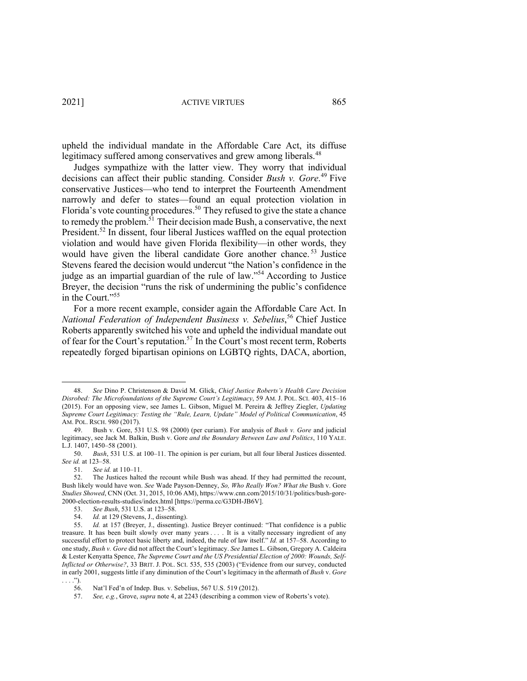2021] ACTIVE VIRTUES 865

upheld the individual mandate in the Affordable Care Act, its diffuse legitimacy suffered among conservatives and grew among liberals.<sup>48</sup>

Judges sympathize with the latter view. They worry that individual decisions can affect their public standing. Consider *Bush v. Gore*. <sup>49</sup> Five conservative Justices—who tend to interpret the Fourteenth Amendment narrowly and defer to states—found an equal protection violation in Florida's vote counting procedures.<sup>50</sup> They refused to give the state a chance to remedy the problem.<sup>51</sup> Their decision made Bush, a conservative, the next President.<sup>52</sup> In dissent, four liberal Justices waffled on the equal protection violation and would have given Florida flexibility—in other words, they would have given the liberal candidate Gore another chance. <sup>53</sup> Justice Stevens feared the decision would undercut "the Nation's confidence in the judge as an impartial guardian of the rule of law."54 According to Justice Breyer, the decision "runs the risk of undermining the public's confidence in the Court."<sup>55</sup>

For a more recent example, consider again the Affordable Care Act. In *National Federation of Independent Business v. Sebelius*, <sup>56</sup> Chief Justice Roberts apparently switched his vote and upheld the individual mandate out of fear for the Court's reputation.<sup>57</sup> In the Court's most recent term, Roberts repeatedly forged bipartisan opinions on LGBTQ rights, DACA, abortion,

<sup>48.</sup> *See* Dino P. Christenson & David M. Glick, *Chief Justice Roberts's Health Care Decision Disrobed: The Microfoundations of the Supreme Court's Legitimacy*, 59 AM. J. POL. SCI. 403, 415–16 (2015). For an opposing view, see James L. Gibson, Miguel M. Pereira & Jeffrey Ziegler, *Updating Supreme Court Legitimacy: Testing the "Rule, Learn, Update" Model of Political Communication*, 45 AM. POL. RSCH. 980 (2017).

<sup>49.</sup> Bush v. Gore, 531 U.S. 98 (2000) (per curiam). For analysis of *Bush v. Gore* and judicial legitimacy, see Jack M. Balkin, Bush v. Gore *and the Boundary Between Law and Politics*, 110 YALE. L.J. 1407, 1450–58 (2001).

<sup>50.</sup> *Bush*, 531 U.S. at 100–11. The opinion is per curiam, but all four liberal Justices dissented. *See id.* at 123–58.

<sup>51.</sup> *See id.* at 110–11.

<sup>52.</sup> The Justices halted the recount while Bush was ahead. If they had permitted the recount, Bush likely would have won. *See* Wade Payson-Denney, *So, Who Really Won? What the* Bush v. Gore *Studies Showed*, CNN (Oct. 31, 2015, 10:06 AM), https://www.cnn.com/2015/10/31/politics/bush-gore-2000-election-results-studies/index.html [https://perma.cc/G3DH-JB6V].

<sup>53.</sup> *See Bush*, 531 U.S. at 123–58.

<sup>54.</sup> *Id.* at 129 (Stevens, J., dissenting).

<sup>55.</sup> *Id.* at 157 (Breyer, J., dissenting). Justice Breyer continued: "That confidence is a public treasure. It has been built slowly over many years . . . . It is a vitally necessary ingredient of any successful effort to protect basic liberty and, indeed, the rule of law itself." *Id.* at 157–58. According to one study, *Bush v. Gore* did not affect the Court's legitimacy. *See* James L. Gibson, Gregory A. Caldeira & Lester Kenyatta Spence, *The Supreme Court and the US Presidential Election of 2000: Wounds, Self-Inflicted or Otherwise?*, 33 BRIT. J. POL. SCI. 535, 535 (2003) ("Evidence from our survey, conducted in early 2001, suggests little if any diminution of the Court's legitimacy in the aftermath of *Bush* v. *Gore*  . . . .").

<sup>56.</sup> Nat'l Fed'n of Indep. Bus. v. Sebelius, 567 U.S. 519 (2012).

<sup>57.</sup> *See, e.g.*, Grove, *supra* note 4, at 2243 (describing a common view of Roberts's vote).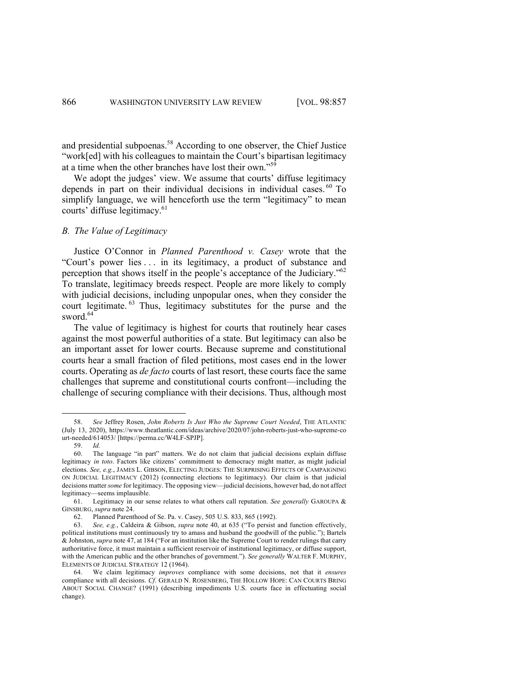and presidential subpoenas.<sup>58</sup> According to one observer, the Chief Justice "work[ed] with his colleagues to maintain the Court's bipartisan legitimacy at a time when the other branches have lost their own."59

We adopt the judges' view. We assume that courts' diffuse legitimacy depends in part on their individual decisions in individual cases.<sup>60</sup> To simplify language, we will henceforth use the term "legitimacy" to mean courts' diffuse legitimacy.<sup>61</sup>

# *B. The Value of Legitimacy*

Justice O'Connor in *Planned Parenthood v. Casey* wrote that the "Court's power lies . . . in its legitimacy, a product of substance and perception that shows itself in the people's acceptance of the Judiciary."<sup>62</sup> To translate, legitimacy breeds respect. People are more likely to comply with judicial decisions, including unpopular ones, when they consider the court legitimate. <sup>63</sup> Thus, legitimacy substitutes for the purse and the sword. $64$ 

The value of legitimacy is highest for courts that routinely hear cases against the most powerful authorities of a state. But legitimacy can also be an important asset for lower courts. Because supreme and constitutional courts hear a small fraction of filed petitions, most cases end in the lower courts. Operating as *de facto* courts of last resort, these courts face the same challenges that supreme and constitutional courts confront—including the challenge of securing compliance with their decisions. Thus, although most

<sup>58.</sup> *See* Jeffrey Rosen, *John Roberts Is Just Who the Supreme Court Needed*, THE ATLANTIC (July 13, 2020), https://www.theatlantic.com/ideas/archive/2020/07/john-roberts-just-who-supreme-co urt-needed/614053/ [https://perma.cc/W4LF-SPJP].

<sup>59.</sup> *Id.*

<sup>60.</sup> The language "in part" matters. We do not claim that judicial decisions explain diffuse legitimacy *in toto*. Factors like citizens' commitment to democracy might matter, as might judicial elections. *See, e.g.*, JAMES L. GIBSON, ELECTING JUDGES: THE SURPRISING EFFECTS OF CAMPAIGNING ON JUDICIAL LEGITIMACY (2012) (connecting elections to legitimacy). Our claim is that judicial decisions matter *some* for legitimacy. The opposing view—judicial decisions, however bad, do not affect legitimacy—seems implausible.

<sup>61.</sup> Legitimacy in our sense relates to what others call reputation. *See generally* GAROUPA & GINSBURG, *supra* note 24.

<sup>62.</sup> Planned Parenthood of Se. Pa. v. Casey, 505 U.S. 833, 865 (1992).

<sup>63.</sup> *See, e.g.*, Caldeira & Gibson, *supra* note 40, at 635 ("To persist and function effectively, political institutions must continuously try to amass and husband the goodwill of the public."); Bartels & Johnston, *supra* note 47, at 184 ("For an institution like the Supreme Court to render rulings that carry authoritative force, it must maintain a sufficient reservoir of institutional legitimacy, or diffuse support, with the American public and the other branches of government."). *See generally* WALTER F. MURPHY, ELEMENTS OF JUDICIAL STRATEGY 12 (1964).

<sup>64.</sup> We claim legitimacy *improves* compliance with some decisions, not that it *ensures* compliance with all decisions. *Cf*. GERALD N. ROSENBERG, THE HOLLOW HOPE: CAN COURTS BRING ABOUT SOCIAL CHANGE? (1991) (describing impediments U.S. courts face in effectuating social change).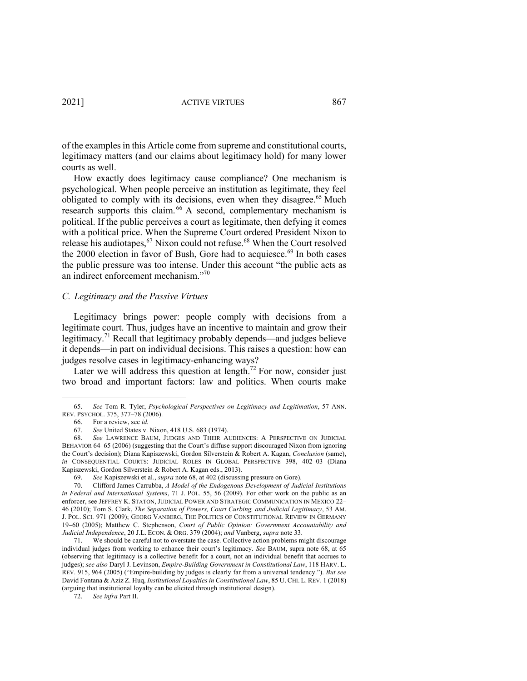of the examples in this Article come from supreme and constitutional courts, legitimacy matters (and our claims about legitimacy hold) for many lower courts as well.

How exactly does legitimacy cause compliance? One mechanism is psychological. When people perceive an institution as legitimate, they feel obligated to comply with its decisions, even when they disagree.<sup>65</sup> Much research supports this claim.<sup>66</sup> A second, complementary mechanism is political. If the public perceives a court as legitimate, then defying it comes with a political price. When the Supreme Court ordered President Nixon to release his audiotapes,<sup>67</sup> Nixon could not refuse.<sup>68</sup> When the Court resolved the 2000 election in favor of Bush, Gore had to acquiesce.<sup>69</sup> In both cases the public pressure was too intense. Under this account "the public acts as an indirect enforcement mechanism."70

#### *C. Legitimacy and the Passive Virtues*

Legitimacy brings power: people comply with decisions from a legitimate court. Thus, judges have an incentive to maintain and grow their legitimacy.<sup>71</sup> Recall that legitimacy probably depends—and judges believe it depends—in part on individual decisions. This raises a question: how can judges resolve cases in legitimacy-enhancing ways?

Later we will address this question at length.<sup>72</sup> For now, consider just two broad and important factors: law and politics. When courts make

72. *See infra* Part II.

<sup>65.</sup> *See* Tom R. Tyler, *Psychological Perspectives on Legitimacy and Legitimation*, 57 ANN. REV. PSYCHOL. 375, 377–78 (2006).

<sup>66.</sup> For a review, see *id.*

<sup>67.</sup> *See* United States v. Nixon, 418 U.S. 683 (1974).

<sup>68.</sup> *See* LAWRENCE BAUM, JUDGES AND THEIR AUDIENCES: A PERSPECTIVE ON JUDICIAL BEHAVIOR 64–65 (2006) (suggesting that the Court's diffuse support discouraged Nixon from ignoring the Court's decision); Diana Kapiszewski, Gordon Silverstein & Robert A. Kagan, *Conclusion* (same), *in* CONSEQUENTIAL COURTS: JUDICIAL ROLES IN GLOBAL PERSPECTIVE 398, 402–03 (Diana Kapiszewski, Gordon Silverstein & Robert A. Kagan eds., 2013).

<sup>69.</sup> *See* Kapiszewski et al., *supra* note 68, at 402 (discussing pressure on Gore).

<sup>70.</sup> Clifford James Carrubba, *A Model of the Endogenous Development of Judicial Institutions in Federal and International Systems*, 71 J. POL. 55, 56 (2009). For other work on the public as an enforcer, see JEFFREY K. STATON, JUDICIAL POWER AND STRATEGIC COMMUNICATION IN MEXICO 22– 46 (2010); Tom S. Clark, *The Separation of Powers, Court Curbing, and Judicial Legitimacy*, 53 AM. J. POL. SCI. 971 (2009); GEORG VANBERG, THE POLITICS OF CONSTITUTIONAL REVIEW IN GERMANY 19–60 (2005); Matthew C. Stephenson, *Court of Public Opinion: Government Accountability and Judicial Independence*, 20 J.L. ECON. & ORG. 379 (2004); *and* Vanberg, *supra* note 33.

<sup>71.</sup> We should be careful not to overstate the case. Collective action problems might discourage individual judges from working to enhance their court's legitimacy. *See* BAUM, supra note 68, at 65 (observing that legitimacy is a collective benefit for a court, not an individual benefit that accrues to judges); *see also* Daryl J. Levinson, *Empire-Building Government in Constitutional Law*, 118 HARV. L. REV. 915, 964 (2005) ("Empire-building by judges is clearly far from a universal tendency."). *But see* David Fontana & Aziz Z. Huq, *Institutional Loyalties in Constitutional Law*, 85 U. CHI. L. REV. 1 (2018) (arguing that institutional loyalty can be elicited through institutional design).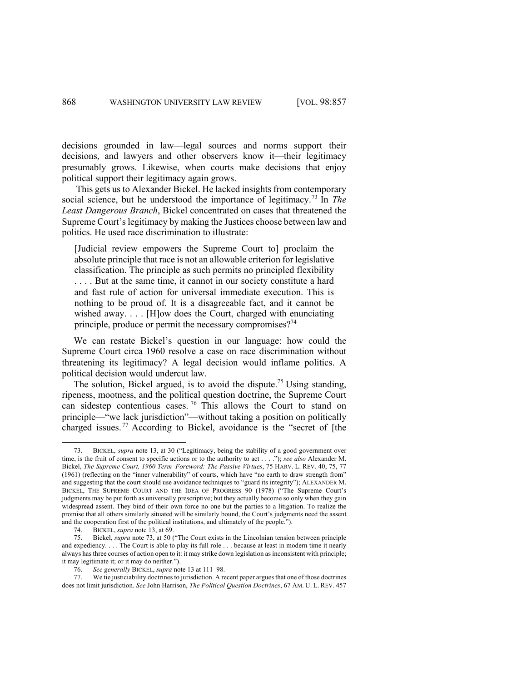decisions grounded in law—legal sources and norms support their decisions, and lawyers and other observers know it—their legitimacy presumably grows. Likewise, when courts make decisions that enjoy political support their legitimacy again grows.

This gets us to Alexander Bickel. He lacked insights from contemporary social science, but he understood the importance of legitimacy.<sup>73</sup> In *The Least Dangerous Branch*, Bickel concentrated on cases that threatened the Supreme Court's legitimacy by making the Justices choose between law and politics. He used race discrimination to illustrate:

[Judicial review empowers the Supreme Court to] proclaim the absolute principle that race is not an allowable criterion for legislative classification. The principle as such permits no principled flexibility . . . . But at the same time, it cannot in our society constitute a hard and fast rule of action for universal immediate execution. This is nothing to be proud of. It is a disagreeable fact, and it cannot be wished away. . . . [H]ow does the Court, charged with enunciating principle, produce or permit the necessary compromises?<sup>74</sup>

We can restate Bickel's question in our language: how could the Supreme Court circa 1960 resolve a case on race discrimination without threatening its legitimacy? A legal decision would inflame politics. A political decision would undercut law.

The solution, Bickel argued, is to avoid the dispute.<sup>75</sup> Using standing, ripeness, mootness, and the political question doctrine, the Supreme Court can sidestep contentious cases.<sup>76</sup> This allows the Court to stand on principle—"we lack jurisdiction"—without taking a position on politically charged issues.<sup>77</sup> According to Bickel, avoidance is the "secret of [the

<sup>73.</sup> BICKEL, *supra* note 13, at 30 ("Legitimacy, being the stability of a good government over time, is the fruit of consent to specific actions or to the authority to act . . . ."); *see also* Alexander M. Bickel, *The Supreme Court, 1960 Term–Foreword: The Passive Virtues*, 75 HARV. L. REV. 40, 75, 77 (1961) (reflecting on the "inner vulnerability" of courts, which have "no earth to draw strength from" and suggesting that the court should use avoidance techniques to "guard its integrity"); ALEXANDER M. BICKEL, THE SUPREME COURT AND THE IDEA OF PROGRESS 90 (1978) ("The Supreme Court's judgments may be put forth as universally prescriptive; but they actually become so only when they gain widespread assent. They bind of their own force no one but the parties to a litigation. To realize the promise that all others similarly situated will be similarly bound, the Court's judgments need the assent and the cooperation first of the political institutions, and ultimately of the people.").

<sup>74.</sup> BICKEL, *supra* note 13, at 69.

<sup>75.</sup> Bickel, *supra* note 73, at 50 ("The Court exists in the Lincolnian tension between principle and expediency. . . . The Court is able to play its full role . . . because at least in modern time it nearly always has three courses of action open to it: it may strike down legislation as inconsistent with principle; it may legitimate it; or it may do neither.").

<sup>76.</sup> *See generally* BICKEL, *supra* note 13 at 111–98.

<sup>77.</sup> We tie justiciability doctrines to jurisdiction. A recent paper argues that one of those doctrines does not limit jurisdiction. *See* John Harrison, *The Political Question Doctrines*, 67 AM. U. L. REV. 457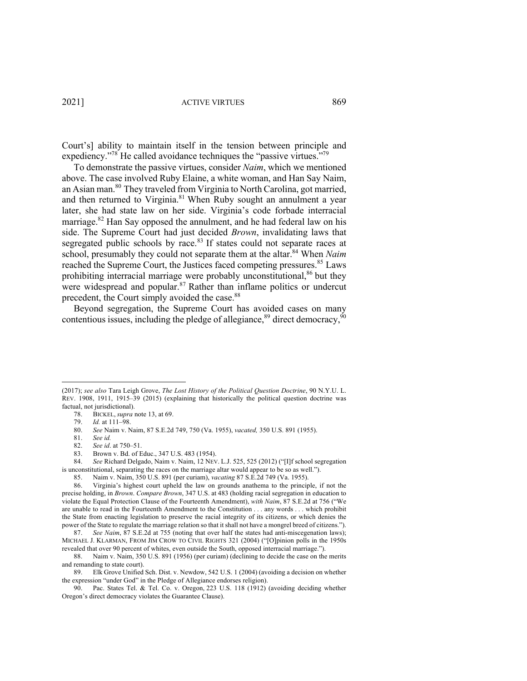2021] ACTIVE VIRTUES 869

Court's] ability to maintain itself in the tension between principle and expediency."<sup>78</sup> He called avoidance techniques the "passive virtues."<sup>79</sup>

To demonstrate the passive virtues, consider *Naim*, which we mentioned above. The case involved Ruby Elaine, a white woman, and Han Say Naim, an Asian man.<sup>80</sup> They traveled from Virginia to North Carolina, got married, and then returned to Virginia.<sup>81</sup> When Ruby sought an annulment a year later, she had state law on her side. Virginia's code forbade interracial marriage.<sup>82</sup> Han Say opposed the annulment, and he had federal law on his side. The Supreme Court had just decided *Brown*, invalidating laws that segregated public schools by race.<sup>83</sup> If states could not separate races at school, presumably they could not separate them at the altar.<sup>84</sup> When *Naim* reached the Supreme Court, the Justices faced competing pressures.<sup>85</sup> Laws prohibiting interracial marriage were probably unconstitutional, $86$  but they were widespread and popular.<sup>87</sup> Rather than inflame politics or undercut precedent, the Court simply avoided the case.<sup>88</sup>

Beyond segregation, the Supreme Court has avoided cases on many contentious issues, including the pledge of allegiance, $89$  direct democracy,  $90$ 

84. *See* Richard Delgado, Naim v. Naim, 12 NEV. L.J. 525, 525 (2012) ("[I]f school segregation is unconstitutional, separating the races on the marriage altar would appear to be so as well."). 85. Naim v. Naim, 350 U.S. 891 (per curiam), *vacating* 87 S.E.2d 749 (Va. 1955).

<sup>(2017);</sup> *see also* Tara Leigh Grove, *The Lost History of the Political Question Doctrine*, 90 N.Y.U. L. REV. 1908, 1911, 1915–39 (2015) (explaining that historically the political question doctrine was factual, not jurisdictional).

<sup>78.</sup> BICKEL, *supra* note 13, at 69.

<sup>79.</sup> *Id.* at 111–98.

<sup>80.</sup> *See* Naim v. Naim, 87 S.E.2d 749, 750 (Va. 1955), *vacated,* 350 U.S. 891 (1955).

<sup>81.</sup> *See id.*

<sup>82.</sup> *See id*. at 750–51.

<sup>83.</sup> Brown v. Bd. of Educ., 347 U.S. 483 (1954).

<sup>86.</sup> Virginia's highest court upheld the law on grounds anathema to the principle, if not the precise holding, in *Brown*. *Compare Brown*, 347 U.S. at 483 (holding racial segregation in education to violate the Equal Protection Clause of the Fourteenth Amendment), *with Naim*, 87 S.E.2d at 756 ("We are unable to read in the Fourteenth Amendment to the Constitution . . . any words . . . which prohibit the State from enacting legislation to preserve the racial integrity of its citizens, or which denies the power of the State to regulate the marriage relation so that it shall not have a mongrel breed of citizens.").

<sup>87.</sup> *See Naim*, 87 S.E.2d at 755 (noting that over half the states had anti-miscegenation laws); MICHAEL J. KLARMAN, FROM JIM CROW TO CIVIL RIGHTS 321 (2004) ("[O]pinion polls in the 1950s revealed that over 90 percent of whites, even outside the South, opposed interracial marriage.").

<sup>88.</sup> Naim v. Naim, 350 U.S. 891 (1956) (per curiam) (declining to decide the case on the merits and remanding to state court).

<sup>89.</sup> Elk Grove Unified Sch. Dist. v. Newdow, 542 U.S. 1 (2004) (avoiding a decision on whether the expression "under God" in the Pledge of Allegiance endorses religion).

<sup>90.</sup> Pac. States Tel. & Tel. Co. v. Oregon, 223 U.S. 118 (1912) (avoiding deciding whether Oregon's direct democracy violates the Guarantee Clause).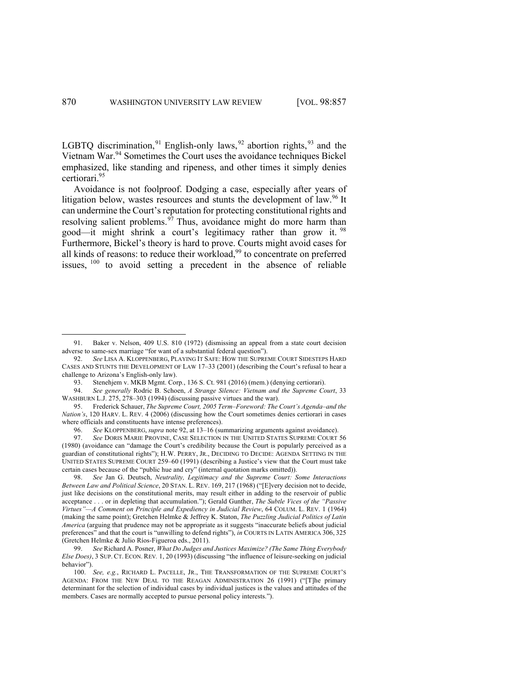LGBTQ discrimination,<sup>91</sup> English-only laws,<sup>92</sup> abortion rights,<sup>93</sup> and the Vietnam War. <sup>94</sup> Sometimes the Court uses the avoidance techniques Bickel emphasized, like standing and ripeness, and other times it simply denies certiorari. 95

Avoidance is not foolproof. Dodging a case, especially after years of litigation below, wastes resources and stunts the development of law.<sup>96</sup> It can undermine the Court's reputation for protecting constitutional rights and resolving salient problems.  $97$  Thus, avoidance might do more harm than good—it might shrink a court's legitimacy rather than grow it. <sup>98</sup> Furthermore, Bickel's theory is hard to prove. Courts might avoid cases for all kinds of reasons: to reduce their workload,<sup>99</sup> to concentrate on preferred issues,  $100$  to avoid setting a precedent in the absence of reliable

<sup>91.</sup> Baker v. Nelson, 409 U.S. 810 (1972) (dismissing an appeal from a state court decision adverse to same-sex marriage "for want of a substantial federal question").

<sup>92.</sup> *See* LISA A. KLOPPENBERG, PLAYING IT SAFE: HOW THE SUPREME COURT SIDESTEPS HARD CASES AND STUNTS THE DEVELOPMENT OF LAW 17–33 (2001) (describing the Court's refusal to hear a challenge to Arizona's English-only law).

<sup>93.</sup> Stenehjem v. MKB Mgmt. Corp*.*, 136 S. Ct. 981 (2016) (mem.) (denying certiorari).

<sup>94.</sup> *See generally* Rodric B. Schoen, *A Strange Silence: Vietnam and the Supreme Court*, 33 WASHBURN L.J. 275, 278–303 (1994) (discussing passive virtues and the war).

<sup>95.</sup> Frederick Schauer, *The Supreme Court, 2005 Term–Foreword: The Court's Agenda–and the Nation's*, 120 HARV. L. REV. 4 (2006) (discussing how the Court sometimes denies certiorari in cases where officials and constituents have intense preferences).

<sup>96.</sup> *See* KLOPPENBERG, *supra* note 92, at 13–16 (summarizing arguments against avoidance).

<sup>97.</sup> *See* DORIS MARIE PROVINE, CASE SELECTION IN THE UNITED STATES SUPREME COURT 56 (1980) (avoidance can "damage the Court's credibility because the Court is popularly perceived as a guardian of constitutional rights"); H.W. PERRY, JR., DECIDING TO DECIDE: AGENDA SETTING IN THE UNITED STATES SUPREME COURT 259–60 (1991) (describing a Justice's view that the Court must take certain cases because of the "public hue and cry" (internal quotation marks omitted)).

<sup>98.</sup> *See* Jan G. Deutsch, *Neutrality, Legitimacy and the Supreme Court: Some Interactions Between Law and Political Science*, 20 STAN. L. REV. 169, 217 (1968) ("[E]very decision not to decide, just like decisions on the constitutional merits, may result either in adding to the reservoir of public acceptance . . . or in depleting that accumulation."); Gerald Gunther, *The Subtle Vices of the "Passive Virtues"—A Comment on Principle and Expediency in Judicial Review*, 64 COLUM. L. REV. 1 (1964) (making the same point); Gretchen Helmke & Jeffrey K. Staton, *The Puzzling Judicial Politics of Latin America* (arguing that prudence may not be appropriate as it suggests "inaccurate beliefs about judicial preferences" and that the court is "unwilling to defend rights"), *in* COURTS IN LATIN AMERICA 306, 325 (Gretchen Helmke & Julio Ríos-Figueroa eds., 2011).

<sup>99.</sup> *See* Richard A. Posner, *What Do Judges and Justices Maximize? (The Same Thing Everybody Else Does)*, 3 SUP. CT. ECON. REV*.* 1, 20 (1993) (discussing "the influence of leisure-seeking on judicial behavior").

<sup>100.</sup> *See, e.g.*, RICHARD L. PACELLE, JR., THE TRANSFORMATION OF THE SUPREME COURT'S AGENDA: FROM THE NEW DEAL TO THE REAGAN ADMINISTRATION 26 (1991) ("[T]he primary determinant for the selection of individual cases by individual justices is the values and attitudes of the members. Cases are normally accepted to pursue personal policy interests.").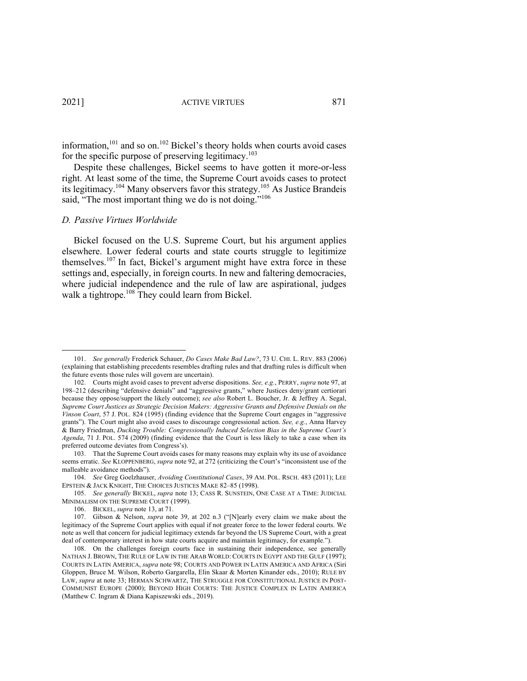information,<sup>101</sup> and so on.<sup>102</sup> Bickel's theory holds when courts avoid cases for the specific purpose of preserving legitimacy.<sup>103</sup>

Despite these challenges, Bickel seems to have gotten it more-or-less right. At least some of the time, the Supreme Court avoids cases to protect its legitimacy.<sup>104</sup> Many observers favor this strategy.<sup>105</sup> As Justice Brandeis said, "The most important thing we do is not doing."<sup>106</sup>

#### *D. Passive Virtues Worldwide*

Bickel focused on the U.S. Supreme Court, but his argument applies elsewhere. Lower federal courts and state courts struggle to legitimize themselves.107 In fact, Bickel's argument might have extra force in these settings and, especially, in foreign courts. In new and faltering democracies, where judicial independence and the rule of law are aspirational, judges walk a tightrope.<sup>108</sup> They could learn from Bickel.

<sup>101.</sup> *See generally* Frederick Schauer, *Do Cases Make Bad Law?*, 73 U. CHI. L. REV. 883 (2006) (explaining that establishing precedents resembles drafting rules and that drafting rules is difficult when the future events those rules will govern are uncertain).

<sup>102.</sup> Courts might avoid cases to prevent adverse dispositions. *See, e.g.*, PERRY, *supra* note 97, at 198–212 (describing "defensive denials" and "aggressive grants," where Justices deny/grant certiorari because they oppose/support the likely outcome); *see also* Robert L. Boucher, Jr. & Jeffrey A. Segal, *Supreme Court Justices as Strategic Decision Makers: Aggressive Grants and Defensive Denials on the Vinson Court*, 57 J. POL. 824 (1995) (finding evidence that the Supreme Court engages in "aggressive grants"). The Court might also avoid cases to discourage congressional action. *See, e.g.*, Anna Harvey & Barry Friedman, *Ducking Trouble: Congressionally Induced Selection Bias in the Supreme Court's Agenda*, 71 J. POL. 574 (2009) (finding evidence that the Court is less likely to take a case when its preferred outcome deviates from Congress's).

<sup>103.</sup> That the Supreme Court avoids cases for many reasons may explain why its use of avoidance seems erratic. *See* KLOPPENBERG, *supra* note 92, at 272 (criticizing the Court's "inconsistent use of the malleable avoidance methods").

<sup>104.</sup> *See* Greg Goelzhauser, *Avoiding Constitutional Cases*, 39 AM. POL. RSCH. 483 (2011); LEE EPSTEIN & JACK KNIGHT, THE CHOICES JUSTICES MAKE 82–85 (1998).

<sup>105.</sup> *See generally* BICKEL, *supra* note 13; CASS R. SUNSTEIN, ONE CASE AT A TIME: JUDICIAL MINIMALISM ON THE SUPREME COURT (1999).

<sup>106.</sup> BICKEL, *supra* note 13, at 71.

<sup>107.</sup> Gibson & Nelson, *supra* note 39, at 202 n.3 ("[N]early every claim we make about the legitimacy of the Supreme Court applies with equal if not greater force to the lower federal courts. We note as well that concern for judicial legitimacy extends far beyond the US Supreme Court, with a great deal of contemporary interest in how state courts acquire and maintain legitimacy, for example.").

<sup>108.</sup> On the challenges foreign courts face in sustaining their independence, see generally NATHAN J. BROWN, THE RULE OF LAW IN THE ARAB WORLD: COURTS IN EGYPT AND THE GULF (1997); COURTS IN LATIN AMERICA, *supra* note 98; COURTS AND POWER IN LATIN AMERICA AND AFRICA (Siri Gloppen, Bruce M. Wilson, Roberto Gargarella, Elin Skaar & Morten Kinander eds., 2010); RULE BY LAW, *supra* at note 33; HERMAN SCHWARTZ, THE STRUGGLE FOR CONSTITUTIONAL JUSTICE IN POST-COMMUNIST EUROPE (2000); BEYOND HIGH COURTS: THE JUSTICE COMPLEX IN LATIN AMERICA (Matthew C. Ingram & Diana Kapiszewski eds., 2019).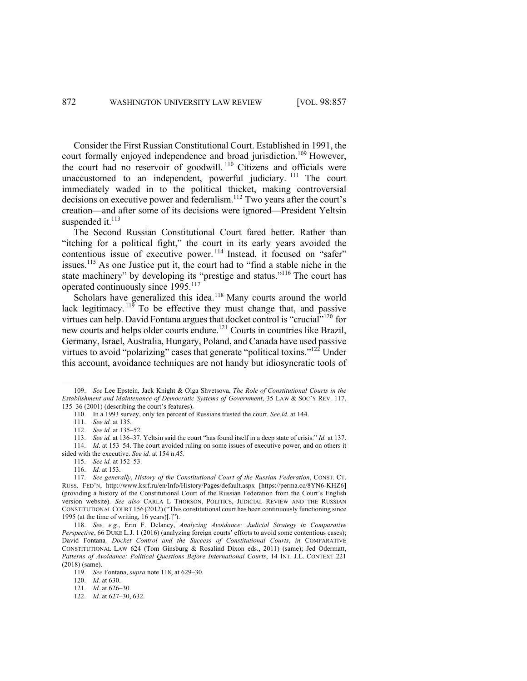Consider the First Russian Constitutional Court. Established in 1991, the court formally enjoyed independence and broad jurisdiction.<sup>109</sup> However, the court had no reservoir of goodwill. <sup>110</sup> Citizens and officials were unaccustomed to an independent, powerful judiciary. <sup>111</sup> The court immediately waded in to the political thicket, making controversial decisions on executive power and federalism.<sup>112</sup> Two years after the court's creation—and after some of its decisions were ignored—President Yeltsin suspended it.<sup>113</sup>

The Second Russian Constitutional Court fared better. Rather than "itching for a political fight," the court in its early years avoided the contentious issue of executive power.<sup>114</sup> Instead, it focused on "safer" issues. <sup>115</sup> As one Justice put it, the court had to "find a stable niche in the state machinery" by developing its "prestige and status."<sup>116</sup> The court has operated continuously since 1995.<sup>117</sup>

Scholars have generalized this idea.<sup>118</sup> Many courts around the world lack legitimacy.<sup>119</sup> To be effective they must change that, and passive virtues can help. David Fontana argues that docket control is "crucial"<sup>120</sup> for new courts and helps older courts endure.121 Courts in countries like Brazil, Germany, Israel, Australia, Hungary, Poland, and Canada have used passive virtues to avoid "polarizing" cases that generate "political toxins."<sup>122</sup> Under this account, avoidance techniques are not handy but idiosyncratic tools of

<sup>109.</sup> *See* Lee Epstein, Jack Knight & Olga Shvetsova, *The Role of Constitutional Courts in the Establishment and Maintenance of Democratic Systems of Government*, 35 LAW & SOC'Y REV. 117, 135–36 (2001) (describing the court's features).

<sup>110.</sup> In a 1993 survey, only ten percent of Russians trusted the court. *See id.* at 144.

<sup>111.</sup> *See id.* at 135.

<sup>112.</sup> *See id.* at 135–52.

<sup>113.</sup> *See id.* at 136–37. Yeltsin said the court "has found itself in a deep state of crisis." *Id.* at 137. 114. *Id*. at 153–54. The court avoided ruling on some issues of executive power, and on others it

sided with the executive. *See id.* at 154 n.45.

<sup>115.</sup> *See id.* at 152–53.

<sup>116.</sup> *Id.* at 153.

<sup>117.</sup> *See generally*, *History of the Constitutional Court of the Russian Federation*, CONST. CT. RUSS. FED'N, http://www.ksrf.ru/en/Info/History/Pages/default.aspx [https://perma.cc/8YN6-KHZ6] (providing a history of the Constitutional Court of the Russian Federation from the Court's English version website). *See also* CARLA L THORSON, POLITICS, JUDICIAL REVIEW AND THE RUSSIAN CONSTITUTIONAL COURT 156 (2012)("This constitutional court has been continuously functioning since 1995 (at the time of writing, 16 years)[.]").

<sup>118.</sup> *See, e.g.*, Erin F. Delaney, *Analyzing Avoidance: Judicial Strategy in Comparative Perspective*, 66 DUKE L.J. 1 (2016) (analyzing foreign courts' efforts to avoid some contentious cases); David Fontana*, Docket Control and the Success of Constitutional Courts*, *in* COMPARATIVE CONSTITUTIONAL LAW 624 (Tom Ginsburg & Rosalind Dixon eds., 2011) (same); Jed Odermatt, *Patterns of Avoidance: Political Questions Before International Courts*, 14 INT. J.L. CONTEXT 221 (2018) (same).

<sup>119.</sup> *See* Fontana, *supra* note 118, at 629–30.

<sup>120.</sup> *Id.* at 630.

<sup>121.</sup> *Id.* at 626–30.

<sup>122.</sup> *Id.* at 627–30, 632.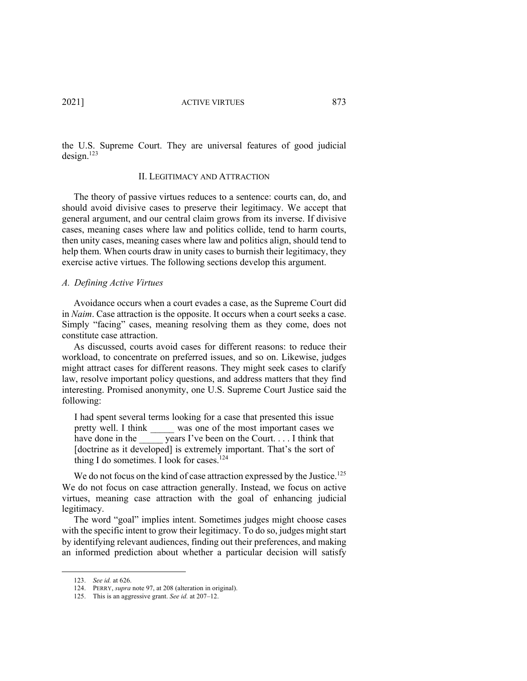the U.S. Supreme Court. They are universal features of good judicial  $design.<sup>123</sup>$ 

#### II. LEGITIMACY AND ATTRACTION

The theory of passive virtues reduces to a sentence: courts can, do, and should avoid divisive cases to preserve their legitimacy. We accept that general argument, and our central claim grows from its inverse. If divisive cases, meaning cases where law and politics collide, tend to harm courts, then unity cases, meaning cases where law and politics align, should tend to help them. When courts draw in unity cases to burnish their legitimacy, they exercise active virtues. The following sections develop this argument.

# *A. Defining Active Virtues*

Avoidance occurs when a court evades a case, as the Supreme Court did in *Naim*. Case attraction is the opposite. It occurs when a court seeks a case. Simply "facing" cases, meaning resolving them as they come, does not constitute case attraction.

As discussed, courts avoid cases for different reasons: to reduce their workload, to concentrate on preferred issues, and so on. Likewise, judges might attract cases for different reasons. They might seek cases to clarify law, resolve important policy questions, and address matters that they find interesting. Promised anonymity, one U.S. Supreme Court Justice said the following:

I had spent several terms looking for a case that presented this issue pretty well. I think was one of the most important cases we have done in the \_\_\_\_\_\_ years I've been on the Court. . . . I think that [doctrine as it developed] is extremely important. That's the sort of thing I do sometimes. I look for cases.<sup>124</sup>

We do not focus on the kind of case attraction expressed by the Justice.<sup>125</sup> We do not focus on case attraction generally. Instead, we focus on active virtues, meaning case attraction with the goal of enhancing judicial legitimacy.

The word "goal" implies intent. Sometimes judges might choose cases with the specific intent to grow their legitimacy. To do so, judges might start by identifying relevant audiences, finding out their preferences, and making an informed prediction about whether a particular decision will satisfy

<sup>123.</sup> *See id.* at 626.

<sup>124.</sup> PERRY, *supra* note 97, at 208 (alteration in original).

<sup>125.</sup> This is an aggressive grant. *See id.* at 207–12.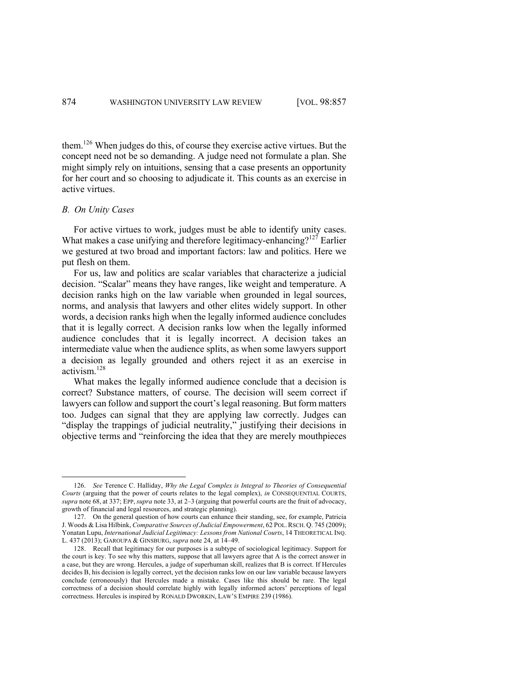them. <sup>126</sup> When judges do this, of course they exercise active virtues. But the concept need not be so demanding. A judge need not formulate a plan. She might simply rely on intuitions, sensing that a case presents an opportunity for her court and so choosing to adjudicate it. This counts as an exercise in active virtues.

### *B. On Unity Cases*

For active virtues to work, judges must be able to identify unity cases. What makes a case unifying and therefore legitimacy-enhancing?<sup>127</sup> Earlier we gestured at two broad and important factors: law and politics. Here we put flesh on them.

For us, law and politics are scalar variables that characterize a judicial decision. "Scalar" means they have ranges, like weight and temperature. A decision ranks high on the law variable when grounded in legal sources, norms, and analysis that lawyers and other elites widely support. In other words, a decision ranks high when the legally informed audience concludes that it is legally correct. A decision ranks low when the legally informed audience concludes that it is legally incorrect. A decision takes an intermediate value when the audience splits, as when some lawyers support a decision as legally grounded and others reject it as an exercise in activism. 128

What makes the legally informed audience conclude that a decision is correct? Substance matters, of course. The decision will seem correct if lawyers can follow and support the court's legal reasoning. But form matters too. Judges can signal that they are applying law correctly. Judges can "display the trappings of judicial neutrality," justifying their decisions in objective terms and "reinforcing the idea that they are merely mouthpieces

<sup>126.</sup> *See* Terence C. Halliday, *Why the Legal Complex is Integral to Theories of Consequential Courts* (arguing that the power of courts relates to the legal complex), *in* CONSEQUENTIAL COURTS, *supra* note 68, at 337; EPP, *supra* note 33, at 2–3 (arguing that powerful courts are the fruit of advocacy, growth of financial and legal resources, and strategic planning).

<sup>127.</sup> On the general question of how courts can enhance their standing, see, for example, Patricia J. Woods & Lisa Hilbink, *Comparative Sources of Judicial Empowerment*, 62 POL.RSCH. Q. 745 (2009); Yonatan Lupu, *International Judicial Legitimacy: Lessons from National Courts*, 14 THEORETICAL INQ. L. 437 (2013); GAROUPA & GINSBURG, *supra* note 24, at 14–49.

<sup>128.</sup> Recall that legitimacy for our purposes is a subtype of sociological legitimacy. Support for the court is key. To see why this matters, suppose that all lawyers agree that A is the correct answer in a case, but they are wrong. Hercules, a judge of superhuman skill, realizes that B is correct. If Hercules decides B, his decision is legally correct, yet the decision ranks low on our law variable because lawyers conclude (erroneously) that Hercules made a mistake. Cases like this should be rare. The legal correctness of a decision should correlate highly with legally informed actors' perceptions of legal correctness. Hercules is inspired by RONALD DWORKIN, LAW'S EMPIRE 239 (1986).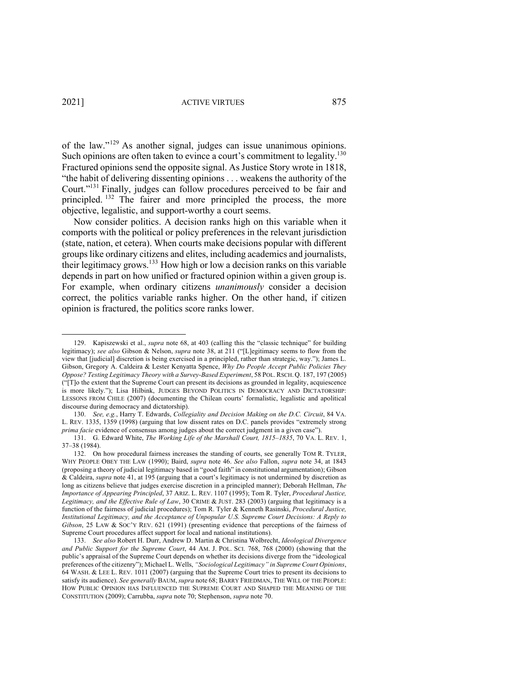of the law."<sup>129</sup> As another signal, judges can issue unanimous opinions. Such opinions are often taken to evince a court's commitment to legality.<sup>130</sup> Fractured opinions send the opposite signal. As Justice Story wrote in 1818, "the habit of delivering dissenting opinions . . . weakens the authority of the Court."131 Finally, judges can follow procedures perceived to be fair and principled. <sup>132</sup> The fairer and more principled the process, the more objective, legalistic, and support-worthy a court seems.

Now consider politics. A decision ranks high on this variable when it comports with the political or policy preferences in the relevant jurisdiction (state, nation, et cetera). When courts make decisions popular with different groups like ordinary citizens and elites, including academics and journalists, their legitimacy grows.<sup>133</sup> How high or low a decision ranks on this variable depends in part on how unified or fractured opinion within a given group is. For example, when ordinary citizens *unanimously* consider a decision correct, the politics variable ranks higher. On the other hand, if citizen opinion is fractured, the politics score ranks lower.

<sup>129.</sup> Kapiszewski et al., *supra* note 68, at 403 (calling this the "classic technique" for building legitimacy); *see also* Gibson & Nelson, *supra* note 38, at 211 ("[L]egitimacy seems to flow from the view that [judicial] discretion is being exercised in a principled, rather than strategic, way."); James L. Gibson, Gregory A. Caldeira & Lester Kenyatta Spence, *Why Do People Accept Public Policies They Oppose? Testing Legitimacy Theory with a Survey-Based Experiment*, 58 POL.RSCH. Q. 187, 197 (2005) ("[T]o the extent that the Supreme Court can present its decisions as grounded in legality, acquiescence is more likely."); Lisa Hilbink, JUDGES BEYOND POLITICS IN DEMOCRACY AND DICTATORSHIP: LESSONS FROM CHILE (2007) (documenting the Chilean courts' formalistic, legalistic and apolitical discourse during democracy and dictatorship).

<sup>130.</sup> *See, e.g.*, Harry T. Edwards, *Collegiality and Decision Making on the D.C. Circuit*, 84 VA. L. REV. 1335, 1359 (1998) (arguing that low dissent rates on D.C. panels provides "extremely strong *prima facie* evidence of consensus among judges about the correct judgment in a given case").

<sup>131.</sup> G. Edward White, *The Working Life of the Marshall Court, 1815–1835*, 70 VA. L. REV. 1, 37–38 (1984).

<sup>132.</sup> On how procedural fairness increases the standing of courts, see generally TOM R. TYLER, WHY PEOPLE OBEY THE LAW (1990); Baird, *supra* note 46. *See also* Fallon, *supra* note 34, at 1843 (proposing a theory of judicial legitimacy based in "good faith" in constitutional argumentation); Gibson & Caldeira, *supra* note 41, at 195 (arguing that a court's legitimacy is not undermined by discretion as long as citizens believe that judges exercise discretion in a principled manner); Deborah Hellman, *The Importance of Appearing Principled*, 37 ARIZ. L. REV. 1107 (1995); Tom R. Tyler, *Procedural Justice, Legitimacy, and the Effective Rule of Law*, 30 CRIME & JUST. 283 (2003) (arguing that legitimacy is a function of the fairness of judicial procedures); Tom R. Tyler & Kenneth Rasinski, *Procedural Justice, Institutional Legitimacy, and the Acceptance of Unpopular U.S. Supreme Court Decisions: A Reply to Gibson*, 25 LAW & SOC'Y REV. 621 (1991) (presenting evidence that perceptions of the fairness of Supreme Court procedures affect support for local and national institutions).

<sup>133.</sup> *See also* Robert H. Durr, Andrew D. Martin & Christina Wolbrecht, *Ideological Divergence and Public Support for the Supreme Court*, 44 AM. J. POL. SCI. 768, 768 (2000) (showing that the public's appraisal of the Supreme Court depends on whether its decisions diverge from the "ideological preferences of the citizenry"); Michael L. Wells, *"Sociological Legitimacy" in Supreme Court Opinions*, 64 WASH. & LEE L. REV. 1011 (2007) (arguing that the Supreme Court tries to present its decisions to satisfy its audience). *See generally* BAUM,*supra* note 68; BARRY FRIEDMAN, THE WILL OF THE PEOPLE: HOW PUBLIC OPINION HAS INFLUENCED THE SUPREME COURT AND SHAPED THE MEANING OF THE CONSTITUTION (2009); Carrubba, *supra* note 70; Stephenson, *supra* note 70.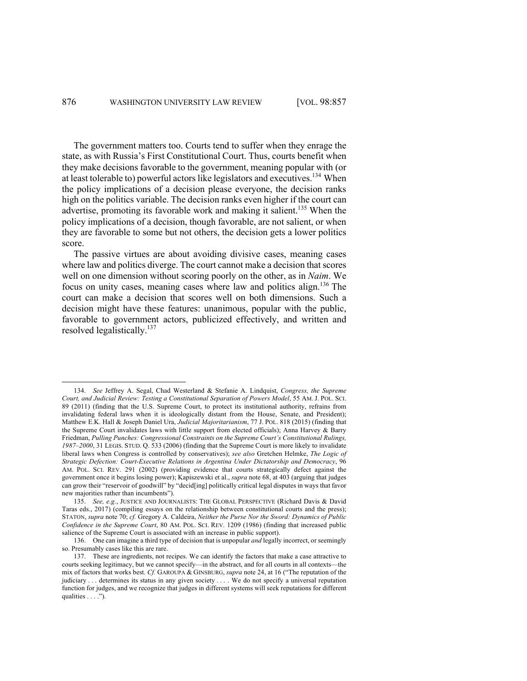The government matters too. Courts tend to suffer when they enrage the state, as with Russia's First Constitutional Court. Thus, courts benefit when they make decisions favorable to the government, meaning popular with (or at least tolerable to) powerful actors like legislators and executives.134 When the policy implications of a decision please everyone, the decision ranks high on the politics variable. The decision ranks even higher if the court can advertise, promoting its favorable work and making it salient.<sup>135</sup> When the policy implications of a decision, though favorable, are not salient, or when they are favorable to some but not others, the decision gets a lower politics score.

The passive virtues are about avoiding divisive cases, meaning cases where law and politics diverge. The court cannot make a decision that scores well on one dimension without scoring poorly on the other, as in *Naim*. We focus on unity cases, meaning cases where law and politics align.136 The court can make a decision that scores well on both dimensions. Such a decision might have these features: unanimous, popular with the public, favorable to government actors, publicized effectively, and written and resolved legalistically.<sup>137</sup>

<sup>134.</sup> *See* Jeffrey A. Segal, Chad Westerland & Stefanie A. Lindquist, *Congress, the Supreme Court, and Judicial Review: Testing a Constitutional Separation of Powers Model*, 55 AM. J. POL. SCI. 89 (2011) (finding that the U.S. Supreme Court, to protect its institutional authority, refrains from invalidating federal laws when it is ideologically distant from the House, Senate, and President); Matthew E.K. Hall & Joseph Daniel Ura, *Judicial Majoritarianism*, 77 J. POL. 818 (2015) (finding that the Supreme Court invalidates laws with little support from elected officials); Anna Harvey & Barry Friedman, *Pulling Punches: Congressional Constraints on the Supreme Court's Constitutional Rulings, 1987–2000*, 31 LEGIS. STUD. Q. 533 (2006) (finding that the Supreme Court is more likely to invalidate liberal laws when Congress is controlled by conservatives); *see also* Gretchen Helmke, *The Logic of Strategic Defection: Court-Executive Relations in Argentina Under Dictatorship and Democracy*, 96 AM. POL. SCI. REV. 291 (2002) (providing evidence that courts strategically defect against the government once it begins losing power); Kapiszewski et al., *supra* note 68, at 403 (arguing that judges can grow their "reservoir of goodwill" by "decid[ing] politically critical legal disputes in ways that favor new majorities rather than incumbents").

<sup>135.</sup> *See, e.g.*, JUSTICE AND JOURNALISTS: THE GLOBAL PERSPECTIVE (Richard Davis & David Taras eds., 2017) (compiling essays on the relationship between constitutional courts and the press); STATON, *supra* note 70; *cf.* Gregory A. Caldeira, *Neither the Purse Nor the Sword: Dynamics of Public Confidence in the Supreme Court*, 80 AM. POL. SCI. REV. 1209 (1986) (finding that increased public salience of the Supreme Court is associated with an increase in public support).

<sup>136.</sup> One can imagine a third type of decision that is unpopular *and* legally incorrect, or seemingly so. Presumably cases like this are rare.

<sup>137.</sup> These are ingredients, not recipes. We can identify the factors that make a case attractive to courts seeking legitimacy, but we cannot specify—in the abstract, and for all courts in all contexts—the mix of factors that works best. *Cf.* GAROUPA & GINSBURG, *supra* note 24, at 16 ("The reputation of the judiciary . . . determines its status in any given society . . . . We do not specify a universal reputation function for judges, and we recognize that judges in different systems will seek reputations for different qualities . . . .").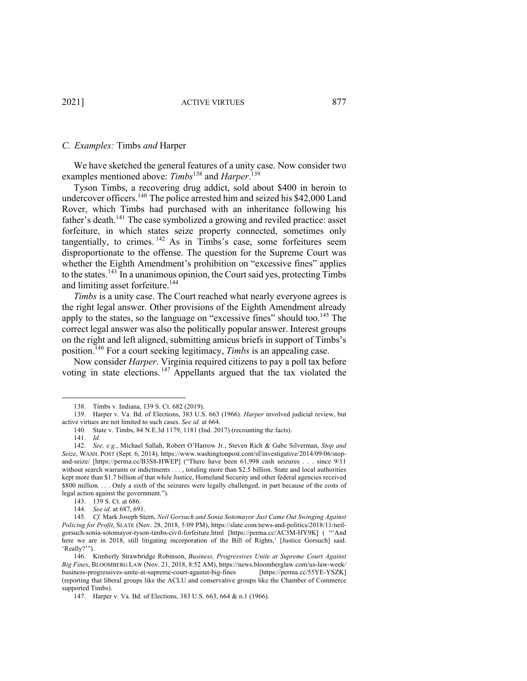#### *C. Examples:* Timbs *and* Harper

We have sketched the general features of a unity case. Now consider two examples mentioned above: *Timbs*<sup>138</sup> and *Harper*. 139

Tyson Timbs, a recovering drug addict, sold about \$400 in heroin to undercover officers.<sup>140</sup> The police arrested him and seized his \$42,000 Land Rover, which Timbs had purchased with an inheritance following his father's death.<sup>141</sup> The case symbolized a growing and reviled practice: asset forfeiture, in which states seize property connected, sometimes only tangentially, to crimes.  $142$  As in Timbs's case, some forfeitures seem disproportionate to the offense. The question for the Supreme Court was whether the Eighth Amendment's prohibition on "excessive fines" applies to the states.<sup>143</sup> In a unanimous opinion, the Court said yes, protecting Timbs and limiting asset forfeiture.<sup>144</sup>

*Timbs* is a unity case. The Court reached what nearly everyone agrees is the right legal answer. Other provisions of the Eighth Amendment already apply to the states, so the language on "excessive fines" should too.<sup>145</sup> The correct legal answer was also the politically popular answer. Interest groups on the right and left aligned, submitting amicus briefs in support of Timbs's position.146 For a court seeking legitimacy, *Timbs* is an appealing case.

Now consider *Harper*. Virginia required citizens to pay a poll tax before voting in state elections. <sup>147</sup> Appellants argued that the tax violated the

<sup>138.</sup> Timbs v. Indiana, 139 S. Ct. 682 (2019).

<sup>139.</sup> Harper v. Va. Bd. of Elections, 383 U.S. 663 (1966). *Harper* involved judicial review, but active virtues are not limited to such cases. *See id.* at 664.

<sup>140.</sup> State v. Timbs, 84 N.E.3d 1179, 1181 (Ind. 2017) (recounting the facts).

<sup>141.</sup> *Id.* 

<sup>142.</sup> *See, e.g.*, Michael Sallah, Robert O'Harrow Jr., Steven Rich & Gabe Silverman, *Stop and Seize*, WASH. POST (Sept. 6, 2014), https://www.washingtonpost.com/sf/investigative/2014/09/06/stopand-seize/ [https://perma.cc/B3S8-HWEP] ("There have been 61,998 cash seizures . . . since 9/11 without search warrants or indictments . . . , totaling more than \$2.5 billion. State and local authorities kept more than \$1.7 billion of that while Justice, Homeland Security and other federal agencies received \$800 million. . . . Only a sixth of the seizures were legally challenged, in part because of the costs of legal action against the government.").

<sup>143.</sup> 139 S. Ct. at 686.

<sup>144.</sup> *See id.* at 687, 691.

<sup>145.</sup> *Cf.* Mark Joseph Stern, *Neil Gorsuch and Sonia Sotomayor Just Came Out Swinging Against Policing for Profit*, SLATE (Nov. 28, 2018, 5:09 PM), https://slate.com/news-and-politics/2018/11/neilgorsuch-sonia-sotomayor-tyson-timbs-civil-forfeiture.html [https://perma.cc/AC3M-HY9K] ( "'And here we are in 2018, still litigating incorporation of the Bill of Rights,' [Justice Gorsuch] said. 'Really?'").

<sup>146.</sup> Kimberly Strawbridge Robinson, *Business, Progressives Unite at Supreme Court Against Big Fines*, BLOOMBERG LAW (Nov. 21, 2018, 8:52 AM), https://news.bloomberglaw.com/us-law-week/ business-progressives-unite-at-supreme-court-against-big-fines [https://perma.cc/55YE-YSZK] (reporting that liberal groups like the ACLU and conservative groups like the Chamber of Commerce supported Timbs).

<sup>147.</sup> Harper v. Va. Bd. of Elections, 383 U.S. 663, 664 & n.1 (1966).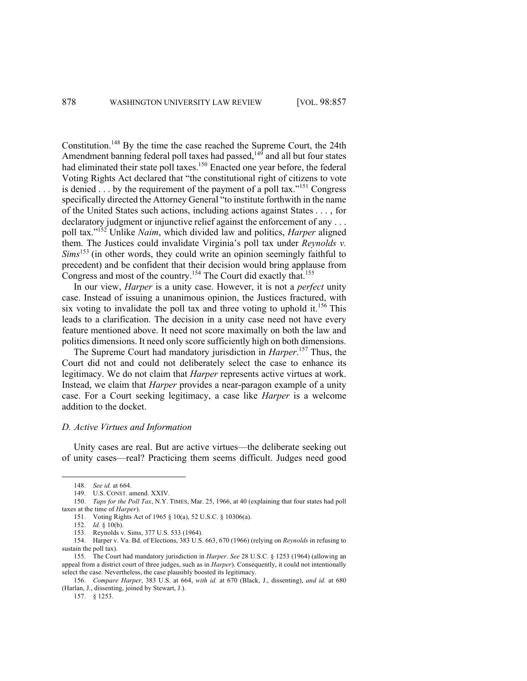Constitution.148 By the time the case reached the Supreme Court, the 24th Amendment banning federal poll taxes had passed, $149$  and all but four states had eliminated their state poll taxes.<sup>150</sup> Enacted one year before, the federal Voting Rights Act declared that "the constitutional right of citizens to vote is denied . . . by the requirement of the payment of a poll tax."151 Congress specifically directed the Attorney General "to institute forthwith in the name of the United States such actions, including actions against States . . . , for declaratory judgment or injunctive relief against the enforcement of any ... poll tax."152 Unlike *Naim*, which divided law and politics, *Harper* aligned them. The Justices could invalidate Virginia's poll tax under *Reynolds v. Sims*<sup>153</sup> (in other words, they could write an opinion seemingly faithful to precedent) and be confident that their decision would bring applause from Congress and most of the country.<sup>154</sup> The Court did exactly that.<sup>155</sup>

In our view, *Harper* is a unity case. However, it is not a *perfect* unity case. Instead of issuing a unanimous opinion, the Justices fractured, with six voting to invalidate the poll tax and three voting to uphold it.<sup>156</sup> This leads to a clarification. The decision in a unity case need not have every feature mentioned above. It need not score maximally on both the law and politics dimensions. It need only score sufficiently high on both dimensions.

The Supreme Court had mandatory jurisdiction in *Harper*. <sup>157</sup> Thus, the Court did not and could not deliberately select the case to enhance its legitimacy. We do not claim that *Harper* represents active virtues at work. Instead, we claim that *Harper* provides a near-paragon example of a unity case. For a Court seeking legitimacy, a case like *Harper* is a welcome addition to the docket.

# *D. Active Virtues and Information*

Unity cases are real. But are active virtues—the deliberate seeking out of unity cases—real? Practicing them seems difficult. Judges need good

157. § 1253.

<sup>148.</sup> *See id.* at 664.

<sup>149.</sup> U.S. CONST. amend. XXIV.

<sup>150.</sup> *Taps for the Poll Tax*, N.Y. TIMES, Mar. 25, 1966, at 40 (explaining that four states had poll taxes at the time of *Harper*).

<sup>151.</sup> Voting Rights Act of 1965 § 10(a), 52 U.S.C. § 10306(a).

<sup>152.</sup> *Id.* § 10(b).

<sup>153.</sup> Reynolds v. Sims, 377 U.S. 533 (1964).

<sup>154.</sup> Harper v. Va. Bd. of Elections, 383 U.S. 663, 670 (1966) (relying on *Reynolds* in refusing to sustain the poll tax).

<sup>155.</sup> The Court had mandatory jurisdiction in *Harper*. *See* 28 U.S.C. § 1253 (1964) (allowing an appeal from a district court of three judges, such as in *Harper*). Consequently, it could not intentionally select the case. Nevertheless, the case plausibly boosted its legitimacy.

<sup>156.</sup> *Compare Harper*, 383 U.S. at 664, *with id.* at 670 (Black, J., dissenting), *and id.* at 680 (Harlan, J., dissenting, joined by Stewart, J.).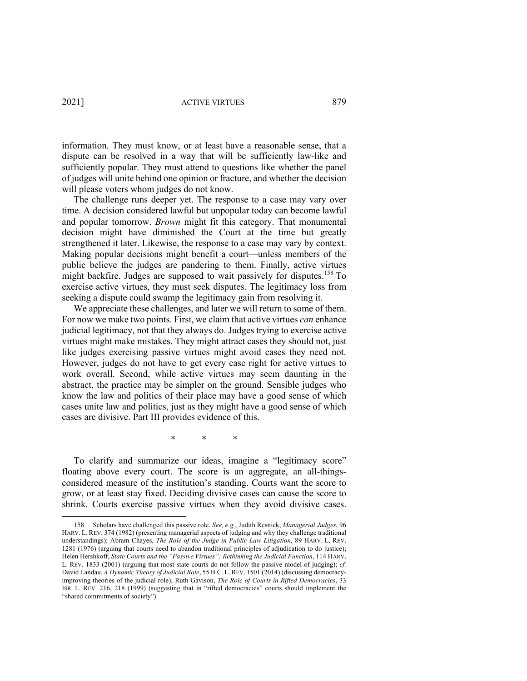information. They must know, or at least have a reasonable sense, that a dispute can be resolved in a way that will be sufficiently law-like and sufficiently popular. They must attend to questions like whether the panel of judges will unite behind one opinion or fracture, and whether the decision will please voters whom judges do not know.

The challenge runs deeper yet. The response to a case may vary over time. A decision considered lawful but unpopular today can become lawful and popular tomorrow. *Brown* might fit this category. That monumental decision might have diminished the Court at the time but greatly strengthened it later. Likewise, the response to a case may vary by context. Making popular decisions might benefit a court—unless members of the public believe the judges are pandering to them. Finally, active virtues might backfire. Judges are supposed to wait passively for disputes.<sup>158</sup> To exercise active virtues, they must seek disputes. The legitimacy loss from seeking a dispute could swamp the legitimacy gain from resolving it.

We appreciate these challenges, and later we will return to some of them. For now we make two points. First, we claim that active virtues *can* enhance judicial legitimacy, not that they always do. Judges trying to exercise active virtues might make mistakes. They might attract cases they should not, just like judges exercising passive virtues might avoid cases they need not. However, judges do not have to get every case right for active virtues to work overall. Second, while active virtues may seem daunting in the abstract, the practice may be simpler on the ground. Sensible judges who know the law and politics of their place may have a good sense of which cases unite law and politics, just as they might have a good sense of which cases are divisive. Part III provides evidence of this.

\* \* \*

To clarify and summarize our ideas, imagine a "legitimacy score" floating above every court. The score is an aggregate, an all-thingsconsidered measure of the institution's standing. Courts want the score to grow, or at least stay fixed. Deciding divisive cases can cause the score to shrink. Courts exercise passive virtues when they avoid divisive cases.

<sup>158.</sup> Scholars have challenged this passive role. *See, e.g.*, Judith Resnick, *Managerial Judges*, 96 HARV. L. REV. 374 (1982) (presenting managerial aspects of judging and why they challenge traditional understandings); Abram Chayes, *The Role of the Judge in Public Law Litigation*, 89 HARV. L. REV. 1281 (1976) (arguing that courts need to abandon traditional principles of adjudication to do justice); Helen Hershkoff, *State Courts and the "Passive Virtues": Rethinking the Judicial Function*, 114 HARV. L. REV. 1833 (2001) (arguing that most state courts do not follow the passive model of judging); *cf.* David Landau, *A Dynamic Theory of Judicial Role*, 55 B.C. L.REV. 1501 (2014) (discussing democracyimproving theories of the judicial role); Ruth Gavison, *The Role of Courts in Rifted Democracies*, 33 ISR. L. REV. 216, 218 (1999) (suggesting that in "rifted democracies" courts should implement the "shared commitments of society").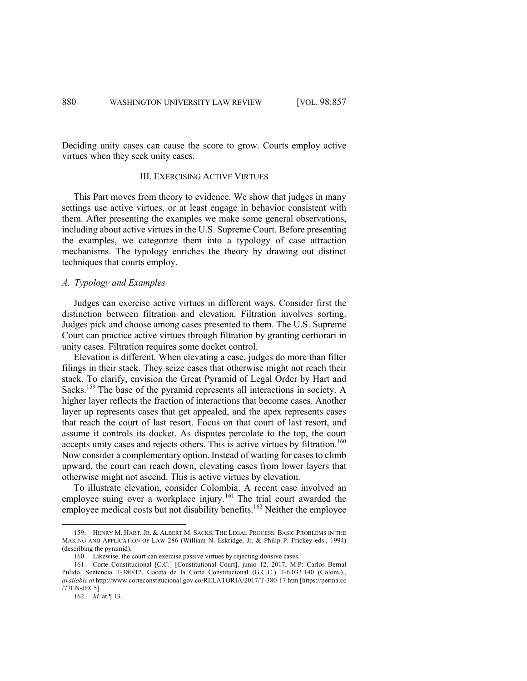Deciding unity cases can cause the score to grow. Courts employ active virtues when they seek unity cases.

# III. EXERCISING ACTIVE VIRTUES

This Part moves from theory to evidence. We show that judges in many settings use active virtues, or at least engage in behavior consistent with them. After presenting the examples we make some general observations, including about active virtues in the U.S. Supreme Court. Before presenting the examples, we categorize them into a typology of case attraction mechanisms. The typology enriches the theory by drawing out distinct techniques that courts employ.

# *A. Typology and Examples*

Judges can exercise active virtues in different ways. Consider first the distinction between filtration and elevation. Filtration involves sorting. Judges pick and choose among cases presented to them. The U.S. Supreme Court can practice active virtues through filtration by granting certiorari in unity cases. Filtration requires some docket control.

Elevation is different. When elevating a case, judges do more than filter filings in their stack. They seize cases that otherwise might not reach their stack. To clarify, envision the Great Pyramid of Legal Order by Hart and Sacks.<sup>159</sup> The base of the pyramid represents all interactions in society. A higher layer reflects the fraction of interactions that become cases. Another layer up represents cases that get appealed, and the apex represents cases that reach the court of last resort. Focus on that court of last resort, and assume it controls its docket. As disputes percolate to the top, the court accepts unity cases and rejects others. This is active virtues by filtration.<sup>160</sup> Now consider a complementary option. Instead of waiting for cases to climb upward, the court can reach down, elevating cases from lower layers that otherwise might not ascend. This is active virtues by elevation.

To illustrate elevation, consider Colombia. A recent case involved an employee suing over a workplace injury.<sup>161</sup> The trial court awarded the employee medical costs but not disability benefits.<sup>162</sup> Neither the employee

<sup>159.</sup> HENRY M. HART, JR. & ALBERT M. SACKS, THE LEGAL PROCESS: BASIC PROBLEMS IN THE MAKING AND APPLICATION OF LAW 286 (William N. Eskridge, Jr. & Philip P. Frickey eds., 1994) (describing the pyramid).

<sup>160.</sup> Likewise, the court can exercise passive virtues by rejecting divisive cases.

<sup>161.</sup> Corte Constitucional [C.C.] [Constitutional Court], junio 12, 2017, M.P: Carlos Bernal Pulido, Sentencia T-380/17, Gaceta de la Corte Constitucional (G.C.C.) T-6.033.140 (Colom.)., *available at* http://www.corteconstitucional.gov.co/RELATORIA/2017/T-380-17.htm [https://perma.cc /77LN-JEC5].

<sup>162.</sup> *Id.* at ¶ 13.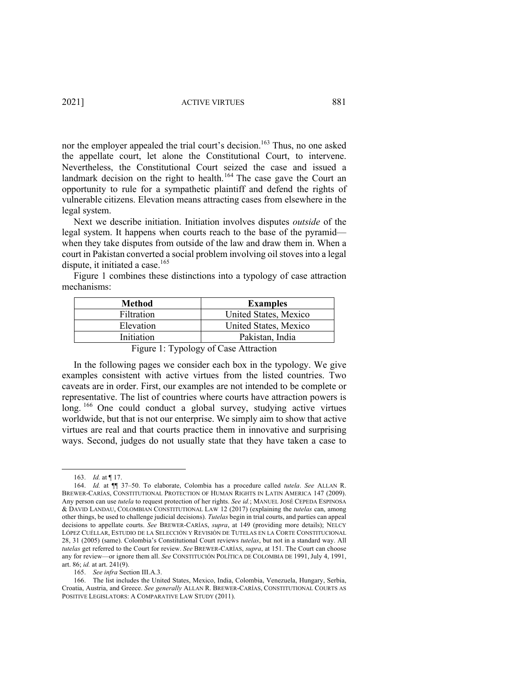nor the employer appealed the trial court's decision.<sup>163</sup> Thus, no one asked the appellate court, let alone the Constitutional Court, to intervene. Nevertheless, the Constitutional Court seized the case and issued a landmark decision on the right to health.<sup>164</sup> The case gave the Court an opportunity to rule for a sympathetic plaintiff and defend the rights of vulnerable citizens. Elevation means attracting cases from elsewhere in the legal system.

Next we describe initiation. Initiation involves disputes *outside* of the legal system. It happens when courts reach to the base of the pyramid when they take disputes from outside of the law and draw them in. When a court in Pakistan converted a social problem involving oil stoves into a legal dispute, it initiated a case. 165

Figure 1 combines these distinctions into a typology of case attraction mechanisms:

| Method            | <b>Examples</b>       |
|-------------------|-----------------------|
| <b>Filtration</b> | United States, Mexico |
| Elevation         | United States, Mexico |
| Initiation        | Pakistan, India       |
|                   |                       |

Figure 1: Typology of Case Attraction

In the following pages we consider each box in the typology. We give examples consistent with active virtues from the listed countries. Two caveats are in order. First, our examples are not intended to be complete or representative. The list of countries where courts have attraction powers is long. <sup>166</sup> One could conduct a global survey, studying active virtues worldwide, but that is not our enterprise. We simply aim to show that active virtues are real and that courts practice them in innovative and surprising ways. Second, judges do not usually state that they have taken a case to

<sup>163.</sup> *Id.* at ¶ 17.

<sup>164.</sup> *Id.* at ¶¶ 37–50. To elaborate, Colombia has a procedure called *tutela*. *See* ALLAN R. BREWER-CARÍAS, CONSTITUTIONAL PROTECTION OF HUMAN RIGHTS IN LATIN AMERICA 147 (2009). Any person can use *tutela* to request protection of her rights. *See id.*; MANUEL JOSÉ CEPEDA ESPINOSA & DAVID LANDAU, COLOMBIAN CONSTITUTIONAL LAW 12 (2017) (explaining the *tutelas* can, among other things, be used to challenge judicial decisions). *Tutelas* begin in trial courts, and parties can appeal decisions to appellate courts. *See* BREWER-CARÍAS, *supra*, at 149 (providing more details); NELCY LÓPEZ CUÉLLAR, ESTUDIO DE LA SELECCIÓN Y REVISIÓN DE TUTELAS EN LA CORTE CONSTITUCIONAL 28, 31 (2005) (same). Colombia's Constitutional Court reviews *tutelas*, but not in a standard way. All *tutelas* get referred to the Court for review. *See* BREWER-CARÍAS, *supra*, at 151. The Court can choose any for review—or ignore them all. *See* CONSTITUCIÓN POLÍTICA DE COLOMBIA DE 1991, July 4, 1991, art. 86; *id.* at art. 241(9).

<sup>165.</sup> *See infra* Section III.A.3.

<sup>166.</sup> The list includes the United States, Mexico, India, Colombia, Venezuela, Hungary, Serbia, Croatia, Austria, and Greece. *See generally* ALLAN R. BREWER-CARÍAS, CONSTITUTIONAL COURTS AS POSITIVE LEGISLATORS: A COMPARATIVE LAW STUDY (2011).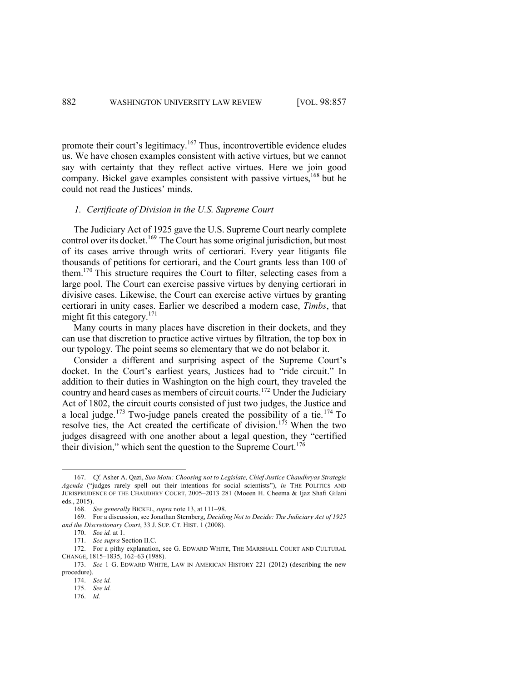promote their court's legitimacy.<sup>167</sup> Thus, incontrovertible evidence eludes us. We have chosen examples consistent with active virtues, but we cannot say with certainty that they reflect active virtues. Here we join good company. Bickel gave examples consistent with passive virtues,  $168$  but he could not read the Justices' minds.

### *1. Certificate of Division in the U.S. Supreme Court*

The Judiciary Act of 1925 gave the U.S. Supreme Court nearly complete control over its docket.<sup>169</sup> The Court has some original jurisdiction, but most of its cases arrive through writs of certiorari. Every year litigants file thousands of petitions for certiorari, and the Court grants less than 100 of them.<sup>170</sup> This structure requires the Court to filter, selecting cases from a large pool. The Court can exercise passive virtues by denying certiorari in divisive cases. Likewise, the Court can exercise active virtues by granting certiorari in unity cases. Earlier we described a modern case, *Timbs*, that might fit this category. $171$ 

Many courts in many places have discretion in their dockets, and they can use that discretion to practice active virtues by filtration, the top box in our typology. The point seems so elementary that we do not belabor it.

Consider a different and surprising aspect of the Supreme Court's docket. In the Court's earliest years, Justices had to "ride circuit." In addition to their duties in Washington on the high court, they traveled the country and heard cases as members of circuit courts.<sup>172</sup> Under the Judiciary Act of 1802, the circuit courts consisted of just two judges, the Justice and a local judge.<sup>173</sup> Two-judge panels created the possibility of a tie.<sup>174</sup> To resolve ties, the Act created the certificate of division.<sup>175</sup> When the two judges disagreed with one another about a legal question, they "certified their division," which sent the question to the Supreme Court.<sup>176</sup>

<sup>167.</sup> *Cf.* Asher A. Qazi, *Suo Motu: Choosing not to Legislate, Chief Justice Chaudhryas Strategic Agenda* ("judges rarely spell out their intentions for social scientists"), *in* THE POLITICS AND JURISPRUDENCE OF THE CHAUDHRY COURT, 2005–2013 281 (Moeen H. Cheema & Ijaz Shafi Gilani eds., 2015).

<sup>168.</sup> *See generally* BICKEL, *supra* note 13, at 111–98.

<sup>169.</sup> For a discussion, see Jonathan Sternberg, *Deciding Not to Decide: The Judiciary Act of 1925 and the Discretionary Court*, 33 J. SUP. CT. HIST. 1 (2008).

<sup>170.</sup> *See id.* at 1.

<sup>171.</sup> *See supra* Section II.C.

<sup>172.</sup> For a pithy explanation, see G. EDWARD WHITE, THE MARSHALL COURT AND CULTURAL CHANGE, 1815–1835, 162–63 (1988).

<sup>173.</sup> *See* 1 G. EDWARD WHITE, LAW IN AMERICAN HISTORY 221 (2012) (describing the new procedure).

<sup>174.</sup> *See id.* 

<sup>175.</sup> *See id.*

<sup>176.</sup> *Id.*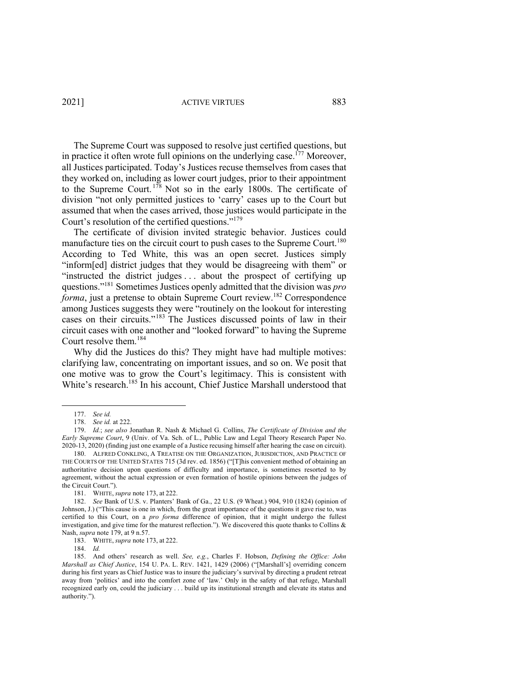2021] ACTIVE VIRTUES 883

The Supreme Court was supposed to resolve just certified questions, but in practice it often wrote full opinions on the underlying case.<sup>[77</sup> Moreover, all Justices participated. Today's Justices recuse themselves from cases that they worked on, including as lower court judges, prior to their appointment to the Supreme Court.<sup>178</sup> Not so in the early 1800s. The certificate of division "not only permitted justices to 'carry' cases up to the Court but assumed that when the cases arrived, those justices would participate in the Court's resolution of the certified questions."<sup>179</sup>

The certificate of division invited strategic behavior. Justices could manufacture ties on the circuit court to push cases to the Supreme Court.<sup>180</sup> According to Ted White, this was an open secret. Justices simply "inform[ed] district judges that they would be disagreeing with them" or "instructed the district judges . . . about the prospect of certifying up questions."181 Sometimes Justices openly admitted that the division was *pro forma*, just a pretense to obtain Supreme Court review.<sup>182</sup> Correspondence among Justices suggests they were "routinely on the lookout for interesting cases on their circuits."<sup>183</sup> The Justices discussed points of law in their circuit cases with one another and "looked forward" to having the Supreme Court resolve them.<sup>184</sup>

Why did the Justices do this? They might have had multiple motives: clarifying law, concentrating on important issues, and so on. We posit that one motive was to grow the Court's legitimacy. This is consistent with White's research.<sup>185</sup> In his account, Chief Justice Marshall understood that

184. *Id.* 

<sup>177.</sup> *See id.*

<sup>178.</sup> *See id.* at 222.

<sup>179.</sup> *Id.*; *see also* Jonathan R. Nash & Michael G. Collins, *The Certificate of Division and the Early Supreme Court*, 9 (Univ. of Va. Sch. of L., Public Law and Legal Theory Research Paper No. 2020-13, 2020) (finding just one example of a Justice recusing himself after hearing the case on circuit).

<sup>180.</sup> ALFRED CONKLING, A TREATISE ON THE ORGANIZATION, JURISDICTION, AND PRACTICE OF THE COURTS OF THE UNITED STATES 715 (3d rev. ed. 1856) ("[T]his convenient method of obtaining an authoritative decision upon questions of difficulty and importance, is sometimes resorted to by agreement, without the actual expression or even formation of hostile opinions between the judges of the Circuit Court.").

<sup>181.</sup> WHITE, *supra* note 173, at 222.

<sup>182.</sup> *See* Bank of U.S. v. Planters' Bank of Ga., 22 U.S. (9 Wheat.) 904, 910 (1824) (opinion of Johnson, J.) ("This cause is one in which, from the great importance of the questions it gave rise to, was certified to this Court, on a *pro forma* difference of opinion, that it might undergo the fullest investigation, and give time for the maturest reflection."). We discovered this quote thanks to Collins & Nash, *supra* note 179, at 9 n.57.

<sup>183.</sup> WHITE, *supra* note 173, at 222.

<sup>185.</sup> And others' research as well. *See, e.g.*, Charles F. Hobson, *Defining the Office: John Marshall as Chief Justice*, 154 U. PA. L. REV. 1421, 1429 (2006) ("[Marshall's] overriding concern during his first years as Chief Justice was to insure the judiciary's survival by directing a prudent retreat away from 'politics' and into the comfort zone of 'law.' Only in the safety of that refuge, Marshall recognized early on, could the judiciary . . . build up its institutional strength and elevate its status and authority.").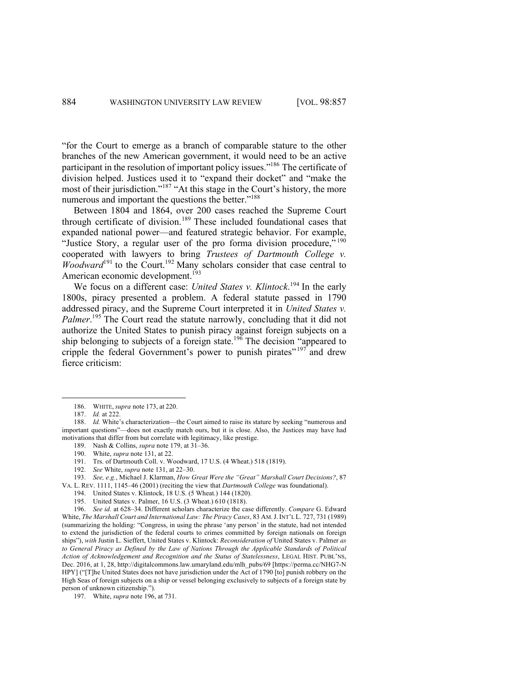"for the Court to emerge as a branch of comparable stature to the other branches of the new American government, it would need to be an active participant in the resolution of important policy issues."186 The certificate of division helped. Justices used it to "expand their docket" and "make the most of their jurisdiction."<sup>187</sup> "At this stage in the Court's history, the more numerous and important the questions the better."<sup>188</sup>

Between 1804 and 1864, over 200 cases reached the Supreme Court through certificate of division.<sup>189</sup> These included foundational cases that expanded national power—and featured strategic behavior. For example, "Justice Story, a regular user of the pro forma division procedure,"<sup>190</sup> cooperated with lawyers to bring *Trustees of Dartmouth College v. Woodward*<sup>191</sup> to the Court.<sup>192</sup> Many scholars consider that case central to American economic development.<sup>193</sup>

We focus on a different case: *United States v. Klintock*.<sup>194</sup> In the early 1800s, piracy presented a problem. A federal statute passed in 1790 addressed piracy, and the Supreme Court interpreted it in *United States v.*  Palmer.<sup>195</sup> The Court read the statute narrowly, concluding that it did not authorize the United States to punish piracy against foreign subjects on a ship belonging to subjects of a foreign state.<sup>196</sup> The decision "appeared to cripple the federal Government's power to punish pirates"  $197$  and drew fierce criticism:

189. Nash & Collins, *supra* note 179, at 31–36.

- 191. Trs. of Dartmouth Coll. v. Woodward, 17 U.S. (4 Wheat.) 518 (1819).
- 192. *See* White, *supra* note 131, at 22–30.

193. *See, e.g.*, Michael J. Klarman, *How Great Were the "Great" Marshall Court Decisions?*, 87 VA. L. REV. 1111, 1145–46 (2001) (reciting the view that *Dartmouth College* was foundational).

195. United States v. Palmer, 16 U.S. (3 Wheat.) 610 (1818).

196. *See id.* at 628–34. Different scholars characterize the case differently. *Compare* G. Edward White, *The Marshall Court and International Law: The Piracy Cases*, 83 AM. J. INT'L L. 727, 731 (1989) (summarizing the holding: "Congress, in using the phrase 'any person' in the statute, had not intended to extend the jurisdiction of the federal courts to crimes committed by foreign nationals on foreign ships"), *with* Justin L. Sieffert, United States v. Klintock: *Reconsideration of* United States v. Palmer *as to General Piracy as Defined by the Law of Nations Through the Applicable Standards of Political Action of Acknowledgement and Recognition and the Status of Statelessness*, LEGAL HIST. PUBL'NS, Dec. 2016, at 1, 28, http://digitalcommons.law.umaryland.edu/mlh\_pubs/69 [https://perma.cc/NHG7-N HPY] ("[T]he United States does not have jurisdiction under the Act of 1790 [to] punish robbery on the High Seas of foreign subjects on a ship or vessel belonging exclusively to subjects of a foreign state by person of unknown citizenship.").

<sup>186.</sup> WHITE, *supra* note 173, at 220.

<sup>187.</sup> *Id.* at 222.

<sup>188.</sup> *Id.* White's characterization—the Court aimed to raise its stature by seeking "numerous and important questions"—does not exactly match ours, but it is close. Also, the Justices may have had motivations that differ from but correlate with legitimacy, like prestige.

<sup>190.</sup> White, *supra* note 131, at 22.

<sup>194.</sup> United States v. Klintock, 18 U.S. (5 Wheat.) 144 (1820).

<sup>197.</sup> White, *supra* note 196, at 731.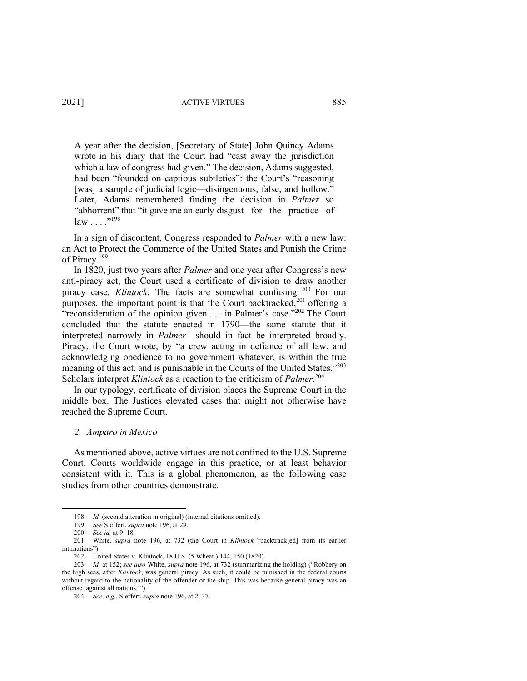A year after the decision, [Secretary of State] John Quincy Adams wrote in his diary that the Court had "cast away the jurisdiction which a law of congress had given." The decision, Adams suggested, had been "founded on captious subtleties": the Court's "reasoning [was] a sample of judicial logic—disingenuous, false, and hollow." Later, Adams remembered finding the decision in *Palmer* so "abhorrent" that "it gave me an early disgust for the practice of law . . . ."198

In a sign of discontent, Congress responded to *Palmer* with a new law: an Act to Protect the Commerce of the United States and Punish the Crime of Piracy.<sup>199</sup>

In 1820, just two years after *Palmer* and one year after Congress's new anti-piracy act, the Court used a certificate of division to draw another piracy case, *Klintock*. The facts are somewhat confusing. <sup>200</sup> For our purposes, the important point is that the Court backtracked,<sup>201</sup> offering a "reconsideration of the opinion given . . . in Palmer's case."<sup>202</sup> The Court concluded that the statute enacted in 1790—the same statute that it interpreted narrowly in *Palmer*—should in fact be interpreted broadly. Piracy, the Court wrote, by "a crew acting in defiance of all law, and acknowledging obedience to no government whatever, is within the true meaning of this act, and is punishable in the Courts of the United States."<sup>203</sup> Scholars interpret *Klintock* as a reaction to the criticism of *Palmer*. 204

In our typology, certificate of division places the Supreme Court in the middle box. The Justices elevated cases that might not otherwise have reached the Supreme Court.

# *2. Amparo in Mexico*

As mentioned above, active virtues are not confined to the U.S. Supreme Court. Courts worldwide engage in this practice, or at least behavior consistent with it. This is a global phenomenon, as the following case studies from other countries demonstrate.

<sup>198.</sup> *Id.* (second alteration in original) (internal citations omitted).

<sup>199.</sup> *See* Sieffert, *supra* note 196, at 29.

<sup>200.</sup> *See id.* at 9–18.

<sup>201.</sup> White, *supra* note 196, at 732 (the Court in *Klintock* "backtrack[ed] from its earlier intimations").

<sup>202.</sup> United States v. Klintock, 18 U.S. (5 Wheat.) 144, 150 (1820).

<sup>203.</sup> *Id.* at 152; *see also* White, *supra* note 196, at 732 (summarizing the holding) ("Robbery on the high seas, after *Klintock*, was general piracy. As such, it could be punished in the federal courts without regard to the nationality of the offender or the ship. This was because general piracy was an offense 'against all nations.'").

<sup>204.</sup> *See, e.g.*, Sieffert, *supra* note 196, at 2, 37.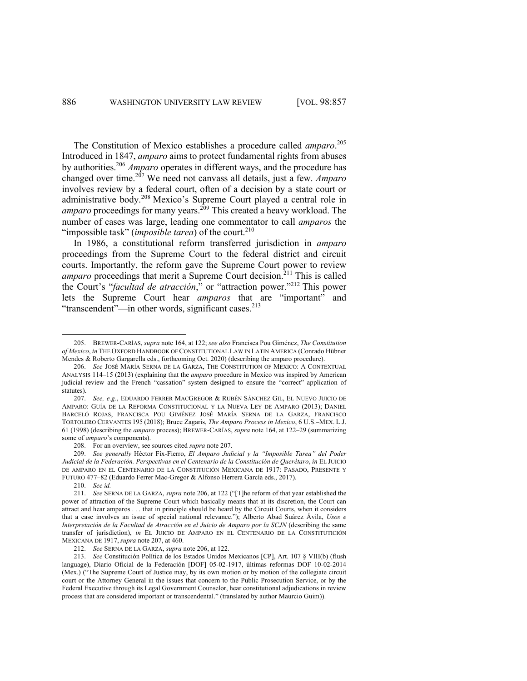The Constitution of Mexico establishes a procedure called *amparo*. 205 Introduced in 1847, *amparo* aims to protect fundamental rights from abuses by authorities.206 *Amparo* operates in different ways, and the procedure has changed over time.<sup>207</sup> We need not canvass all details, just a few. *Amparo* involves review by a federal court, often of a decision by a state court or administrative body.<sup>208</sup> Mexico's Supreme Court played a central role in *amparo* proceedings for many years.<sup>209</sup> This created a heavy workload. The number of cases was large, leading one commentator to call *amparos* the "impossible task" (*imposible tarea*) of the court.<sup>210</sup>

In 1986, a constitutional reform transferred jurisdiction in *amparo* proceedings from the Supreme Court to the federal district and circuit courts. Importantly, the reform gave the Supreme Court power to review *amparo* proceedings that merit a Supreme Court decision.<sup>211</sup> This is called the Court's "*facultad de atracción*," or "attraction power."212 This power lets the Supreme Court hear *amparos* that are "important" and "transcendent"—in other words, significant cases.<sup>213</sup>

<sup>205.</sup> BREWER-CARÍAS, *supra* note 164, at 122; *see also* Francisca Pou Giménez, *The Constitution of Mexico*, *in* THE OXFORD HANDBOOK OF CONSTITUTIONAL LAW IN LATIN AMERICA (Conrado Hübner Mendes & Roberto Gargarella eds., forthcoming Oct. 2020) (describing the amparo procedure).

<sup>206.</sup> *See* JOSÉ MARÍA SERNA DE LA GARZA, THE CONSTITUTION OF MEXICO: A CONTEXTUAL ANALYSIS 114–15 (2013) (explaining that the *amparo* procedure in Mexico was inspired by American judicial review and the French "cassation" system designed to ensure the "correct" application of statutes).

<sup>207.</sup> *See, e.g.*, EDUARDO FERRER MACGREGOR & RUBÉN SÁNCHEZ GIL, EL NUEVO JUICIO DE AMPARO: GUÍA DE LA REFORMA CONSTITUCIONAL Y LA NUEVA LEY DE AMPARO (2013); DANIEL BARCELÓ ROJAS, FRANCISCA POU GIMÉNEZ JOSÉ MARÍA SERNA DE LA GARZA, FRANCISCO TORTOLERO CERVANTES 195 (2018); Bruce Zagaris, *The Amparo Process in Mexico*, 6 U.S.–MEX. L.J. 61 (1998) (describing the *amparo* process); BREWER-CARÍAS, *supra* note 164, at 122–29 (summarizing some of *amparo*'s components).

<sup>208.</sup> For an overview, see sources cited *supra* note 207.

<sup>209.</sup> *See generally* Héctor Fix-Fierro, *El Amparo Judicial y la "Imposible Tarea" del Poder Judicial de la Federación. Perspectivas en el Centenario de la Constitución de Querétaro*, *in* EL JUICIO DE AMPARO EN EL CENTENARIO DE LA CONSTITUCIÓN MEXICANA DE 1917: PASADO, PRESENTE Y FUTURO 477–82 (Eduardo Ferrer Mac-Gregor & Alfonso Herrera García eds., 2017).

<sup>210.</sup> *See id.* 

<sup>211.</sup> *See* SERNA DE LA GARZA, *supra* note 206, at 122 ("[T]he reform of that year established the power of attraction of the Supreme Court which basically means that at its discretion, the Court can attract and hear amparos . . . that in principle should be heard by the Circuit Courts, when it considers that a case involves an issue of special national relevance."); Alberto Abad Suárez Ávila, *Usos e Interpretación de la Facultad de Atracción en el Juicio de Amparo por la SCJN* (describing the same transfer of jurisdiction), *in* EL JUICIO DE AMPARO EN EL CENTENARIO DE LA CONSTITUTICIÓN MEXICANA DE 1917, *supra* note 207, at 460.

<sup>212.</sup> *See* SERNA DE LA GARZA, *supra* note 206, at 122.

<sup>213.</sup> *See* Constitución Política de los Estados Unidos Mexicanos [CP], Art. 107 § VIII(b) (flush language), Diario Oficial de la Federación [DOF] 05-02-1917, últimas reformas DOF 10-02-2014 (Mex.) ("The Supreme Court of Justice may, by its own motion or by motion of the collegiate circuit court or the Attorney General in the issues that concern to the Public Prosecution Service, or by the Federal Executive through its Legal Government Counselor, hear constitutional adjudications in review process that are considered important or transcendental." (translated by author Maurcio Guim)).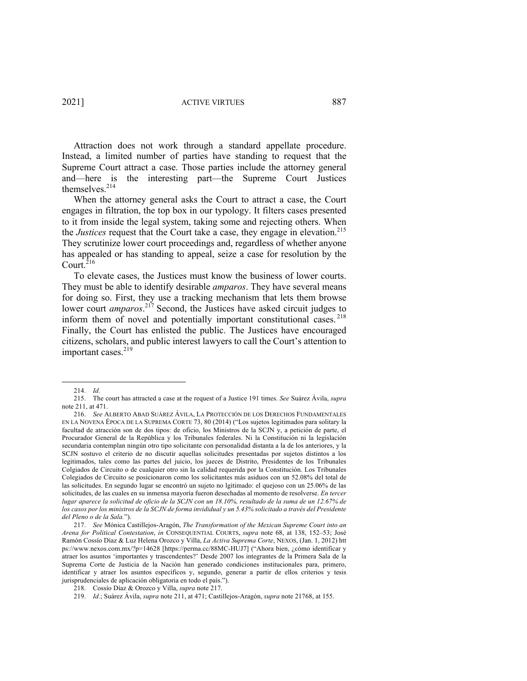Attraction does not work through a standard appellate procedure. Instead, a limited number of parties have standing to request that the Supreme Court attract a case. Those parties include the attorney general and—here is the interesting part—the Supreme Court Justices themselves.214

When the attorney general asks the Court to attract a case, the Court engages in filtration, the top box in our typology. It filters cases presented to it from inside the legal system, taking some and rejecting others. When the *Justices* request that the Court take a case, they engage in elevation. 215 They scrutinize lower court proceedings and, regardless of whether anyone has appealed or has standing to appeal, seize a case for resolution by the Court.<sup> $216$ </sup>

To elevate cases, the Justices must know the business of lower courts. They must be able to identify desirable *amparos*. They have several means for doing so. First, they use a tracking mechanism that lets them browse lower court *amparos*. <sup>217</sup> Second, the Justices have asked circuit judges to inform them of novel and potentially important constitutional cases. <sup>218</sup> Finally, the Court has enlisted the public. The Justices have encouraged citizens, scholars, and public interest lawyers to call the Court's attention to important cases.<sup>219</sup>

<sup>214.</sup> *Id.*

<sup>215.</sup> The court has attracted a case at the request of a Justice 191 times. *See* Suárez Ávila, *supra*  note 211, at 471.

<sup>216.</sup> *See* ALBERTO ABAD SUÁREZ ÁVILA, LA PROTECCIÓN DE LOS DERECHOS FUNDAMENTALES EN LA NOVENA ÉPOCA DE LA SUPREMA CORTE 73, 80 (2014) ("Los sujetos legitimados para solitary la facultad de atracción son de dos tipos: de oficio, los Ministros de la SCJN y, a petición de parte, el Procurador General de la República y los Tribunales federales. Ni la Constitución ni la legislación secundaria contemplan ningún otro tipo solicitante con personalidad distanta a la de los anteriores, y la SCJN sostuvo el criterio de no discutir aquellas solicitudes presentadas por sujetos distintos a los legitimados, tales como las partes del juicio, los jueces de Distrito, Presidentes de los Tribunales Colgiados de Circuito o de cualquier otro sin la calidad requerida por la Constitución. Los Tribunales Colegiados de Circuito se posicionaron como los solicitantes más asiduos con un 52.08% del total de las solicitudes. En segundo lugar se encontró un sujeto no lgitimado: el quejoso con un 25.06% de las solicitudes, de las cuales en su inmensa mayoría fueron desechadas al momento de resolverse. *En tercer lugar aparece la solicitud de oficio de la SCJN con un 18.10%, resultado de la suma de un 12.67% de los casos por los ministros de la SCJN de forma invididual y un 5.43% solicitado a través del Presidente del Pleno o de la Sala.*").

<sup>217.</sup> *See* Mónica Castillejos-Aragón, *The Transformation of the Mexican Supreme Court into an Arena for Political Contestation*, *in* CONSEQUENTIAL COURTS, *supra* note 68, at 138, 152–53; José Ramón Cossío Díaz & Luz Helena Orozco y Villa, *La Activa Suprema Corte*, NEXOS, (Jan. 1, 2012) htt ps://www.nexos.com.mx/?p=14628 [https://perma.cc/88MC-HUJ7] ("Ahora bien, ¿cómo identificar y atraer los asuntos 'importantes y trascendentes?' Desde 2007 los integrantes de la Primera Sala de la Suprema Corte de Justicia de la Nación han generado condiciones institucionales para, primero, identificar y atraer los asuntos específicos y, segundo, generar a partir de ellos criterios y tesis jurisprudenciales de aplicación obligatoria en todo el país.").

<sup>218.</sup> Cossío Díaz & Orozco y Villa, *supra* note 217.

<sup>219.</sup> *Id.*; Suárez Ávila, *supra* note 211, at 471; Castillejos-Aragón, *supra* note 21768, at 155.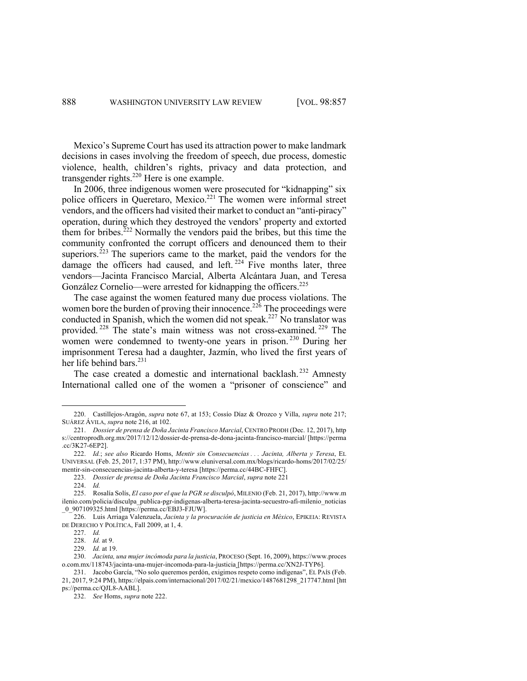Mexico's Supreme Court has used its attraction power to make landmark decisions in cases involving the freedom of speech, due process, domestic violence, health, children's rights, privacy and data protection, and transgender rights.<sup>220</sup> Here is one example.

In 2006, three indigenous women were prosecuted for "kidnapping" six police officers in Queretaro, Mexico.<sup>221</sup> The women were informal street vendors, and the officers had visited their market to conduct an "anti-piracy" operation, during which they destroyed the vendors' property and extorted them for bribes.<sup>222</sup> Normally the vendors paid the bribes, but this time the community confronted the corrupt officers and denounced them to their superiors.<sup>223</sup> The superiors came to the market, paid the vendors for the damage the officers had caused, and left.  $224$  Five months later, three vendors—Jacinta Francisco Marcial, Alberta Alcántara Juan, and Teresa González Cornelio—were arrested for kidnapping the officers.<sup>225</sup>

The case against the women featured many due process violations. The women bore the burden of proving their innocence.<sup>226</sup> The proceedings were conducted in Spanish, which the women did not speak.<sup>227</sup> No translator was provided. <sup>228</sup> The state's main witness was not cross-examined. <sup>229</sup> The women were condemned to twenty-one years in prison.<sup>230</sup> During her imprisonment Teresa had a daughter, Jazmín, who lived the first years of her life behind bars.<sup>231</sup>

The case created a domestic and international backlash.<sup>232</sup> Amnesty International called one of the women a "prisoner of conscience" and

<sup>220.</sup> Castillejos-Aragón, *supra* note 67, at 153; Cossío Díaz & Orozco y Villa, *supra* note 217; SUÁREZ ÁVILA, *supra* note 216, at 102.

<sup>221.</sup> *Dossier de prensa de Doña Jacinta Francisco Marcial*, CENTRO PRODH (Dec. 12, 2017), http s://centroprodh.org.mx/2017/12/12/dossier-de-prensa-de-dona-jacinta-francisco-marcial/ [https://perma .cc/3K27-6EP2].

<sup>222.</sup> *Id.*; *see also* Ricardo Homs, *Mentir sin Consecuencias . . . Jacinta, Alberta y Teresa*, EL UNIVERSAL (Feb. 25, 2017, 1:37 PM), http://www.eluniversal.com.mx/blogs/ricardo-homs/2017/02/25/ mentir-sin-consecuencias-jacinta-alberta-y-teresa [https://perma.cc/44BC-FHFC].

<sup>223.</sup> *Dossier de prensa de Doña Jacinta Francisco Marcial*, *supra* note 221

<sup>224.</sup> *Id.*

<sup>225.</sup> Rosalía Solís, *El caso por el que la PGR se disculpó*, MILENIO (Feb. 21, 2017), http://www.m ilenio.com/policia/disculpa\_publica-pgr-indigenas-alberta-teresa-jacinta-secuestro-afi-milenio\_noticias \_0\_907109325.html [https://perma.cc/EBJ3-FJUW].

<sup>226.</sup> Luis Arriaga Valenzuela, *Jacinta y la procuración de justicia en México*, EPIKEIA: REVISTA DE DERECHO Y POLÍTICA, Fall 2009, at 1, 4.

<sup>227.</sup> *Id.* 

<sup>228.</sup> *Id.* at 9.

<sup>229.</sup> *Id.* at 19.

<sup>230.</sup> *Jacinta, una mujer incómoda para la justicia*, PROCESO (Sept. 16, 2009), https://www.proces o.com.mx/118743/jacinta-una-mujer-incomoda-para-la-justicia [https://perma.cc/XN2J-TYP6].

<sup>231.</sup> Jacobo García, "No solo queremos perdón, exigimos respeto como indígenas", EL PAÍS (Feb. 21, 2017, 9:24 PM), https://elpais.com/internacional/2017/02/21/mexico/1487681298\_217747.html [htt ps://perma.cc/QJL8-AABL].

<sup>232.</sup> *See* Homs, *supra* note 222.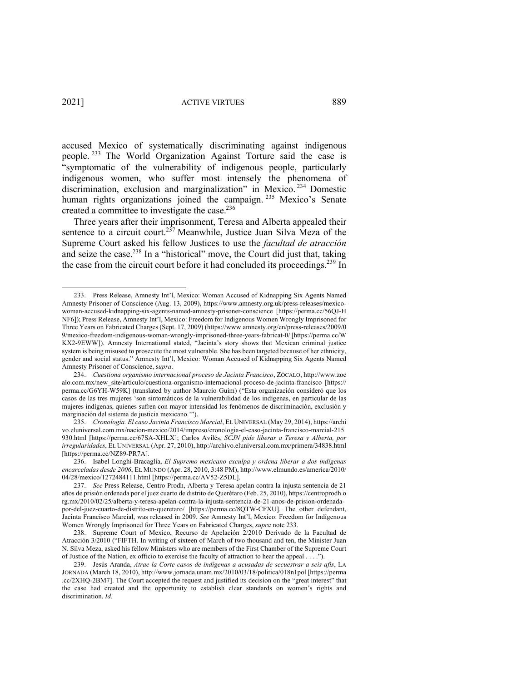accused Mexico of systematically discriminating against indigenous people. <sup>233</sup> The World Organization Against Torture said the case is "symptomatic of the vulnerability of indigenous people, particularly indigenous women, who suffer most intensely the phenomena of discrimination, exclusion and marginalization" in Mexico. <sup>234</sup> Domestic human rights organizations joined the campaign.<sup>235</sup> Mexico's Senate created a committee to investigate the case.<sup>236</sup>

Three years after their imprisonment, Teresa and Alberta appealed their sentence to a circuit court.<sup>237</sup> Meanwhile, Justice Juan Silva Meza of the Supreme Court asked his fellow Justices to use the *facultad de atracción* and seize the case.<sup>238</sup> In a "historical" move, the Court did just that, taking the case from the circuit court before it had concluded its proceedings.<sup>239</sup> In

<sup>233.</sup> Press Release, Amnesty Int'l, Mexico: Woman Accused of Kidnapping Six Agents Named Amnesty Prisoner of Conscience (Aug. 13, 2009), https://www.amnesty.org.uk/press-releases/mexicowoman-accused-kidnapping-six-agents-named-amnesty-prisoner-conscience [https://perma.cc/56QJ-H NF6]); Press Release, Amnesty Int'l, Mexico: Freedom for Indigenous Women Wrongly Imprisoned for Three Years on Fabricated Charges (Sept. 17, 2009) (https://www.amnesty.org/en/press-releases/2009/0 9/mexico-freedom-indigenous-woman-wrongly-imprisoned-three-years-fabricat-0/ [https://perma.cc/W KX2-9EWW]). Amnesty International stated, "Jacinta's story shows that Mexican criminal justice system is being misused to prosecute the most vulnerable. She has been targeted because of her ethnicity, gender and social status." Amnesty Int'l, Mexico: Woman Accused of Kidnapping Six Agents Named Amnesty Prisoner of Conscience, s*upra*.

<sup>234.</sup> *Cuestiona organismo internacional proceso de Jacinta Francisco*, ZÓCALO, http://www.zoc alo.com.mx/new\_site/articulo/cuestiona-organismo-internacional-proceso-de-jacinta-francisco [https:// perma.cc/G6YH-W59K] (translated by author Maurcio Guim) ("Esta organización consideró que los casos de las tres mujeres 'son sintomáticos de la vulnerabilidad de los indígenas, en particular de las mujeres indígenas, quienes sufren con mayor intensidad los fenómenos de discriminación, exclusión y marginación del sistema de justicia mexicano.'").

<sup>235.</sup> *Cronología. El caso Jacinta Francisco Marcial*, EL UNIVERSAL (May 29, 2014), https://archi vo.eluniversal.com.mx/nacion-mexico/2014/impreso/cronologia-el-caso-jacinta-francisco-marcial-215 930.html [https://perma.cc/67SA-XHLX]; Carlos Avilés, *SCJN pide liberar a Teresa y Alberta, por irregularidades*, EL UNIVERSAL (Apr. 27, 2010), http://archivo.eluniversal.com.mx/primera/34838.html [https://perma.cc/NZ89-PR7A].

<sup>236.</sup> Isabel Longhi-Bracaglia, *El Supremo mexicano exculpa y ordena liberar a dos indígenas encarceladas desde 2006*, EL MUNDO (Apr. 28, 2010, 3:48 PM), http://www.elmundo.es/america/2010/ 04/28/mexico/1272484111.html [https://perma.cc/AV52-Z5DL].

<sup>237.</sup> *See* Press Release, Centro Prodh, Alberta y Teresa apelan contra la injusta sentencia de 21 años de prisión ordenada por el juez cuarto de distrito de Querétaro (Feb. 25, 2010), https://centroprodh.o rg.mx/2010/02/25/alberta-y-teresa-apelan-contra-la-injusta-sentencia-de-21-anos-de-prision-ordenadapor-del-juez-cuarto-de-distrito-en-queretaro/ [https://perma.cc/8QTW-CFXU]. The other defendant, Jacinta Francisco Marcial, was released in 2009. *See* Amnesty Int'l, Mexico: Freedom for Indigenous Women Wrongly Imprisoned for Three Years on Fabricated Charges, *supra* note 233.

<sup>238.</sup> Supreme Court of Mexico, Recurso de Apelación 2/2010 Derivado de la Facultad de Atracción 3/2010 ("FIFTH. In writing of sixteen of March of two thousand and ten, the Minister Juan N. Silva Meza, asked his fellow Ministers who are members of the First Chamber of the Supreme Court of Justice of the Nation, ex officio to exercise the faculty of attraction to hear the appeal . . . .").

<sup>239.</sup> Jesús Aranda, *Atrae la Corte casos de indígenas a acusadas de secuestrar a seis afis*, LA JORNADA (March 18, 2010), http://www.jornada.unam.mx/2010/03/18/politica/018n1pol [https://perma .cc/2XHQ-2BM7]. The Court accepted the request and justified its decision on the "great interest" that the case had created and the opportunity to establish clear standards on women's rights and discrimination. *Id.*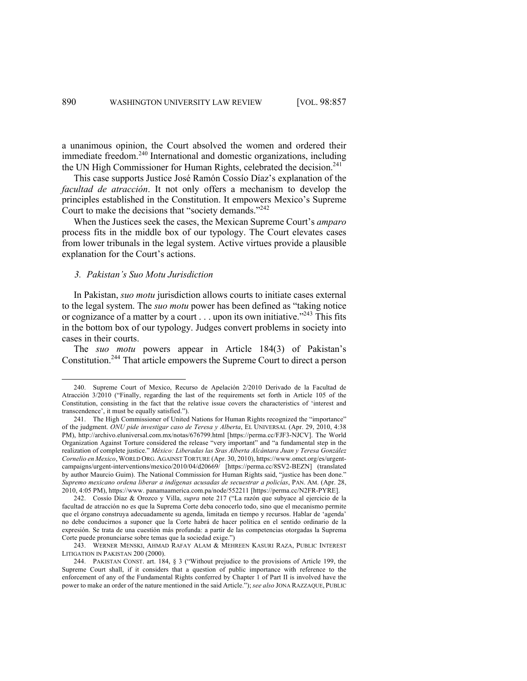a unanimous opinion, the Court absolved the women and ordered their immediate freedom.<sup>240</sup> International and domestic organizations, including the UN High Commissioner for Human Rights, celebrated the decision.<sup>241</sup>

This case supports Justice José Ramón Cossío Díaz's explanation of the *facultad de atracción*. It not only offers a mechanism to develop the principles established in the Constitution. It empowers Mexico's Supreme Court to make the decisions that "society demands."<sup>242</sup>

When the Justices seek the cases, the Mexican Supreme Court's *amparo*  process fits in the middle box of our typology. The Court elevates cases from lower tribunals in the legal system. Active virtues provide a plausible explanation for the Court's actions.

### *3. Pakistan's Suo Motu Jurisdiction*

In Pakistan, *suo motu* jurisdiction allows courts to initiate cases external to the legal system. The *suo motu* power has been defined as "taking notice or cognizance of a matter by a court  $\dots$  upon its own initiative.<sup> $243$ </sup> This fits in the bottom box of our typology. Judges convert problems in society into cases in their courts.

The *suo motu* powers appear in Article 184(3) of Pakistan's Constitution.<sup>244</sup> That article empowers the Supreme Court to direct a person

<sup>240.</sup> Supreme Court of Mexico, Recurso de Apelación 2/2010 Derivado de la Facultad de Atracción 3/2010 ("Finally, regarding the last of the requirements set forth in Article 105 of the Constitution, consisting in the fact that the relative issue covers the characteristics of 'interest and transcendence', it must be equally satisfied.").

<sup>241.</sup> The High Commissioner of United Nations for Human Rights recognized the "importance" of the judgment. *ONU pide investigar caso de Teresa y Alberta*, EL UNIVERSAL (Apr. 29, 2010, 4:38 PM), http://archivo.eluniversal.com.mx/notas/676799.html [https://perma.cc/FJF3-NJCV]. The World Organization Against Torture considered the release "very important" and "a fundamental step in the realization of complete justice." *México: Liberadas las Sras Alberta Alcántara Juan y Teresa González Cornelio en Mexico*, WORLD ORG. AGAINST TORTURE (Apr. 30, 2010), https://www.omct.org/es/urgentcampaigns/urgent-interventions/mexico/2010/04/d20669/ [https://perma.cc/8SV2-BEZN] (translated by author Maurcio Guim). The National Commission for Human Rights said, "justice has been done." *Supremo mexicano ordena liberar a indígenas acusadas de secuestrar a policías*, PAN. AM. (Apr. 28, 2010, 4:05 PM), https://www. panamaamerica.com.pa/node/552211 [https://perma.cc/N2FR-PYRE].

<sup>242.</sup> Cossío Díaz & Orozco y Villa, *supra* note 217 ("La razón que subyace al ejercicio de la facultad de atracción no es que la Suprema Corte deba conocerlo todo, sino que el mecanismo permite que el órgano construya adecuadamente su agenda, limitada en tiempo y recursos. Hablar de 'agenda' no debe conducirnos a suponer que la Corte habrá de hacer política en el sentido ordinario de la expresión. Se trata de una cuestión más profunda: a partir de las competencias otorgadas la Suprema Corte puede pronunciarse sobre temas que la sociedad exige.")

<sup>243.</sup> WERNER MENSKI, AHMAD RAFAY ALAM & MEHREEN KASURI RAZA, PUBLIC INTEREST LITIGATION IN PAKISTAN 200 (2000).

<sup>244.</sup> PAKISTAN CONST. art. 184, § 3 ("Without prejudice to the provisions of Article 199, the Supreme Court shall, if it considers that a question of public importance with reference to the enforcement of any of the Fundamental Rights conferred by Chapter 1 of Part II is involved have the power to make an order of the nature mentioned in the said Article."); *see also* JONA RAZZAQUE, PUBLIC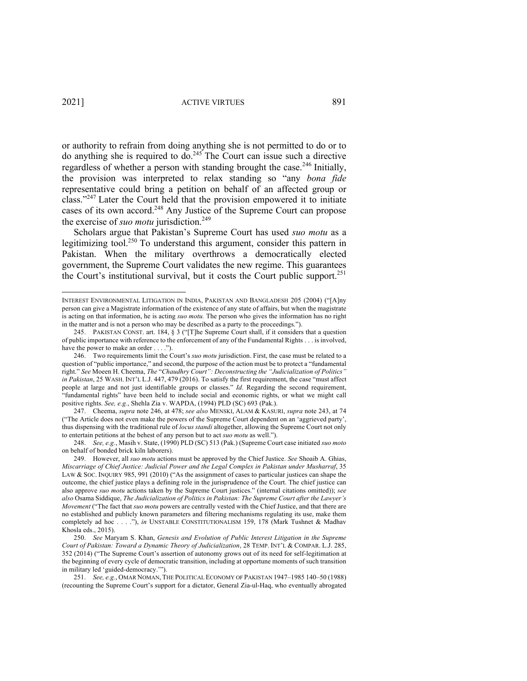or authority to refrain from doing anything she is not permitted to do or to do anything she is required to  $\overline{do}^{245}$ . The Court can issue such a directive regardless of whether a person with standing brought the case.<sup>246</sup> Initially, the provision was interpreted to relax standing so "any *bona fide* representative could bring a petition on behalf of an affected group or class."247 Later the Court held that the provision empowered it to initiate cases of its own accord.248 Any Justice of the Supreme Court can propose the exercise of *suo motu* jurisdiction. 249

Scholars argue that Pakistan's Supreme Court has used *suo motu* as a legitimizing tool.<sup>250</sup> To understand this argument, consider this pattern in Pakistan. When the military overthrows a democratically elected government, the Supreme Court validates the new regime. This guarantees the Court's institutional survival, but it costs the Court public support. 251

INTEREST ENVIRONMENTAL LITIGATION IN INDIA, PAKISTAN AND BANGLADESH 205 (2004) ("[A]ny person can give a Magistrate information of the existence of any state of affairs, but when the magistrate is acting on that information, he is acting *suo motu.* The person who gives the information has no right in the matter and is not a person who may be described as a party to the proceedings.").

<sup>245.</sup> PAKISTAN CONST. art. 184, § 3 ("[T]he Supreme Court shall, if it considers that a question of public importance with reference to the enforcement of any of the Fundamental Rights . . . is involved, have the power to make an order . . . . ").

<sup>246.</sup> Two requirements limit the Court's *suo motu* jurisdiction. First, the case must be related to a question of "public importance," and second, the purpose of the action must be to protect a "fundamental right." *See* Moeen H. Cheema, *The* "*Chaudhry Court": Deconstructing the "Judicialization of Politics" in Pakistan*, 25 WASH. INT'L L.J. 447, 479 (2016). To satisfy the first requirement, the case "must affect people at large and not just identifiable groups or classes." *Id.* Regarding the second requirement, "fundamental rights" have been held to include social and economic rights, or what we might call positive rights. *See, e.g.*, Shehla Zia v. WAPDA, (1994) PLD (SC) 693 (Pak.).

<sup>247.</sup> Cheema, *supra* note 246, at 478; *see also* MENSKI, ALAM & KASURI, *supra* note 243, at 74 ("The Article does not even make the powers of the Supreme Court dependent on an 'aggrieved party', thus dispensing with the traditional rule of *locus standi* altogether, allowing the Supreme Court not only to entertain petitions at the behest of any person but to act *suo motu* as well.").

<sup>248.</sup> *See, e.g.*, Masih v. State, (1990) PLD (SC) 513 (Pak.) (Supreme Court case initiated *suo moto*  on behalf of bonded brick kiln laborers).

<sup>249.</sup> However, all *suo motu* actions must be approved by the Chief Justice. *See* Shoaib A. Ghias, *Miscarriage of Chief Justice: Judicial Power and the Legal Complex in Pakistan under Musharraf*, 35 LAW & SOC. INQUIRY 985, 991 (2010) ("As the assignment of cases to particular justices can shape the outcome, the chief justice plays a defining role in the jurisprudence of the Court. The chief justice can also approve *suo motu* actions taken by the Supreme Court justices." (internal citations omitted)); *see also* Osama Siddique, *The Judicialization of Politics in Pakistan: The Supreme Court after the Lawyer's Movement* ("The fact that *suo motu* powers are centrally vested with the Chief Justice, and that there are no established and publicly known parameters and filtering mechanisms regulating its use, make them completely ad hoc . . . ."), *in* UNSTABLE CONSTITUTIONALISM 159, 178 (Mark Tushnet & Madhav Khosla eds., 2015).

<sup>250.</sup> *See* Maryam S. Khan, *Genesis and Evolution of Public Interest Litigation in the Supreme Court of Pakistan: Toward a Dynamic Theory of Judicialization*, 28 TEMP. INT'L & COMPAR. L.J. 285, 352 (2014) ("The Supreme Court's assertion of autonomy grows out of its need for self-legitimation at the beginning of every cycle of democratic transition, including at opportune moments of such transition in military led 'guided-democracy.'").

<sup>251.</sup> *See, e.g.*, OMAR NOMAN, THE POLITICAL ECONOMY OF PAKISTAN 1947–1985 140–50 (1988) (recounting the Supreme Court's support for a dictator, General Zia-ul-Haq, who eventually abrogated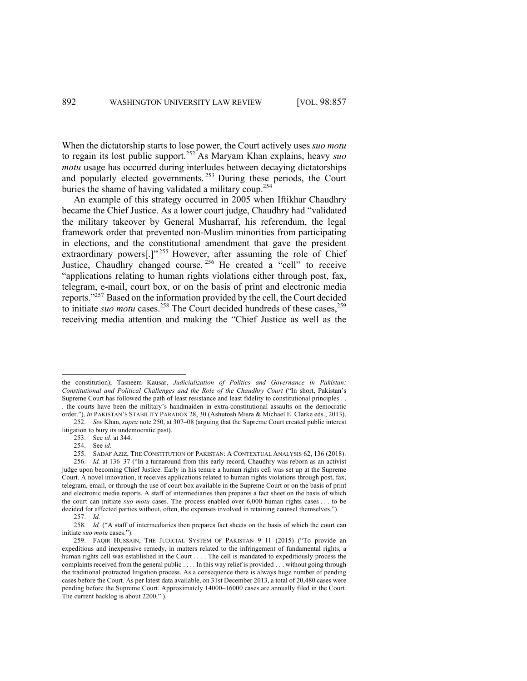When the dictatorship starts to lose power, the Court actively uses *suo motu* to regain its lost public support. <sup>252</sup> As Maryam Khan explains, heavy *suo motu* usage has occurred during interludes between decaying dictatorships and popularly elected governments.<sup>253</sup> During these periods, the Court buries the shame of having validated a military coup.<sup>254</sup>

An example of this strategy occurred in 2005 when Iftikhar Chaudhry became the Chief Justice. As a lower court judge, Chaudhry had "validated the military takeover by General Musharraf, his referendum, the legal framework order that prevented non-Muslim minorities from participating in elections, and the constitutional amendment that gave the president extraordinary powers[.]"<sup>255</sup> However, after assuming the role of Chief Justice, Chaudhry changed course. <sup>256</sup> He created a "cell" to receive "applications relating to human rights violations either through post, fax, telegram, e-mail, court box, or on the basis of print and electronic media reports."257 Based on the information provided by the cell, the Court decided to initiate *suo motu* cases.<sup>258</sup> The Court decided hundreds of these cases,<sup>259</sup> receiving media attention and making the "Chief Justice as well as the

the constitution); Tasneem Kausar, *Judicialization of Politics and Governance in Pakistan: Constitutional and Political Challenges and the Role of the Chaudhry Court* ("In short, Pakistan's Supreme Court has followed the path of least resistance and least fidelity to constitutional principles . . . the courts have been the military's handmaiden in extra-constitutional assaults on the democratic

order."), *in* PAKISTAN'S STABILITY PARADOX 28, 30 (Ashutosh Misra & Michael E. Clarke eds., 2013). 252. *See* Khan, *supra* note 250, at 307–08 (arguing that the Supreme Court created public interest litigation to bury its undemocratic past).

<sup>253.</sup> See *id.* at 344.

<sup>254.</sup> See *id.*

<sup>255.</sup> SADAF AZIZ, THE CONSTITUTION OF PAKISTAN: A CONTEXTUAL ANALYSIS 62, 136 (2018).

<sup>256.</sup> *Id.* at 136–37 ("In a turnaround from this early record, Chaudhry was reborn as an activist judge upon becoming Chief Justice. Early in his tenure a human rights cell was set up at the Supreme Court. A novel innovation, it receives applications related to human rights violations through post, fax, telegram, email, or through the use of court box available in the Supreme Court or on the basis of print and electronic media reports. A staff of intermediaries then prepares a fact sheet on the basis of which the court can initiate *suo motu* cases. The process enabled over 6,000 human rights cases . . . to be decided for affected parties without, often, the expenses involved in retaining counsel themselves.").

<sup>257.</sup> *Id.* 

<sup>258.</sup> *Id.* ("A staff of intermediaries then prepares fact sheets on the basis of which the court can initiate *suo motu* cases.").

<sup>259.</sup> FAQIR HUSSAIN, THE JUDICIAL SYSTEM OF PAKISTAN 9–11 (2015) ("To provide an expeditious and inexpensive remedy, in matters related to the infringement of fundamental rights, a human rights cell was established in the Court . . . . The cell is mandated to expeditiously process the complaints received from the general public . . . . In this way relief is provided . . . without going through the traditional protracted litigation process. As a consequence there is always huge number of pending cases before the Court. As per latest data available, on 31st December 2013, a total of 20,480 cases were pending before the Supreme Court. Approximately 14000–16000 cases are annually filed in the Court. The current backlog is about 2200." ).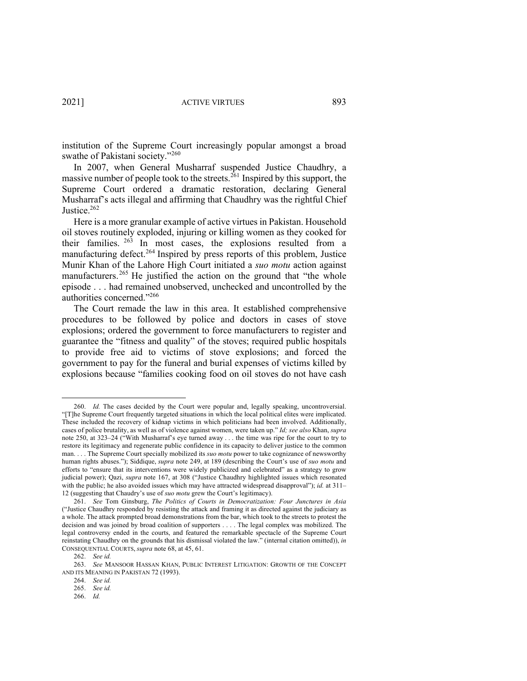institution of the Supreme Court increasingly popular amongst a broad swathe of Pakistani society."<sup>260</sup>

In 2007, when General Musharraf suspended Justice Chaudhry, a massive number of people took to the streets.  $^{261}$  Inspired by this support, the Supreme Court ordered a dramatic restoration, declaring General Musharraf's acts illegal and affirming that Chaudhry was the rightful Chief Justice.<sup>262</sup>

Here is a more granular example of active virtues in Pakistan. Household oil stoves routinely exploded, injuring or killing women as they cooked for their families. <sup>263</sup> In most cases, the explosions resulted from a manufacturing defect.<sup>264</sup> Inspired by press reports of this problem, Justice Munir Khan of the Lahore High Court initiated a *suo motu* action against manufacturers.<sup>265</sup> He justified the action on the ground that "the whole episode . . . had remained unobserved, unchecked and uncontrolled by the authorities concerned."266

The Court remade the law in this area. It established comprehensive procedures to be followed by police and doctors in cases of stove explosions; ordered the government to force manufacturers to register and guarantee the "fitness and quality" of the stoves; required public hospitals to provide free aid to victims of stove explosions; and forced the government to pay for the funeral and burial expenses of victims killed by explosions because "families cooking food on oil stoves do not have cash

<sup>260.</sup> *Id.* The cases decided by the Court were popular and, legally speaking, uncontroversial. "[T]he Supreme Court frequently targeted situations in which the local political elites were implicated. These included the recovery of kidnap victims in which politicians had been involved. Additionally, cases of police brutality, as well as of violence against women, were taken up." *Id; see also* Khan, *supra* note 250, at 323–24 ("With Musharraf's eye turned away . . . the time was ripe for the court to try to restore its legitimacy and regenerate public confidence in its capacity to deliver justice to the common man. . . . The Supreme Court specially mobilized its *suo motu* power to take cognizance of newsworthy human rights abuses."); Siddique, *supra* note 249, at 189 (describing the Court's use of *suo motu* and efforts to "ensure that its interventions were widely publicized and celebrated" as a strategy to grow judicial power); Qazi, *supra* note 167, at 308 ("Justice Chaudhry highlighted issues which resonated with the public; he also avoided issues which may have attracted widespread disapproval"); *id.* at 311– 12 (suggesting that Chaudry's use of *suo motu* grew the Court's legitimacy).

<sup>261.</sup> *See* Tom Ginsburg, *The Politics of Courts in Democratization: Four Junctures in Asia*  ("Justice Chaudhry responded by resisting the attack and framing it as directed against the judiciary as a whole. The attack prompted broad demonstrations from the bar, which took to the streets to protest the decision and was joined by broad coalition of supporters . . . . The legal complex was mobilized. The legal controversy ended in the courts, and featured the remarkable spectacle of the Supreme Court reinstating Chaudhry on the grounds that his dismissal violated the law." (internal citation omitted)), *in* CONSEQUENTIAL COURTS, *supra* note 68, at 45, 61.

<sup>262.</sup> *See id.*

<sup>263.</sup> *See* MANSOOR HASSAN KHAN, PUBLIC INTEREST LITIGATION: GROWTH OF THE CONCEPT AND ITS MEANING IN PAKISTAN 72 (1993).

<sup>264.</sup> *See id.*

<sup>265.</sup> *See id.*

<sup>266.</sup> *Id.*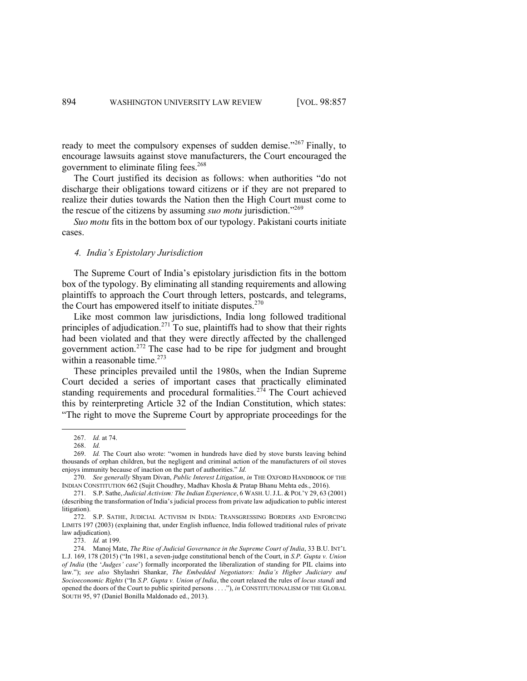ready to meet the compulsory expenses of sudden demise."<sup>267</sup> Finally, to encourage lawsuits against stove manufacturers, the Court encouraged the government to eliminate filing fees. 268

The Court justified its decision as follows: when authorities "do not discharge their obligations toward citizens or if they are not prepared to realize their duties towards the Nation then the High Court must come to the rescue of the citizens by assuming *suo motu* jurisdiction."269

*Suo motu* fits in the bottom box of our typology. Pakistani courts initiate cases.

#### *4. India's Epistolary Jurisdiction*

The Supreme Court of India's epistolary jurisdiction fits in the bottom box of the typology. By eliminating all standing requirements and allowing plaintiffs to approach the Court through letters, postcards, and telegrams, the Court has empowered itself to initiate disputes. $270$ 

Like most common law jurisdictions, India long followed traditional principles of adjudication.<sup>271</sup> To sue, plaintiffs had to show that their rights had been violated and that they were directly affected by the challenged government action. <sup>272</sup> The case had to be ripe for judgment and brought within a reasonable time.<sup>273</sup>

These principles prevailed until the 1980s, when the Indian Supreme Court decided a series of important cases that practically eliminated standing requirements and procedural formalities.<sup>274</sup> The Court achieved this by reinterpreting Article 32 of the Indian Constitution, which states: "The right to move the Supreme Court by appropriate proceedings for the

273. *Id.* at 199.

<sup>267.</sup> *Id.* at 74.

<sup>268.</sup> *Id.* 

<sup>269.</sup> *Id.* The Court also wrote: "women in hundreds have died by stove bursts leaving behind thousands of orphan children, but the negligent and criminal action of the manufacturers of oil stoves enjoys immunity because of inaction on the part of authorities." *Id.* 

<sup>270.</sup> *See generally* Shyam Divan, *Public Interest Litigation*, *in* THE OXFORD HANDBOOK OF THE INDIAN CONSTITUTION 662 (Sujit Choudhry, Madhav Khosla & Pratap Bhanu Mehta eds., 2016).

<sup>271.</sup> S.P. Sathe, *Judicial Activism: The Indian Experience*, 6 WASH. U.J.L. & POL'Y 29, 63 (2001) (describing the transformation of India's judicial process from private law adjudication to public interest litigation).

<sup>272.</sup> S.P. SATHE, JUDICIAL ACTIVISM IN INDIA: TRANSGRESSING BORDERS AND ENFORCING LIMITS 197 (2003) (explaining that, under English influence, India followed traditional rules of private law adjudication).

<sup>274.</sup> Manoj Mate, *The Rise of Judicial Governance in the Supreme Court of India*, 33 B.U. INT'L L.J. 169, 178 (2015) ("In 1981, a seven-judge constitutional bench of the Court, in *S.P. Gupta v. Union of India* (the '*Judges' case*') formally incorporated the liberalization of standing for PIL claims into law."); *see also* Shylashri Shankar, *The Embedded Negotiators: India's Higher Judiciary and Socioeconomic Rights* ("In *S.P. Gupta v. Union of India*, the court relaxed the rules of *locus standi* and opened the doors of the Court to public spirited persons . . . ."), *in* CONSTITUTIONALISM OF THE GLOBAL SOUTH 95, 97 (Daniel Bonilla Maldonado ed., 2013).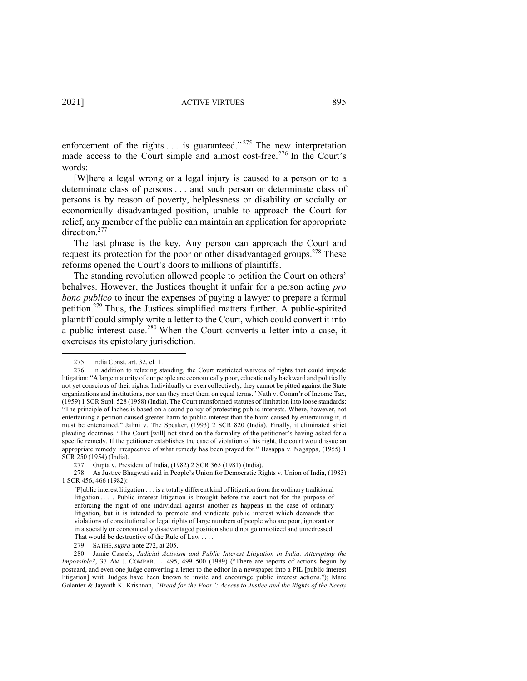enforcement of the rights  $\dots$  is guaranteed."<sup>275</sup> The new interpretation made access to the Court simple and almost cost-free.<sup>276</sup> In the Court's words:

[W]here a legal wrong or a legal injury is caused to a person or to a determinate class of persons . . . and such person or determinate class of persons is by reason of poverty, helplessness or disability or socially or economically disadvantaged position, unable to approach the Court for relief, any member of the public can maintain an application for appropriate direction.<sup>277</sup>

The last phrase is the key. Any person can approach the Court and request its protection for the poor or other disadvantaged groups.<sup>278</sup> These reforms opened the Court's doors to millions of plaintiffs.

The standing revolution allowed people to petition the Court on others' behalves. However, the Justices thought it unfair for a person acting *pro bono publico* to incur the expenses of paying a lawyer to prepare a formal petition.<sup>279</sup> Thus, the Justices simplified matters further. A public-spirited plaintiff could simply write a letter to the Court, which could convert it into a public interest case.<sup>280</sup> When the Court converts a letter into a case, it exercises its epistolary jurisdiction.

<sup>275.</sup> India Const. art. 32, cl. 1.

<sup>276.</sup> In addition to relaxing standing, the Court restricted waivers of rights that could impede litigation: "A large majority of our people are economically poor, educationally backward and politically not yet conscious of their rights. Individually or even collectively, they cannot be pitted against the State organizations and institutions, nor can they meet them on equal terms." Nath v. Comm'r of Income Tax, (1959) 1 SCR Supl. 528 (1958) (India). The Court transformed statutes of limitation into loose standards: "The principle of laches is based on a sound policy of protecting public interests. Where, however, not entertaining a petition caused greater harm to public interest than the harm caused by entertaining it, it must be entertained." Jalmi v. The Speaker, (1993) 2 SCR 820 (India). Finally, it eliminated strict pleading doctrines. "The Court [will] not stand on the formality of the petitioner's having asked for a specific remedy. If the petitioner establishes the case of violation of his right, the court would issue an appropriate remedy irrespective of what remedy has been prayed for." Basappa v. Nagappa, (1955) 1 SCR 250 (1954) (India).

<sup>277.</sup> Gupta v. President of India, (1982) 2 SCR 365 (1981) (India).

<sup>278.</sup> As Justice Bhagwati said in People's Union for Democratic Rights v. Union of India, (1983) 1 SCR 456, 466 (1982):

<sup>[</sup>P]ublic interest litigation . . . is a totally different kind of litigation from the ordinary traditional litigation . . . . Public interest litigation is brought before the court not for the purpose of enforcing the right of one individual against another as happens in the case of ordinary litigation, but it is intended to promote and vindicate public interest which demands that violations of constitutional or legal rights of large numbers of people who are poor, ignorant or in a socially or economically disadvantaged position should not go unnoticed and unredressed. That would be destructive of the Rule of Law . . . .

<sup>279.</sup> SATHE, *supra* note 272, at 205.

<sup>280.</sup> Jamie Cassels, *Judicial Activism and Public Interest Litigation in India: Attempting the Impossible?*, 37 AM J. COMPAR. L. 495, 499–500 (1989) ("There are reports of actions begun by postcard, and even one judge converting a letter to the editor in a newspaper into a PIL [public interest litigation] writ. Judges have been known to invite and encourage public interest actions."); Marc Galanter & Jayanth K. Krishnan, *"Bread for the Poor": Access to Justice and the Rights of the Needy*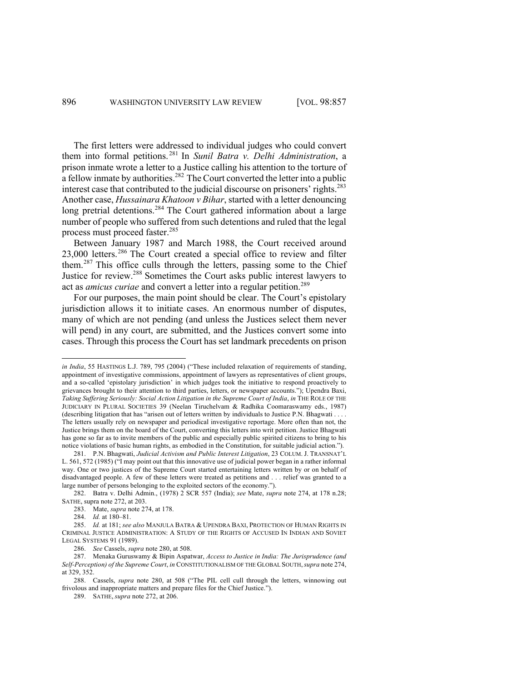The first letters were addressed to individual judges who could convert them into formal petitions. <sup>281</sup> In *Sunil Batra v. Delhi Administration*, a prison inmate wrote a letter to a Justice calling his attention to the torture of  $\overline{a}$  a fellow inmate by authorities.<sup>282</sup> The Court converted the letter into a public interest case that contributed to the judicial discourse on prisoners' rights.<sup>283</sup> Another case, *Hussainara Khatoon v Bihar*, started with a letter denouncing long pretrial detentions.<sup>284</sup> The Court gathered information about a large number of people who suffered from such detentions and ruled that the legal process must proceed faster. 285

Between January 1987 and March 1988, the Court received around 23,000 letters.<sup>286</sup> The Court created a special office to review and filter them.<sup>287</sup> This office culls through the letters, passing some to the Chief Justice for review. <sup>288</sup> Sometimes the Court asks public interest lawyers to act as *amicus curiae* and convert a letter into a regular petition. 289

For our purposes, the main point should be clear. The Court's epistolary jurisdiction allows it to initiate cases. An enormous number of disputes, many of which are not pending (and unless the Justices select them never will pend) in any court, are submitted, and the Justices convert some into cases. Through this process the Court has set landmark precedents on prison

*in India*, 55 HASTINGS L.J. 789, 795 (2004) ("These included relaxation of requirements of standing, appointment of investigative commissions, appointment of lawyers as representatives of client groups, and a so-called 'epistolary jurisdiction' in which judges took the initiative to respond proactively to grievances brought to their attention to third parties, letters, or newspaper accounts."); Upendra Baxi, *Taking Suffering Seriously: Social Action Litigation in the Supreme Court of India*, *in* THE ROLE OF THE JUDICIARY IN PLURAL SOCIETIES 39 (Neelan Tiruchelvam & Radhika Coomaraswamy eds., 1987) (describing litigation that has "arisen out of letters written by individuals to Justice P.N. Bhagwati . . . . The letters usually rely on newspaper and periodical investigative reportage. More often than not, the Justice brings them on the board of the Court, converting this letters into writ petition. Justice Bhagwati has gone so far as to invite members of the public and especially public spirited citizens to bring to his notice violations of basic human rights, as embodied in the Constitution, for suitable judicial action.").

<sup>281.</sup> P.N. Bhagwati, *Judicial Activism and Public Interest Litigation*, 23 COLUM. J. TRANSNAT'L L. 561, 572 (1985) ("I may point out that this innovative use of judicial power began in a rather informal way. One or two justices of the Supreme Court started entertaining letters written by or on behalf of disadvantaged people. A few of these letters were treated as petitions and . . . relief was granted to a large number of persons belonging to the exploited sectors of the economy.").

<sup>282.</sup> Batra v. Delhi Admin., (1978) 2 SCR 557 (India); *see* Mate, *supra* note 274, at 178 n.28; SATHE, supra note 272, at 203.

<sup>283.</sup> Mate, *supra* note 274, at 178.

<sup>284.</sup> *Id.* at 180–81.

<sup>285.</sup> *Id.* at 181; *see also* MANJULA BATRA & UPENDRA BAXI, PROTECTION OF HUMAN RIGHTS IN CRIMINAL JUSTICE ADMINISTRATION: A STUDY OF THE RIGHTS OF ACCUSED IN INDIAN AND SOVIET LEGAL SYSTEMS 91 (1989).

<sup>286.</sup> *See* Cassels, *supra* note 280, at 508.

<sup>287.</sup> Menaka Guruswamy & Bipin Aspatwar, *Access to Justice in India: The Jurisprudence (and Self-Perception) of the Supreme Court*, *in* CONSTITUTIONALISM OF THE GLOBAL SOUTH,*supra* note 274, at 329, 352.

<sup>288.</sup> Cassels, *supra* note 280, at 508 ("The PIL cell cull through the letters, winnowing out frivolous and inappropriate matters and prepare files for the Chief Justice.").

<sup>289.</sup> SATHE, *supra* note 272, at 206.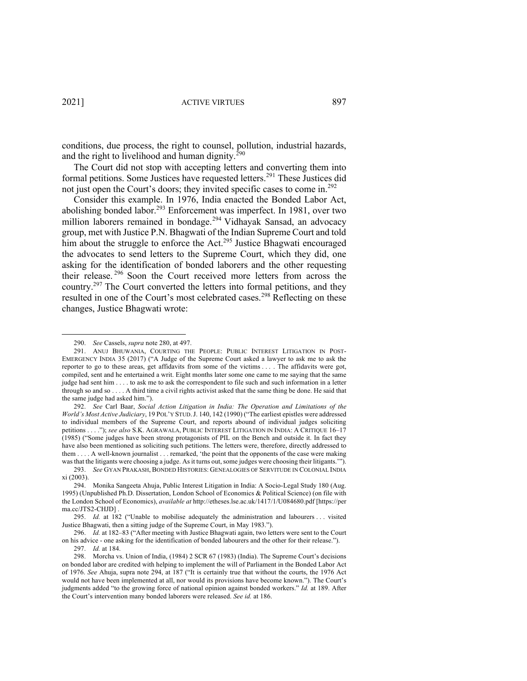conditions, due process, the right to counsel, pollution, industrial hazards, and the right to livelihood and human dignity. $^{290}$ 

The Court did not stop with accepting letters and converting them into formal petitions. Some Justices have requested letters. <sup>291</sup> These Justices did not just open the Court's doors; they invited specific cases to come in.<sup>292</sup>

Consider this example. In 1976, India enacted the Bonded Labor Act, abolishing bonded labor.<sup>293</sup> Enforcement was imperfect. In 1981, over two million laborers remained in bondage. <sup>294</sup> Vidhayak Sansad, an advocacy group, met with Justice P.N. Bhagwati of the Indian Supreme Court and told him about the struggle to enforce the Act.<sup>295</sup> Justice Bhagwati encouraged the advocates to send letters to the Supreme Court, which they did, one asking for the identification of bonded laborers and the other requesting their release. <sup>296</sup> Soon the Court received more letters from across the country.297 The Court converted the letters into formal petitions, and they resulted in one of the Court's most celebrated cases.<sup>298</sup> Reflecting on these changes, Justice Bhagwati wrote:

<sup>290.</sup> *See* Cassels, *supra* note 280, at 497.

<sup>291.</sup> ANUJ BHUWANIA, COURTING THE PEOPLE: PUBLIC INTEREST LITIGATION IN POST-EMERGENCY INDIA 35 (2017) ("A Judge of the Supreme Court asked a lawyer to ask me to ask the reporter to go to these areas, get affidavits from some of the victims . . . . The affidavits were got, compiled, sent and he entertained a writ. Eight months later some one came to me saying that the same judge had sent him . . . . to ask me to ask the correspondent to file such and such information in a letter through so and so . . . . A third time a civil rights activist asked that the same thing be done. He said that the same judge had asked him.").

<sup>292.</sup> *See* Carl Baar, *Social Action Litigation in India: The Operation and Limitations of the World's Most Active Judiciary*, 19 POL'Y STUD.J. 140, 142 (1990) ("The earliest epistles were addressed to individual members of the Supreme Court, and reports abound of individual judges soliciting petitions . . . ."); *see also* S.K. AGRAWALA, PUBLIC INTEREST LITIGATION IN INDIA: A CRITIQUE 16–17 (1985) ("Some judges have been strong protagonists of PIL on the Bench and outside it. In fact they have also been mentioned as soliciting such petitions. The letters were, therefore, directly addressed to them . . . . A well-known journalist . . . remarked, 'the point that the opponents of the case were making was that the litigants were choosing a judge. As it turns out, some judges were choosing their litigants.'").

<sup>293.</sup> *See* GYAN PRAKASH, BONDED HISTORIES: GENEALOGIES OF SERVITUDE IN COLONIAL INDIA xi (2003).

<sup>294.</sup> Monika Sangeeta Ahuja, Public Interest Litigation in India: A Socio-Legal Study 180 (Aug. 1995) (Unpublished Ph.D. Dissertation, London School of Economics & Political Science) (on file with the London School of Economics), *available at* http://etheses.lse.ac.uk/1417/1/U084680.pdf [https://per ma.cc/JTS2-CHJD] .

<sup>295.</sup> *Id.* at 182 ("Unable to mobilise adequately the administration and labourers . . . visited Justice Bhagwati, then a sitting judge of the Supreme Court, in May 1983.").

<sup>296.</sup> *Id.* at 182–83 ("After meeting with Justice Bhagwati again, two letters were sent to the Court on his advice - one asking for the identification of bonded labourers and the other for their release."). 297. *Id.* at 184.

<sup>298.</sup> Morcha vs. Union of India, (1984) 2 SCR 67 (1983) (India). The Supreme Court's decisions on bonded labor are credited with helping to implement the will of Parliament in the Bonded Labor Act of 1976. *See* Ahuja, supra note 294, at 187 ("It is certainly true that without the courts, the 1976 Act would not have been implemented at all, nor would its provisions have become known."). The Court's judgments added "to the growing force of national opinion against bonded workers." *Id.* at 189. After the Court's intervention many bonded laborers were released. *See id.* at 186.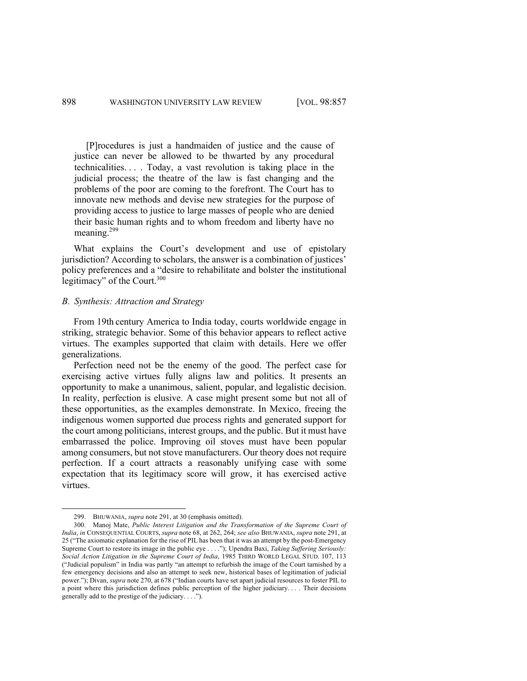[P]rocedures is just a handmaiden of justice and the cause of justice can never be allowed to be thwarted by any procedural technicalities. . . . Today, a vast revolution is taking place in the judicial process; the theatre of the law is fast changing and the problems of the poor are coming to the forefront. The Court has to innovate new methods and devise new strategies for the purpose of providing access to justice to large masses of people who are denied their basic human rights and to whom freedom and liberty have no meaning.<sup>299</sup>

What explains the Court's development and use of epistolary jurisdiction? According to scholars, the answer is a combination of justices' policy preferences and a "desire to rehabilitate and bolster the institutional legitimacy" of the Court.<sup>300</sup>

#### *B. Synthesis: Attraction and Strategy*

From 19th century America to India today, courts worldwide engage in striking, strategic behavior. Some of this behavior appears to reflect active virtues. The examples supported that claim with details. Here we offer generalizations.

Perfection need not be the enemy of the good. The perfect case for exercising active virtues fully aligns law and politics. It presents an opportunity to make a unanimous, salient, popular, and legalistic decision. In reality, perfection is elusive. A case might present some but not all of these opportunities, as the examples demonstrate. In Mexico, freeing the indigenous women supported due process rights and generated support for the court among politicians, interest groups, and the public. But it must have embarrassed the police. Improving oil stoves must have been popular among consumers, but not stove manufacturers. Our theory does not require perfection. If a court attracts a reasonably unifying case with some expectation that its legitimacy score will grow, it has exercised active virtues.

<sup>299.</sup> BHUWANIA, *supra* note 291, at 30 (emphasis omitted).

<sup>300.</sup> Manoj Mate, *Public Interest Litigation and the Transformation of the Supreme Court of India*, *in* CONSEQUENTIAL COURTS, *supra* note 68, at 262, 264; *see also* BHUWANIA, *supra* note 291, at 25 ("The axiomatic explanation for the rise of PIL has been that it was an attempt by the post-Emergency Supreme Court to restore its image in the public eye . . . ."); Upendra Baxi, *Taking Suffering Seriously: Social Action Litigation in the Supreme Court of India*, 1985 THIRD WORLD LEGAL STUD. 107, 113 ("Judicial populism" in India was partly "an attempt to refurbish the image of the Court tarnished by a few emergency decisions and also an attempt to seek new, historical bases of legitimation of judicial power."); Divan, *supra* note 270, at 678 ("Indian courts have set apart judicial resources to foster PIL to a point where this jurisdiction defines public perception of the higher judiciary. . . . Their decisions generally add to the prestige of the judiciary. . . .").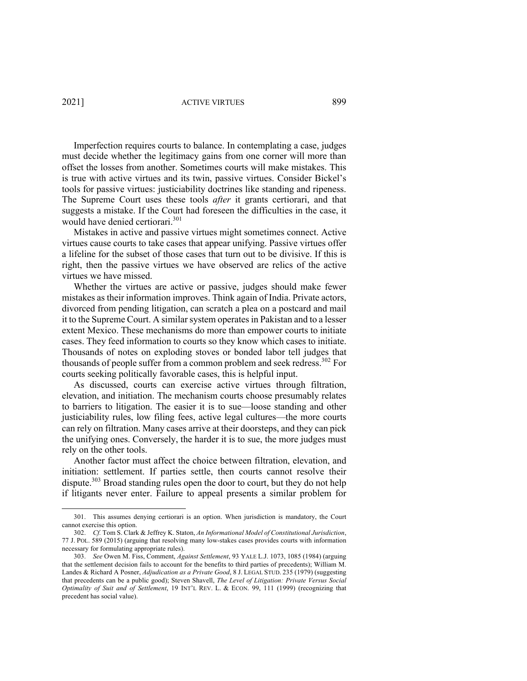2021] ACTIVE VIRTUES 899

Imperfection requires courts to balance. In contemplating a case, judges must decide whether the legitimacy gains from one corner will more than offset the losses from another. Sometimes courts will make mistakes. This is true with active virtues and its twin, passive virtues. Consider Bickel's tools for passive virtues: justiciability doctrines like standing and ripeness. The Supreme Court uses these tools *after* it grants certiorari, and that suggests a mistake. If the Court had foreseen the difficulties in the case, it would have denied certiorari. 301

Mistakes in active and passive virtues might sometimes connect. Active virtues cause courts to take cases that appear unifying. Passive virtues offer a lifeline for the subset of those cases that turn out to be divisive. If this is right, then the passive virtues we have observed are relics of the active virtues we have missed.

Whether the virtues are active or passive, judges should make fewer mistakes as their information improves. Think again of India. Private actors, divorced from pending litigation, can scratch a plea on a postcard and mail it to the Supreme Court. A similar system operates in Pakistan and to a lesser extent Mexico. These mechanisms do more than empower courts to initiate cases. They feed information to courts so they know which cases to initiate. Thousands of notes on exploding stoves or bonded labor tell judges that thousands of people suffer from a common problem and seek redress.<sup>302</sup> For courts seeking politically favorable cases, this is helpful input.

As discussed, courts can exercise active virtues through filtration, elevation, and initiation. The mechanism courts choose presumably relates to barriers to litigation. The easier it is to sue—loose standing and other justiciability rules, low filing fees, active legal cultures—the more courts can rely on filtration. Many cases arrive at their doorsteps, and they can pick the unifying ones. Conversely, the harder it is to sue, the more judges must rely on the other tools.

Another factor must affect the choice between filtration, elevation, and initiation: settlement. If parties settle, then courts cannot resolve their dispute.<sup>303</sup> Broad standing rules open the door to court, but they do not help if litigants never enter. Failure to appeal presents a similar problem for

<sup>301.</sup> This assumes denying certiorari is an option. When jurisdiction is mandatory, the Court cannot exercise this option.

<sup>302.</sup> *Cf.* Tom S. Clark & Jeffrey K. Staton, *An Informational Model of Constitutional Jurisdiction*, 77 J. POL. 589 (2015) (arguing that resolving many low-stakes cases provides courts with information necessary for formulating appropriate rules).

<sup>303.</sup> *See* Owen M. Fiss, Comment, *Against Settlement*, 93 YALE L.J. 1073, 1085 (1984) (arguing that the settlement decision fails to account for the benefits to third parties of precedents); William M. Landes & Richard A Posner, *Adjudication as a Private Good*, 8 J. LEGAL STUD. 235 (1979) (suggesting that precedents can be a public good); Steven Shavell, *The Level of Litigation: Private Versus Social Optimality of Suit and of Settlement*, 19 INT'L REV. L. & ECON. 99, 111 (1999) (recognizing that precedent has social value).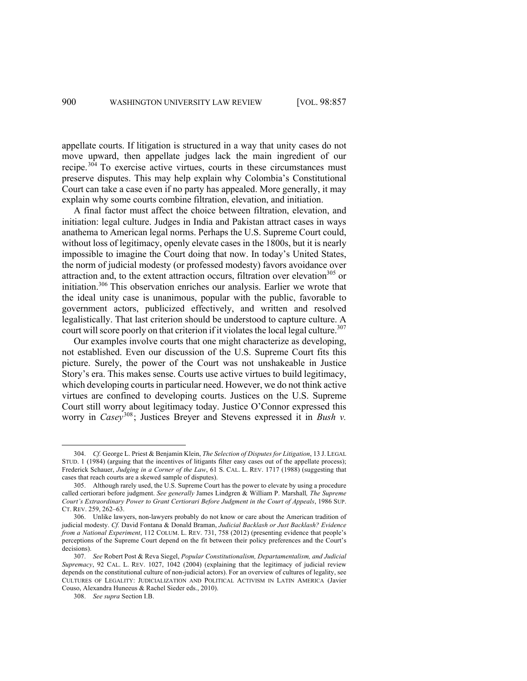appellate courts. If litigation is structured in a way that unity cases do not move upward, then appellate judges lack the main ingredient of our recipe. $304$  To exercise active virtues, courts in these circumstances must preserve disputes. This may help explain why Colombia's Constitutional Court can take a case even if no party has appealed. More generally, it may explain why some courts combine filtration, elevation, and initiation.

A final factor must affect the choice between filtration, elevation, and initiation: legal culture. Judges in India and Pakistan attract cases in ways anathema to American legal norms. Perhaps the U.S. Supreme Court could, without loss of legitimacy, openly elevate cases in the 1800s, but it is nearly impossible to imagine the Court doing that now. In today's United States, the norm of judicial modesty (or professed modesty) favors avoidance over attraction and, to the extent attraction occurs, filtration over elevation<sup>305</sup> or initiation.<sup>306</sup> This observation enriches our analysis. Earlier we wrote that the ideal unity case is unanimous, popular with the public, favorable to government actors, publicized effectively, and written and resolved legalistically. That last criterion should be understood to capture culture. A court will score poorly on that criterion if it violates the local legal culture.<sup>307</sup>

Our examples involve courts that one might characterize as developing, not established. Even our discussion of the U.S. Supreme Court fits this picture. Surely, the power of the Court was not unshakeable in Justice Story's era. This makes sense. Courts use active virtues to build legitimacy, which developing courts in particular need. However, we do not think active virtues are confined to developing courts. Justices on the U.S. Supreme Court still worry about legitimacy today. Justice O'Connor expressed this worry in *Casey*308; Justices Breyer and Stevens expressed it in *Bush v.* 

<sup>304.</sup> *Cf.* George L. Priest & Benjamin Klein, *The Selection of Disputes for Litigation*, 13 J. LEGAL STUD. 1 (1984) (arguing that the incentives of litigants filter easy cases out of the appellate process); Frederick Schauer, *Judging in a Corner of the Law*, 61 S. CAL. L. REV. 1717 (1988) (suggesting that cases that reach courts are a skewed sample of disputes).

<sup>305.</sup> Although rarely used, the U.S. Supreme Court has the power to elevate by using a procedure called certiorari before judgment. *See generally* James Lindgren & William P. Marshall*, The Supreme Court's Extraordinary Power to Grant Certiorari Before Judgment in the Court of Appeals*, 1986 SUP. CT. REV. 259, 262–63.

<sup>306.</sup> Unlike lawyers, non-lawyers probably do not know or care about the American tradition of judicial modesty. *Cf.* David Fontana & Donald Braman, *Judicial Backlash or Just Backlash? Evidence from a National Experiment*, 112 COLUM. L. REV. 731, 758 (2012) (presenting evidence that people's perceptions of the Supreme Court depend on the fit between their policy preferences and the Court's decisions).

<sup>307.</sup> *See* Robert Post & Reva Siegel, *Popular Constitutionalism, Departamentalism, and Judicial Supremacy*, 92 CAL. L. REV. 1027, 1042 (2004) (explaining that the legitimacy of judicial review depends on the constitutional culture of non-judicial actors). For an overview of cultures of legality, see CULTURES OF LEGALITY: JUDICIALIZATION AND POLITICAL ACTIVISM IN LATIN AMERICA (Javier Couso, Alexandra Huneeus & Rachel Sieder eds., 2010).

<sup>308.</sup> *See supra* Section I.B.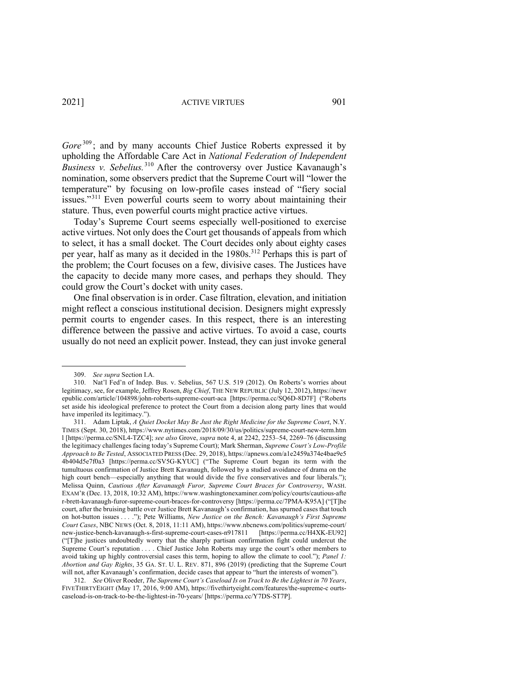2021] ACTIVE VIRTUES 901

Gore<sup>309</sup>; and by many accounts Chief Justice Roberts expressed it by upholding the Affordable Care Act in *National Federation of Independent Business v. Sebelius.*<sup>310</sup> After the controversy over Justice Kavanaugh's nomination, some observers predict that the Supreme Court will "lower the temperature" by focusing on low-profile cases instead of "fiery social issues."<sup>311</sup> Even powerful courts seem to worry about maintaining their stature. Thus, even powerful courts might practice active virtues.

Today's Supreme Court seems especially well-positioned to exercise active virtues. Not only does the Court get thousands of appeals from which to select, it has a small docket. The Court decides only about eighty cases per year, half as many as it decided in the 1980s.<sup>312</sup> Perhaps this is part of the problem; the Court focuses on a few, divisive cases. The Justices have the capacity to decide many more cases, and perhaps they should. They could grow the Court's docket with unity cases.

One final observation is in order. Case filtration, elevation, and initiation might reflect a conscious institutional decision. Designers might expressly permit courts to engender cases. In this respect, there is an interesting difference between the passive and active virtues. To avoid a case, courts usually do not need an explicit power. Instead, they can just invoke general

<sup>309.</sup> *See supra* Section I.A.

<sup>310.</sup> Nat'l Fed'n of Indep. Bus. v. Sebelius, 567 U.S. 519 (2012). On Roberts's worries about legitimacy, see, for example, Jeffrey Rosen, *Big Chief*, THE NEW REPUBLIC (July 12, 2012), https://newr epublic.com/article/104898/john-roberts-supreme-court-aca [https://perma.cc/SQ6D-8D7F] ("Roberts set aside his ideological preference to protect the Court from a decision along party lines that would have imperiled its legitimacy.").

<sup>311.</sup> Adam Liptak, *A Quiet Docket May Be Just the Right Medicine for the Supreme Court*, N.Y. TIMES (Sept. 30, 2018), https://www.nytimes.com/2018/09/30/us/politics/supreme-court-new-term.htm l [https://perma.cc/SNL4-TZC4]; *see also* Grove, *supra* note 4, at 2242, 2253–54, 2269–76 (discussing the legitimacy challenges facing today's Supreme Court); Mark Sherman, *Supreme Court's Low-Profile Approach to Be Tested*, ASSOCIATED PRESS (Dec. 29, 2018), https://apnews.com/a1e2459a374e4bae9e5 4b404d5e7f0a3 [https://perma.cc/SV5G-KYUC] ("The Supreme Court began its term with the tumultuous confirmation of Justice Brett Kavanaugh, followed by a studied avoidance of drama on the high court bench—especially anything that would divide the five conservatives and four liberals."); Melissa Quinn, *Cautious After Kavanaugh Furor, Supreme Court Braces for Controversy*, WASH. EXAM'R (Dec. 13, 2018, 10:32 AM), https://www.washingtonexaminer.com/policy/courts/cautious-afte r-brett-kavanaugh-furor-supreme-court-braces-for-controversy [https://perma.cc/7PMA-K95A] ("[T]he court, after the bruising battle over Justice Brett Kavanaugh's confirmation, has spurned cases that touch on hot-button issues . . . ."); Pete Williams, *New Justice on the Bench: Kavanaugh's First Supreme Court Cases*, NBC NEWS (Oct. 8, 2018, 11:11 AM), https://www.nbcnews.com/politics/supreme-court/ new-justice-bench-kavanaugh-s-first-supreme-court-cases-n917811 [https://perma.cc/H4XK-EU92] ("[T]he justices undoubtedly worry that the sharply partisan confirmation fight could undercut the Supreme Court's reputation . . . . Chief Justice John Roberts may urge the court's other members to avoid taking up highly controversial cases this term, hoping to allow the climate to cool."); *Panel 1: Abortion and Gay Rights*, 35 GA. ST. U. L. REV. 871, 896 (2019) (predicting that the Supreme Court will not, after Kavanaugh's confirmation, decide cases that appear to "hurt the interests of women").

<sup>312.</sup> *See* Oliver Roeder, *The Supreme Court's Caseload Is on Track to Be the Lightest in 70 Years*, FIVETHIRTYEIGHT (May 17, 2016, 9:00 AM), https://fivethirtyeight.com/features/the-supreme-c ourtscaseload-is-on-track-to-be-the-lightest-in-70-years/ [https://perma.cc/Y7DS-ST7P].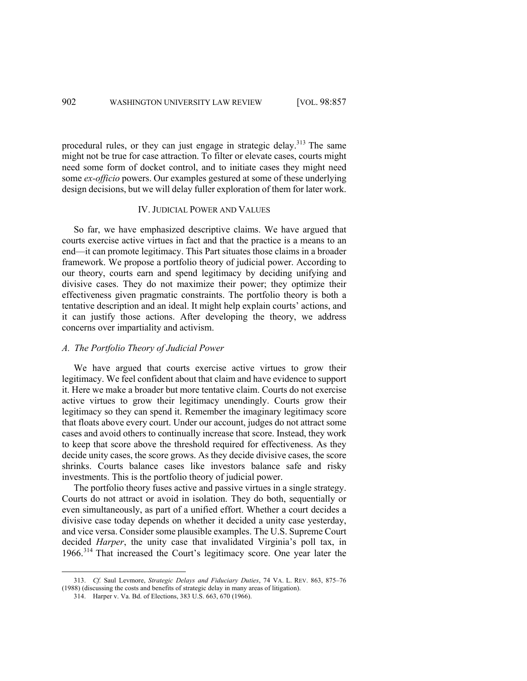procedural rules, or they can just engage in strategic delay.<sup>313</sup> The same might not be true for case attraction. To filter or elevate cases, courts might need some form of docket control, and to initiate cases they might need some *ex-officio* powers. Our examples gestured at some of these underlying design decisions, but we will delay fuller exploration of them for later work.

#### IV. JUDICIAL POWER AND VALUES

So far, we have emphasized descriptive claims. We have argued that courts exercise active virtues in fact and that the practice is a means to an end—it can promote legitimacy. This Part situates those claims in a broader framework. We propose a portfolio theory of judicial power. According to our theory, courts earn and spend legitimacy by deciding unifying and divisive cases. They do not maximize their power; they optimize their effectiveness given pragmatic constraints. The portfolio theory is both a tentative description and an ideal. It might help explain courts' actions, and it can justify those actions. After developing the theory, we address concerns over impartiality and activism.

# *A. The Portfolio Theory of Judicial Power*

We have argued that courts exercise active virtues to grow their legitimacy. We feel confident about that claim and have evidence to support it. Here we make a broader but more tentative claim. Courts do not exercise active virtues to grow their legitimacy unendingly. Courts grow their legitimacy so they can spend it. Remember the imaginary legitimacy score that floats above every court. Under our account, judges do not attract some cases and avoid others to continually increase that score. Instead, they work to keep that score above the threshold required for effectiveness. As they decide unity cases, the score grows. As they decide divisive cases, the score shrinks. Courts balance cases like investors balance safe and risky investments. This is the portfolio theory of judicial power.

The portfolio theory fuses active and passive virtues in a single strategy. Courts do not attract or avoid in isolation. They do both, sequentially or even simultaneously, as part of a unified effort. Whether a court decides a divisive case today depends on whether it decided a unity case yesterday, and vice versa. Consider some plausible examples. The U.S. Supreme Court decided *Harper*, the unity case that invalidated Virginia's poll tax, in 1966.<sup>314</sup> That increased the Court's legitimacy score. One year later the

<sup>313.</sup> *Cf.* Saul Levmore, *Strategic Delays and Fiduciary Duties*, 74 VA. L. REV. 863, 875–76 (1988) (discussing the costs and benefits of strategic delay in many areas of litigation).

<sup>314.</sup> Harper v. Va. Bd. of Elections, 383 U.S. 663, 670 (1966).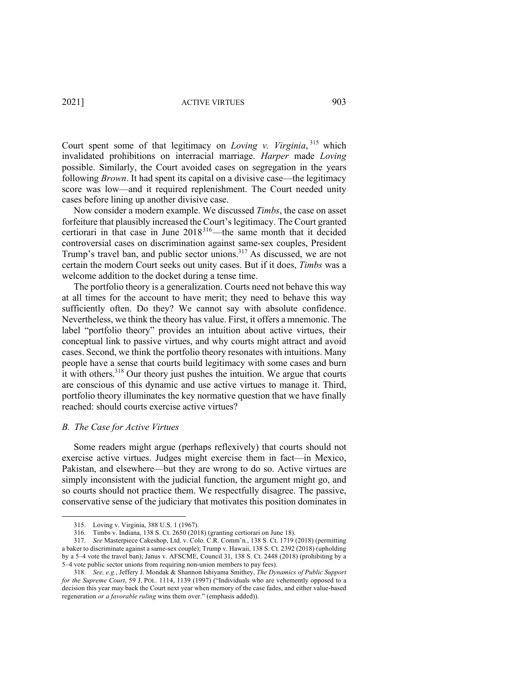2021] ACTIVE VIRTUES 903

Court spent some of that legitimacy on *Loving v. Virginia*, <sup>315</sup> which invalidated prohibitions on interracial marriage. *Harper* made *Loving*  possible. Similarly, the Court avoided cases on segregation in the years following *Brown*. It had spent its capital on a divisive case—the legitimacy score was low—and it required replenishment. The Court needed unity cases before lining up another divisive case.

Now consider a modern example. We discussed *Timbs*, the case on asset forfeiture that plausibly increased the Court's legitimacy. The Court granted certiorari in that case in June 2018316—the same month that it decided controversial cases on discrimination against same-sex couples, President Trump's travel ban, and public sector unions.317 As discussed, we are not certain the modern Court seeks out unity cases. But if it does, *Timbs* was a welcome addition to the docket during a tense time.

The portfolio theory is a generalization. Courts need not behave this way at all times for the account to have merit; they need to behave this way sufficiently often. Do they? We cannot say with absolute confidence. Nevertheless, we think the theory has value. First, it offers a mnemonic. The label "portfolio theory" provides an intuition about active virtues, their conceptual link to passive virtues, and why courts might attract and avoid cases. Second, we think the portfolio theory resonates with intuitions. Many people have a sense that courts build legitimacy with some cases and burn it with others.<sup>318</sup> Our theory just pushes the intuition. We argue that courts are conscious of this dynamic and use active virtues to manage it. Third, portfolio theory illuminates the key normative question that we have finally reached: should courts exercise active virtues?

### *B. The Case for Active Virtues*

Some readers might argue (perhaps reflexively) that courts should not exercise active virtues. Judges might exercise them in fact—in Mexico, Pakistan, and elsewhere—but they are wrong to do so. Active virtues are simply inconsistent with the judicial function, the argument might go, and so courts should not practice them. We respectfully disagree. The passive, conservative sense of the judiciary that motivates this position dominates in

<sup>315.</sup> Loving v. Virginia, 388 U.S. 1 (1967).

<sup>316.</sup> Timbs v. Indiana, 138 S. Ct. 2650 (2018) (granting certiorari on June 18).

<sup>317.</sup> *See* Masterpiece Cakeshop, Ltd. v. Colo. C.R. Comm'n*.*, 138 S. Ct. 1719 (2018) (permitting a baker to discriminate against a same-sex couple); Trump v. Hawaii, 138 S. Ct. 2392 (2018) (upholding by a 5–4 vote the travel ban); Janus v. AFSCME, Council 31, 138 S. Ct. 2448 (2018) (prohibiting by a 5–4 vote public sector unions from requiring non-union members to pay fees).

<sup>318.</sup> *See, e.g.*, Jeffery J. Mondak & Shannon Ishiyama Smithey, *The Dynamics of Public Support for the Supreme Court*, 59 J. POL. 1114, 1139 (1997) ("Individuals who are vehemently opposed to a decision this year may back the Court next year when memory of the case fades, and either value-based regeneration *or a favorable ruling* wins them over." (emphasis added)).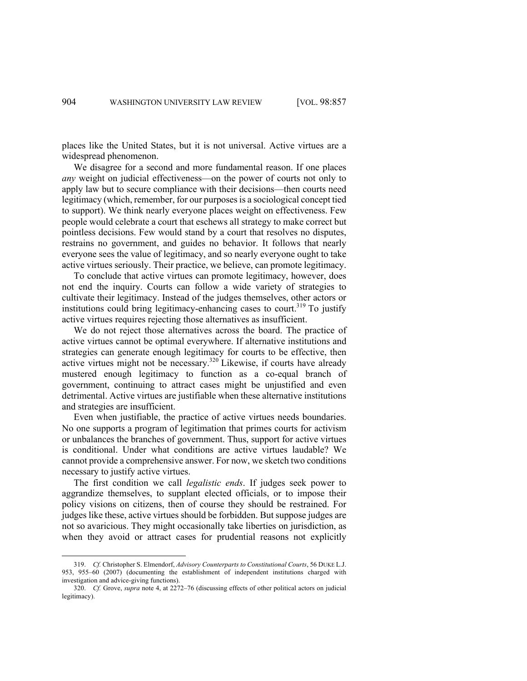places like the United States, but it is not universal. Active virtues are a widespread phenomenon.

We disagree for a second and more fundamental reason. If one places *any* weight on judicial effectiveness—on the power of courts not only to apply law but to secure compliance with their decisions—then courts need legitimacy (which, remember, for our purposes is a sociological concept tied to support). We think nearly everyone places weight on effectiveness. Few people would celebrate a court that eschews all strategy to make correct but pointless decisions. Few would stand by a court that resolves no disputes, restrains no government, and guides no behavior. It follows that nearly everyone sees the value of legitimacy, and so nearly everyone ought to take active virtues seriously. Their practice, we believe, can promote legitimacy.

To conclude that active virtues can promote legitimacy, however, does not end the inquiry. Courts can follow a wide variety of strategies to cultivate their legitimacy. Instead of the judges themselves, other actors or institutions could bring legitimacy-enhancing cases to court. <sup>319</sup> To justify active virtues requires rejecting those alternatives as insufficient.

We do not reject those alternatives across the board. The practice of active virtues cannot be optimal everywhere. If alternative institutions and strategies can generate enough legitimacy for courts to be effective, then active virtues might not be necessary.320 Likewise, if courts have already mustered enough legitimacy to function as a co-equal branch of government, continuing to attract cases might be unjustified and even detrimental. Active virtues are justifiable when these alternative institutions and strategies are insufficient.

Even when justifiable, the practice of active virtues needs boundaries. No one supports a program of legitimation that primes courts for activism or unbalances the branches of government. Thus, support for active virtues is conditional. Under what conditions are active virtues laudable? We cannot provide a comprehensive answer. For now, we sketch two conditions necessary to justify active virtues.

The first condition we call *legalistic ends*. If judges seek power to aggrandize themselves, to supplant elected officials, or to impose their policy visions on citizens, then of course they should be restrained. For judges like these, active virtues should be forbidden. But suppose judges are not so avaricious. They might occasionally take liberties on jurisdiction, as when they avoid or attract cases for prudential reasons not explicitly

<sup>319.</sup> *Cf.* Christopher S. Elmendorf, *Advisory Counterparts to Constitutional Courts*, 56 DUKE L.J. 953, 955–60 (2007) (documenting the establishment of independent institutions charged with investigation and advice-giving functions).

<sup>320.</sup> *Cf.* Grove, *supra* note 4, at 2272–76 (discussing effects of other political actors on judicial legitimacy).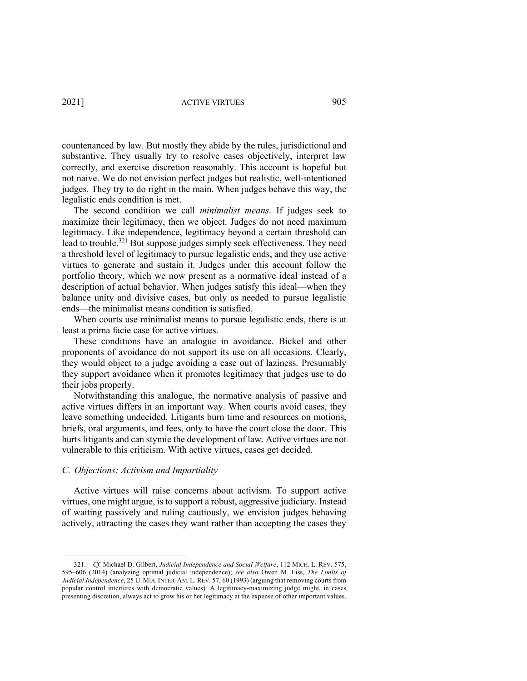countenanced by law. But mostly they abide by the rules, jurisdictional and substantive. They usually try to resolve cases objectively, interpret law correctly, and exercise discretion reasonably. This account is hopeful but not naive. We do not envision perfect judges but realistic, well-intentioned judges. They try to do right in the main. When judges behave this way, the legalistic ends condition is met.

The second condition we call *minimalist means*. If judges seek to maximize their legitimacy, then we object. Judges do not need maximum legitimacy. Like independence, legitimacy beyond a certain threshold can lead to trouble.<sup>321</sup> But suppose judges simply seek effectiveness. They need a threshold level of legitimacy to pursue legalistic ends, and they use active virtues to generate and sustain it. Judges under this account follow the portfolio theory, which we now present as a normative ideal instead of a description of actual behavior. When judges satisfy this ideal—when they balance unity and divisive cases, but only as needed to pursue legalistic ends—the minimalist means condition is satisfied.

When courts use minimalist means to pursue legalistic ends, there is at least a prima facie case for active virtues.

These conditions have an analogue in avoidance. Bickel and other proponents of avoidance do not support its use on all occasions. Clearly, they would object to a judge avoiding a case out of laziness. Presumably they support avoidance when it promotes legitimacy that judges use to do their jobs properly.

Notwithstanding this analogue, the normative analysis of passive and active virtues differs in an important way. When courts avoid cases, they leave something undecided. Litigants burn time and resources on motions, briefs, oral arguments, and fees, only to have the court close the door. This hurts litigants and can stymie the development of law. Active virtues are not vulnerable to this criticism. With active virtues, cases get decided.

# *C. Objections: Activism and Impartiality*

Active virtues will raise concerns about activism. To support active virtues, one might argue, is to support a robust, aggressive judiciary. Instead of waiting passively and ruling cautiously, we envision judges behaving actively, attracting the cases they want rather than accepting the cases they

<sup>321.</sup> *Cf.* Michael D. Gilbert, *Judicial Independence and Social Welfare*, 112 MICH. L. REV. 575, 595–606 (2014) (analyzing optimal judicial independence); *see also* Owen M. Fiss, *The Limits of Judicial Independence*, 25 U. MIA. INTER-AM. L. REV. 57, 60 (1993) (arguing that removing courts from popular control interferes with democratic values). A legitimacy-maximizing judge might, in cases presenting discretion, always act to grow his or her legitimacy at the expense of other important values.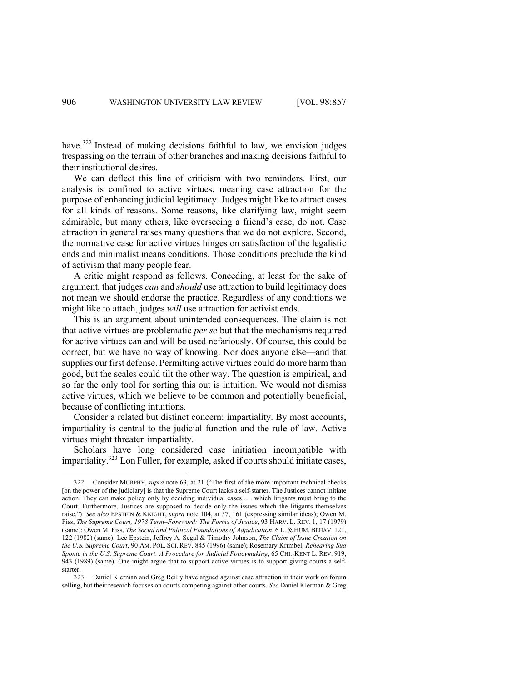have.<sup>322</sup> Instead of making decisions faithful to law, we envision judges trespassing on the terrain of other branches and making decisions faithful to their institutional desires.

We can deflect this line of criticism with two reminders. First, our analysis is confined to active virtues, meaning case attraction for the purpose of enhancing judicial legitimacy. Judges might like to attract cases for all kinds of reasons. Some reasons, like clarifying law, might seem admirable, but many others, like overseeing a friend's case, do not. Case attraction in general raises many questions that we do not explore. Second, the normative case for active virtues hinges on satisfaction of the legalistic ends and minimalist means conditions. Those conditions preclude the kind of activism that many people fear.

A critic might respond as follows. Conceding, at least for the sake of argument, that judges *can* and *should* use attraction to build legitimacy does not mean we should endorse the practice. Regardless of any conditions we might like to attach, judges *will* use attraction for activist ends.

This is an argument about unintended consequences. The claim is not that active virtues are problematic *per se* but that the mechanisms required for active virtues can and will be used nefariously. Of course, this could be correct, but we have no way of knowing. Nor does anyone else—and that supplies our first defense. Permitting active virtues could do more harm than good, but the scales could tilt the other way. The question is empirical, and so far the only tool for sorting this out is intuition. We would not dismiss active virtues, which we believe to be common and potentially beneficial, because of conflicting intuitions.

Consider a related but distinct concern: impartiality. By most accounts, impartiality is central to the judicial function and the rule of law. Active virtues might threaten impartiality.

Scholars have long considered case initiation incompatible with impartiality.323 Lon Fuller, for example, asked if courts should initiate cases,

<sup>322.</sup> Consider MURPHY, *supra* note 63, at 21 ("The first of the more important technical checks [on the power of the judiciary] is that the Supreme Court lacks a self-starter. The Justices cannot initiate action. They can make policy only by deciding individual cases . . . which litigants must bring to the Court. Furthermore, Justices are supposed to decide only the issues which the litigants themselves raise."). *See also* EPSTEIN & KNIGHT, *supra* note 104, at 57, 161 (expressing similar ideas); Owen M. Fiss, *The Supreme Court, 1978 Term–Foreword: The Forms of Justice*, 93 HARV. L. REV. 1, 17 (1979) (same); Owen M. Fiss, *The Social and Political Foundations of Adjudication*, 6 L. & HUM. BEHAV. 121, 122 (1982) (same); Lee Epstein, Jeffrey A. Segal & Timothy Johnson, *The Claim of Issue Creation on the U.S. Supreme Court*, 90 AM. POL. SCI. REV. 845 (1996) (same); Rosemary Krimbel, *Rehearing Sua Sponte in the U.S. Supreme Court: A Procedure for Judicial Policymaking*, 65 CHI.-KENT L. REV. 919, 943 (1989) (same). One might argue that to support active virtues is to support giving courts a selfstarter.

<sup>323.</sup> Daniel Klerman and Greg Reilly have argued against case attraction in their work on forum selling, but their research focuses on courts competing against other courts. *See* Daniel Klerman & Greg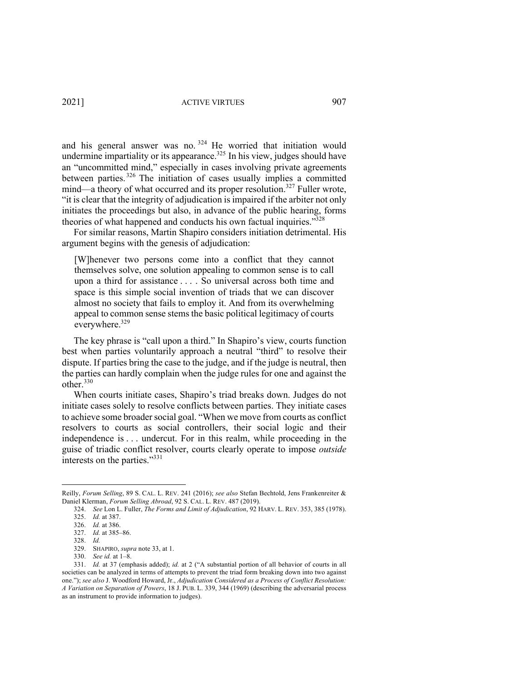2021] ACTIVE VIRTUES 907

and his general answer was no.  $324$  He worried that initiation would undermine impartiality or its appearance.<sup>325</sup> In his view, judges should have an "uncommitted mind," especially in cases involving private agreements between parties. <sup>326</sup> The initiation of cases usually implies a committed mind—a theory of what occurred and its proper resolution.<sup>327</sup> Fuller wrote, "it is clear that the integrity of adjudication is impaired if the arbiter not only initiates the proceedings but also, in advance of the public hearing, forms theories of what happened and conducts his own factual inquiries."328

For similar reasons, Martin Shapiro considers initiation detrimental. His argument begins with the genesis of adjudication:

[W]henever two persons come into a conflict that they cannot themselves solve, one solution appealing to common sense is to call upon a third for assistance . . . . So universal across both time and space is this simple social invention of triads that we can discover almost no society that fails to employ it. And from its overwhelming appeal to common sense stems the basic political legitimacy of courts everywhere.<sup>329</sup>

The key phrase is "call upon a third." In Shapiro's view, courts function best when parties voluntarily approach a neutral "third" to resolve their dispute. If parties bring the case to the judge, and if the judge is neutral, then the parties can hardly complain when the judge rules for one and against the other.<sup>330</sup>

When courts initiate cases, Shapiro's triad breaks down. Judges do not initiate cases solely to resolve conflicts between parties. They initiate cases to achieve some broader social goal. "When we move from courts as conflict resolvers to courts as social controllers, their social logic and their independence is . . . undercut. For in this realm, while proceeding in the guise of triadic conflict resolver, courts clearly operate to impose *outside* interests on the parties."<sup>331</sup>

Reilly, *Forum Selling*, 89 S. CAL. L. REV. 241 (2016); *see also* Stefan Bechtold, Jens Frankenreiter & Daniel Klerman, *Forum Selling Abroad*, 92 S. CAL. L. REV. 487 (2019).

<sup>324.</sup> *See* Lon L. Fuller, *The Forms and Limit of Adjudication*, 92 HARV. L. REV. 353, 385 (1978). 325. *Id.* at 387.

<sup>326.</sup> *Id.* at 386.

<sup>327.</sup> *Id.* at 385–86.

<sup>328.</sup> *Id.* 

<sup>329.</sup> SHAPIRO, *supra* note 33, at 1.

<sup>330.</sup> *See id.* at 1–8.

<sup>331.</sup> *Id.* at 37 (emphasis added); *id.* at 2 ("A substantial portion of all behavior of courts in all societies can be analyzed in terms of attempts to prevent the triad form breaking down into two against one."); *see also* J. Woodford Howard, Jr., *Adjudication Considered as a Process of Conflict Resolution: A Variation on Separation of Powers*, 18 J. PUB. L. 339, 344 (1969) (describing the adversarial process as an instrument to provide information to judges).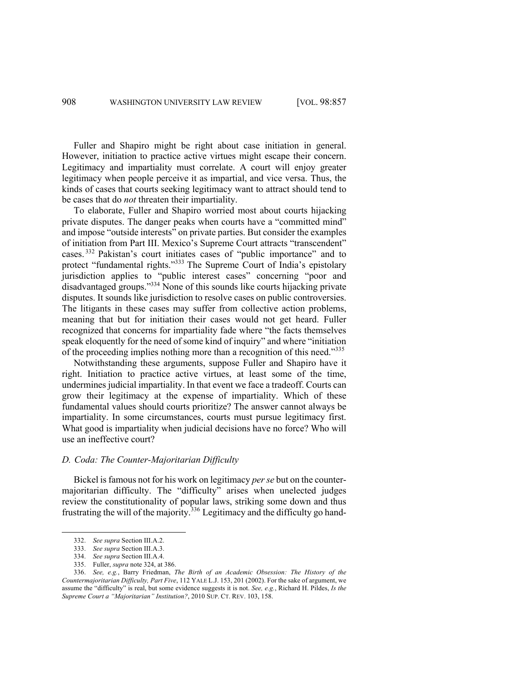Fuller and Shapiro might be right about case initiation in general. However, initiation to practice active virtues might escape their concern. Legitimacy and impartiality must correlate. A court will enjoy greater legitimacy when people perceive it as impartial, and vice versa. Thus, the kinds of cases that courts seeking legitimacy want to attract should tend to be cases that do *not* threaten their impartiality.

To elaborate, Fuller and Shapiro worried most about courts hijacking private disputes. The danger peaks when courts have a "committed mind" and impose "outside interests" on private parties. But consider the examples of initiation from Part III. Mexico's Supreme Court attracts "transcendent" cases. <sup>332</sup> Pakistan's court initiates cases of "public importance" and to protect "fundamental rights."<sup>333</sup> The Supreme Court of India's epistolary jurisdiction applies to "public interest cases" concerning "poor and disadvantaged groups."334 None of this sounds like courts hijacking private disputes. It sounds like jurisdiction to resolve cases on public controversies. The litigants in these cases may suffer from collective action problems, meaning that but for initiation their cases would not get heard. Fuller recognized that concerns for impartiality fade where "the facts themselves speak eloquently for the need of some kind of inquiry" and where "initiation of the proceeding implies nothing more than a recognition of this need."<sup>335</sup>

Notwithstanding these arguments, suppose Fuller and Shapiro have it right. Initiation to practice active virtues, at least some of the time, undermines judicial impartiality. In that event we face a tradeoff. Courts can grow their legitimacy at the expense of impartiality. Which of these fundamental values should courts prioritize? The answer cannot always be impartiality. In some circumstances, courts must pursue legitimacy first. What good is impartiality when judicial decisions have no force? Who will use an ineffective court?

# *D. Coda: The Counter-Majoritarian Difficulty*

Bickel is famous not for his work on legitimacy *per se* but on the countermajoritarian difficulty. The "difficulty" arises when unelected judges review the constitutionality of popular laws, striking some down and thus frustrating the will of the majority.<sup>336</sup> Legitimacy and the difficulty go hand-

<sup>332.</sup> *See supra* Section III.A.2.

<sup>333.</sup> *See supra* Section III.A.3.

<sup>334.</sup> *See supra* Section III.A.4.

<sup>335.</sup> Fuller, *supra* note 324, at 386.

<sup>336.</sup> *See, e.g.*, Barry Friedman, *The Birth of an Academic Obsession: The History of the Countermajoritarian Difficulty, Part Five*, 112 YALE L.J. 153, 201 (2002). For the sake of argument, we assume the "difficulty" is real, but some evidence suggests it is not. *See, e.g.*, Richard H. Pildes, *Is the Supreme Court a "Majoritarian" Institution?*, 2010 SUP. CT. REV. 103, 158.